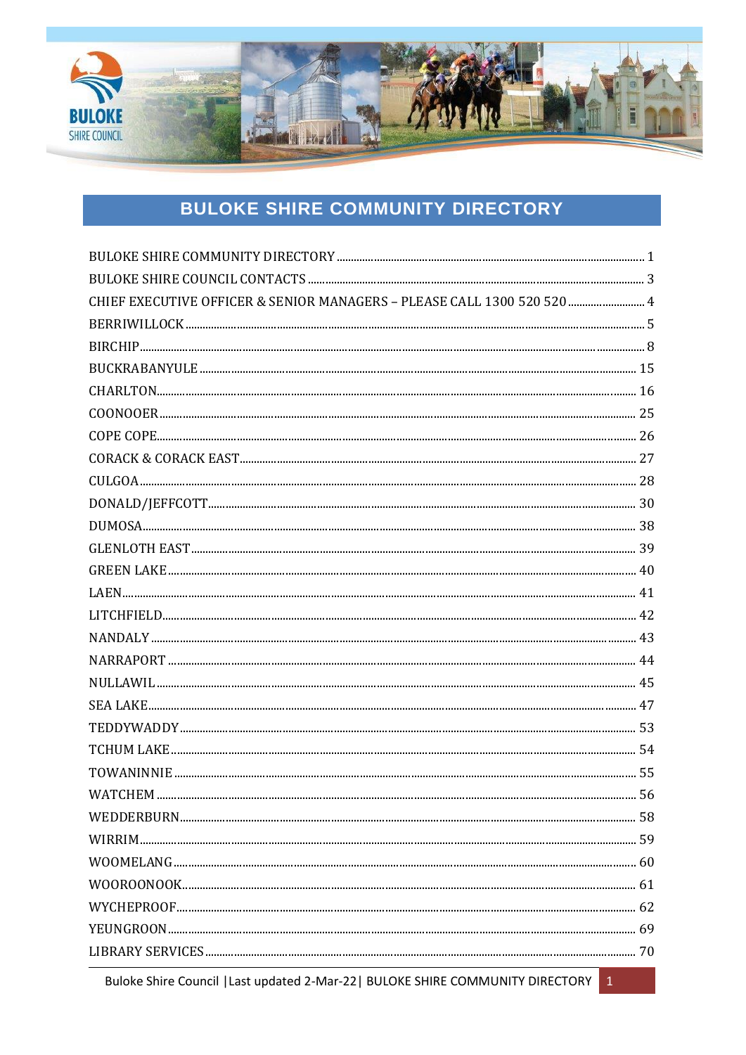

# **BULOKE SHIRE COMMUNITY DIRECTORY**

<span id="page-0-0"></span>

| CHIEF EXECUTIVE OFFICER & SENIOR MANAGERS - PLEASE CALL 1300 520 520  4 |  |
|-------------------------------------------------------------------------|--|
|                                                                         |  |
|                                                                         |  |
|                                                                         |  |
|                                                                         |  |
|                                                                         |  |
|                                                                         |  |
|                                                                         |  |
| $CULGOA  \  \, 28$                                                      |  |
|                                                                         |  |
|                                                                         |  |
|                                                                         |  |
|                                                                         |  |
|                                                                         |  |
|                                                                         |  |
|                                                                         |  |
|                                                                         |  |
|                                                                         |  |
|                                                                         |  |
|                                                                         |  |
|                                                                         |  |
|                                                                         |  |
|                                                                         |  |
|                                                                         |  |
|                                                                         |  |
|                                                                         |  |
|                                                                         |  |
|                                                                         |  |
|                                                                         |  |
|                                                                         |  |

Buloke Shire Council | Last updated 2-Mar-22 | BULOKE SHIRE COMMUNITY DIRECTORY | 1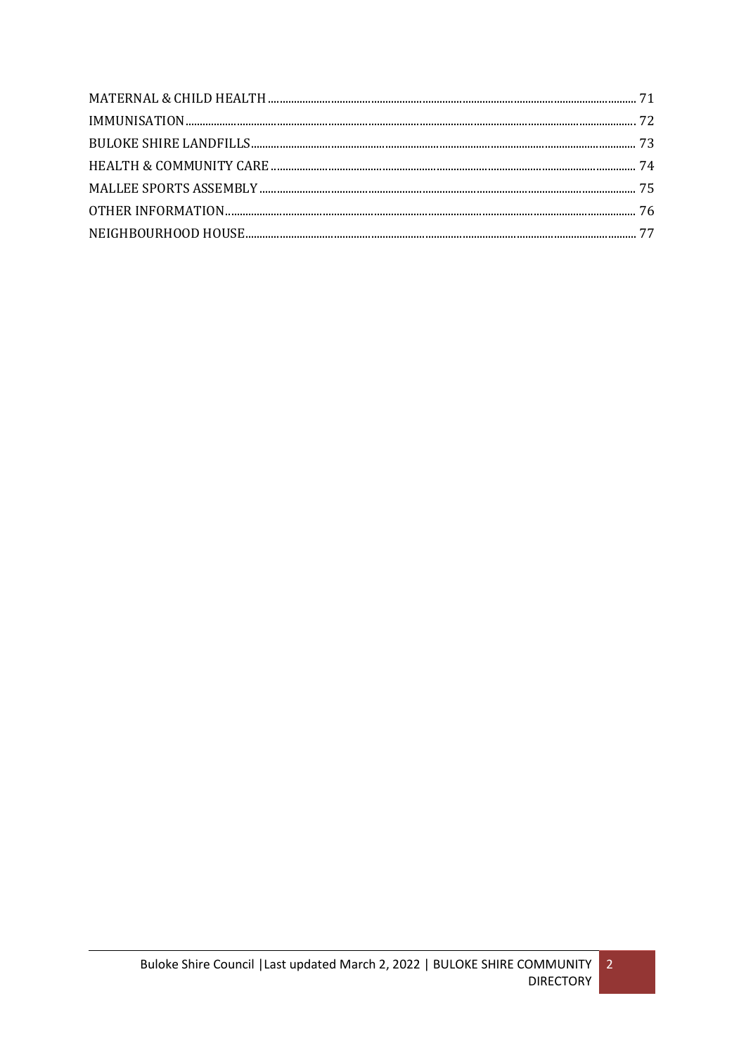$\overline{2}$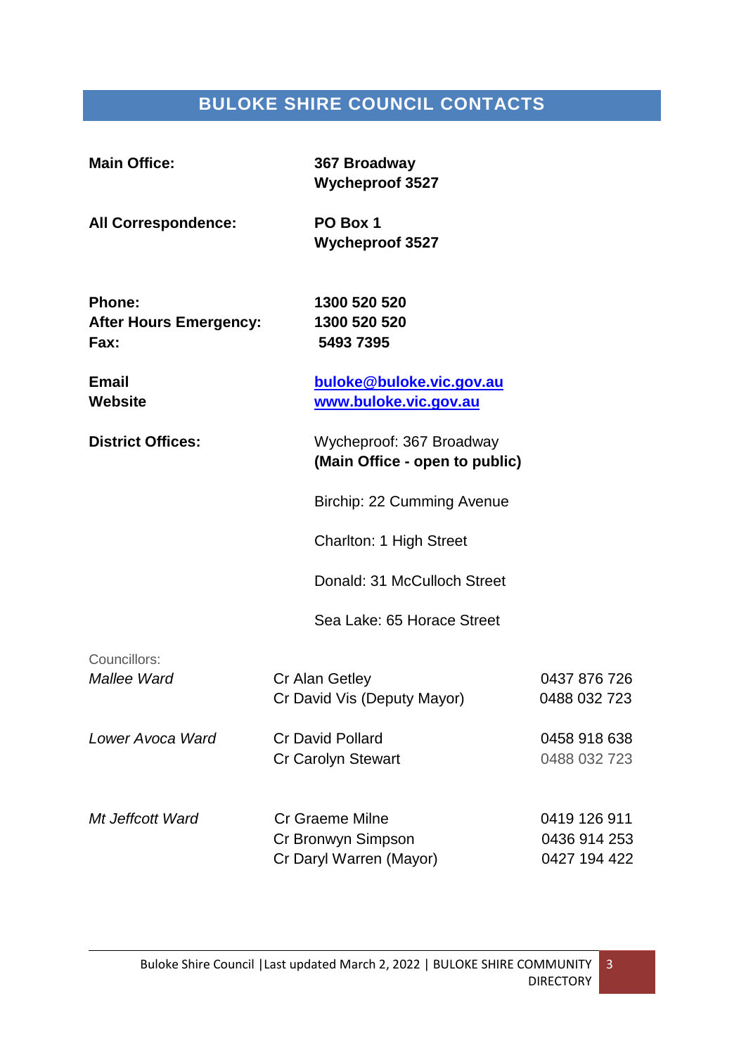# **BULOKE SHIRE COUNCIL CONTACTS**

<span id="page-2-0"></span>

| <b>Main Office:</b>                                    | 367 Broadway<br><b>Wycheproof 3527</b>                                  |                                              |
|--------------------------------------------------------|-------------------------------------------------------------------------|----------------------------------------------|
| <b>All Correspondence:</b>                             | PO Box 1<br><b>Wycheproof 3527</b>                                      |                                              |
| <b>Phone:</b><br><b>After Hours Emergency:</b><br>Fax: | 1300 520 520<br>1300 520 520<br>5493 7395                               |                                              |
| <b>Email</b><br><b>Website</b>                         | buloke@buloke.vic.gov.au<br>www.buloke.vic.gov.au                       |                                              |
| <b>District Offices:</b>                               | Wycheproof: 367 Broadway<br>(Main Office - open to public)              |                                              |
|                                                        | Birchip: 22 Cumming Avenue                                              |                                              |
|                                                        | <b>Charlton: 1 High Street</b>                                          |                                              |
|                                                        | Donald: 31 McCulloch Street                                             |                                              |
|                                                        | Sea Lake: 65 Horace Street                                              |                                              |
| Councillors:<br>Mallee Ward                            | Cr Alan Getley<br>Cr David Vis (Deputy Mayor)                           | 0437 876 726<br>0488 032 723                 |
| Lower Avoca Ward                                       | <b>Cr David Pollard</b><br><b>Cr Carolyn Stewart</b>                    | 0458 918 638<br>0488 032 723                 |
| Mt Jeffcott Ward                                       | <b>Cr Graeme Milne</b><br>Cr Bronwyn Simpson<br>Cr Daryl Warren (Mayor) | 0419 126 911<br>0436 914 253<br>0427 194 422 |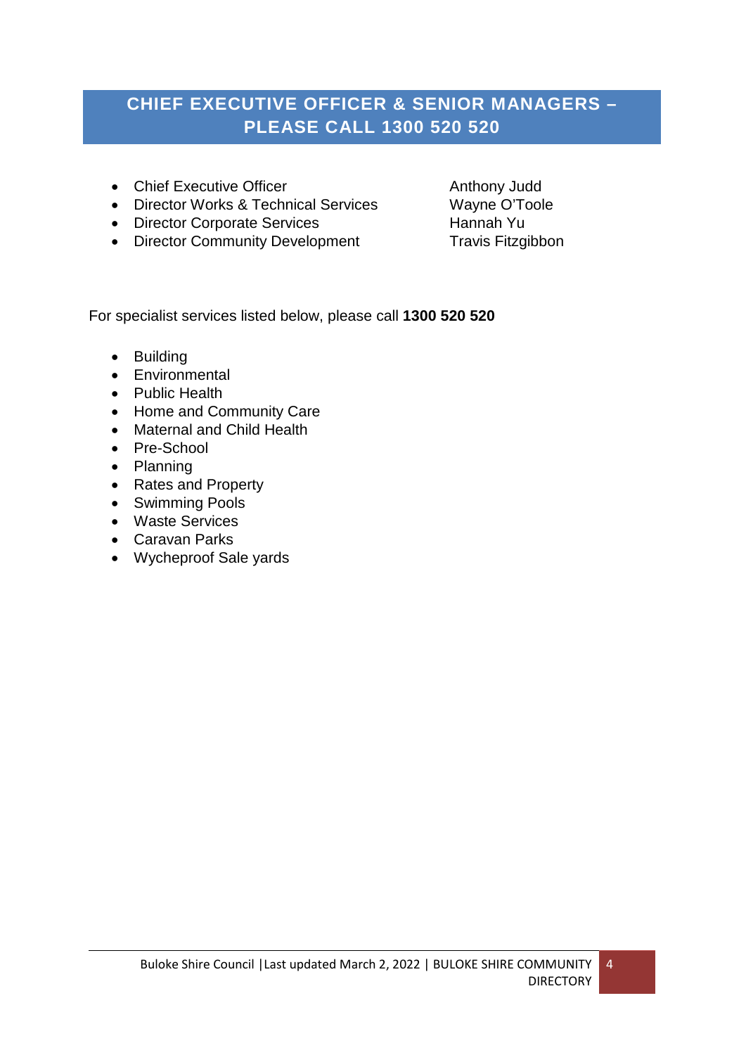# <span id="page-3-0"></span>**CHIEF EXECUTIVE OFFICER & SENIOR MANAGERS – PLEASE CALL 1300 520 520**

- Chief Executive Officer **Anthony Judd**
- Director Works & Technical Services Wayne O'Toole
- Director Corporate Services Hannah Yu
- Director Community Development Travis Fitzgibbon

For specialist services listed below, please call **1300 520 520**

- Building
- Environmental
- Public Health
- Home and Community Care
- Maternal and Child Health
- Pre-School
- Planning
- Rates and Property
- Swimming Pools
- Waste Services
- Caravan Parks
- Wycheproof Sale yards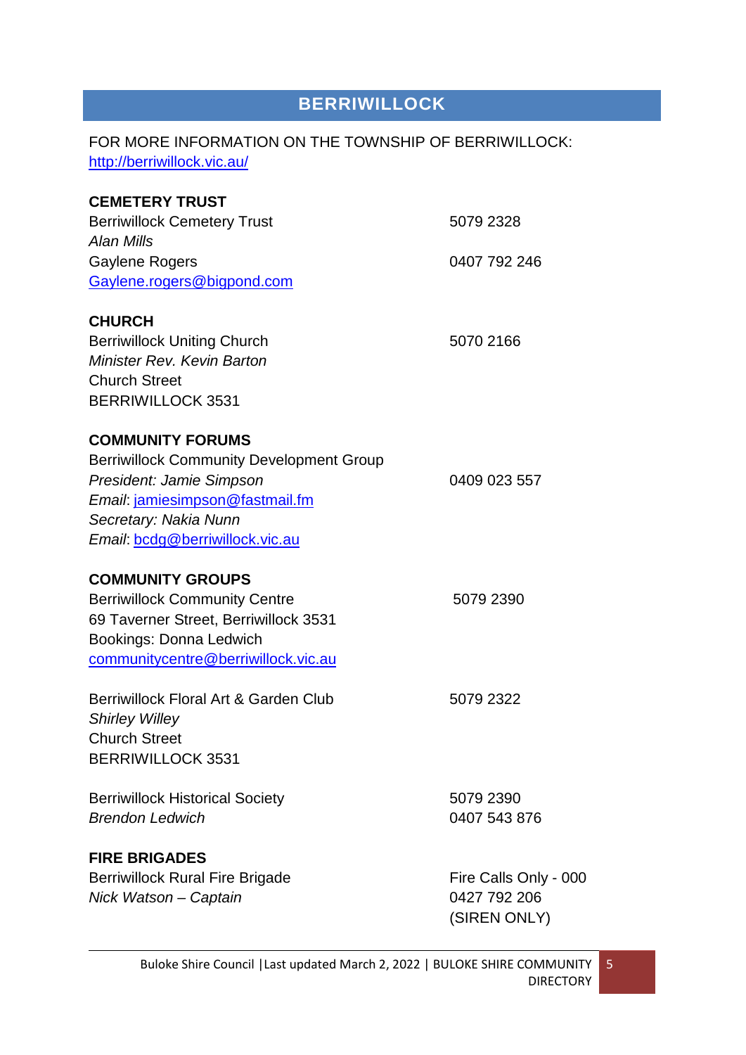# **BERRIWILLOCK**

# <span id="page-4-0"></span>FOR MORE INFORMATION ON THE TOWNSHIP OF BERRIWILLOCK: <http://berriwillock.vic.au/>

| <b>CEMETERY TRUST</b>                           |                       |
|-------------------------------------------------|-----------------------|
| <b>Berriwillock Cemetery Trust</b>              | 5079 2328             |
| Alan Mills                                      |                       |
| <b>Gaylene Rogers</b>                           | 0407 792 246          |
| Gaylene.rogers@bigpond.com                      |                       |
| <b>CHURCH</b>                                   |                       |
| <b>Berriwillock Uniting Church</b>              | 5070 2166             |
| <b>Minister Rev. Kevin Barton</b>               |                       |
| <b>Church Street</b>                            |                       |
| <b>BERRIWILLOCK 3531</b>                        |                       |
| <b>COMMUNITY FORUMS</b>                         |                       |
| <b>Berriwillock Community Development Group</b> |                       |
| President: Jamie Simpson                        | 0409 023 557          |
| Email: jamiesimpson@fastmail.fm                 |                       |
| Secretary: Nakia Nunn                           |                       |
| Email: bcdg@berriwillock.vic.au                 |                       |
| <b>COMMUNITY GROUPS</b>                         |                       |
| <b>Berriwillock Community Centre</b>            | 5079 2390             |
| 69 Taverner Street, Berriwillock 3531           |                       |
| Bookings: Donna Ledwich                         |                       |
| communitycentre@berriwillock.vic.au             |                       |
| Berriwillock Floral Art & Garden Club           | 5079 2322             |
| <b>Shirley Willey</b>                           |                       |
| <b>Church Street</b>                            |                       |
| <b>BERRIWILLOCK 3531</b>                        |                       |
| <b>Berriwillock Historical Society</b>          | 5079 2390             |
| <b>Brendon Ledwich</b>                          | 0407 543 876          |
| <b>FIRE BRIGADES</b>                            |                       |
| <b>Berriwillock Rural Fire Brigade</b>          | Fire Calls Only - 000 |
| Nick Watson - Captain                           | 0427 792 206          |
|                                                 | (SIREN ONLY)          |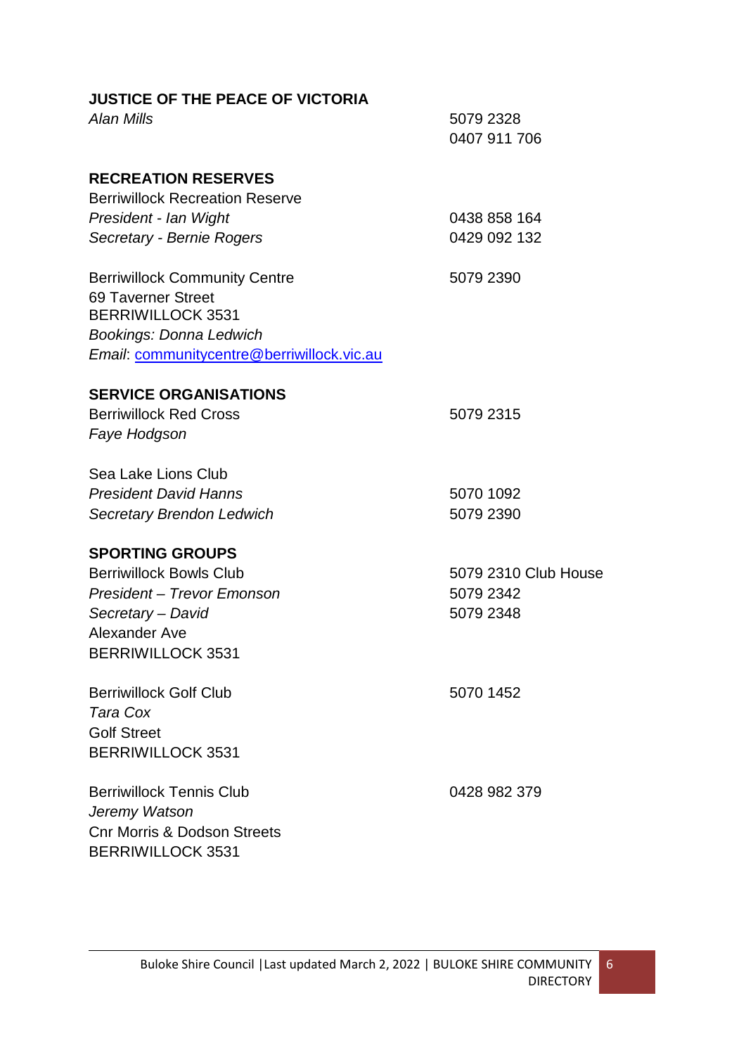| <b>JUSTICE OF THE PEACE OF VICTORIA</b><br>Alan Mills | 5079 2328<br>0407 911 706    |
|-------------------------------------------------------|------------------------------|
|                                                       |                              |
| <b>RECREATION RESERVES</b>                            |                              |
| <b>Berriwillock Recreation Reserve</b>                |                              |
| President - Ian Wight                                 | 0438 858 164<br>0429 092 132 |
| Secretary - Bernie Rogers                             |                              |
| <b>Berriwillock Community Centre</b>                  | 5079 2390                    |
| 69 Taverner Street                                    |                              |
| <b>BERRIWILLOCK 3531</b>                              |                              |
| <b>Bookings: Donna Ledwich</b>                        |                              |
| Email: communitycentre@berriwillock.vic.au            |                              |
| <b>SERVICE ORGANISATIONS</b>                          |                              |
| <b>Berriwillock Red Cross</b>                         | 5079 2315                    |
| Faye Hodgson                                          |                              |
| Sea Lake Lions Club                                   |                              |
| <b>President David Hanns</b>                          | 5070 1092                    |
| <b>Secretary Brendon Ledwich</b>                      | 5079 2390                    |
| <b>SPORTING GROUPS</b>                                |                              |
| <b>Berriwillock Bowls Club</b>                        | 5079 2310 Club House         |
| President – Trevor Emonson                            | 5079 2342                    |
| Secretary - David                                     | 5079 2348                    |
| Alexander Ave                                         |                              |
| <b>BERRIWILLOCK 3531</b>                              |                              |
| <b>Berriwillock Golf Club</b>                         | 5070 1452                    |
| Tara Cox                                              |                              |
| <b>Golf Street</b>                                    |                              |
| <b>BERRIWILLOCK 3531</b>                              |                              |
| <b>Berriwillock Tennis Club</b>                       | 0428 982 379                 |
| Jeremy Watson                                         |                              |
| <b>Cnr Morris &amp; Dodson Streets</b>                |                              |
| <b>BERRIWILLOCK 3531</b>                              |                              |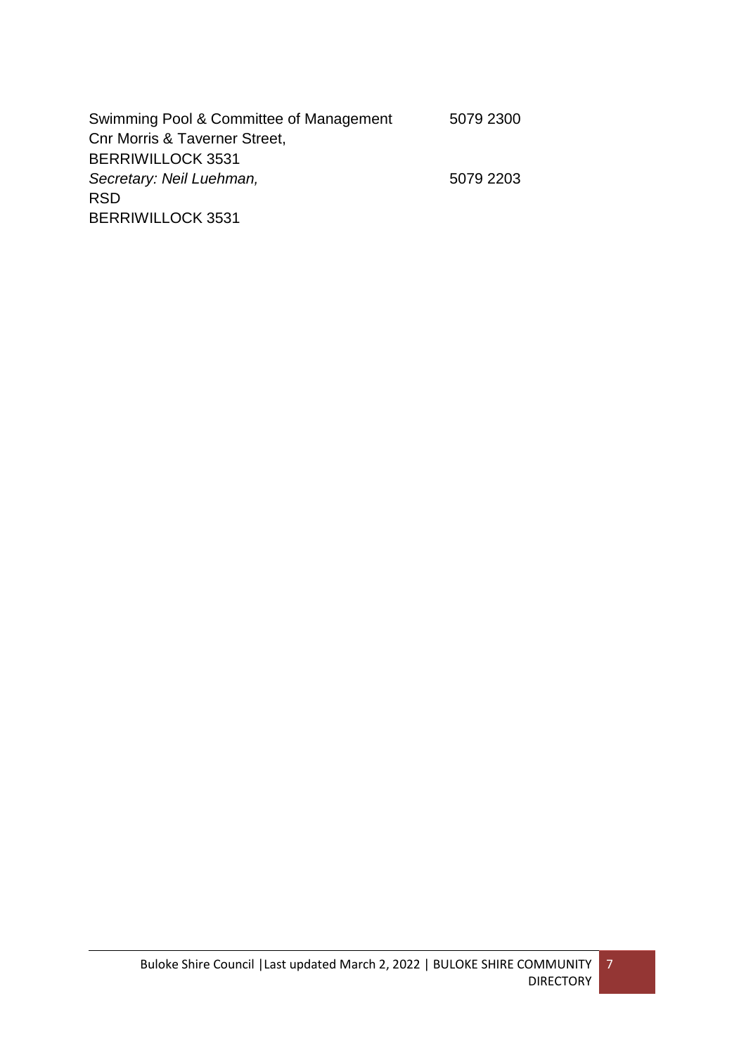| Swimming Pool & Committee of Management  | 5079 2300 |
|------------------------------------------|-----------|
| <b>Cnr Morris &amp; Taverner Street,</b> |           |
| <b>BERRIWILLOCK 3531</b>                 |           |
| Secretary: Neil Luehman,                 | 5079 2203 |
| <b>RSD</b>                               |           |
| <b>BERRIWILLOCK 3531</b>                 |           |
|                                          |           |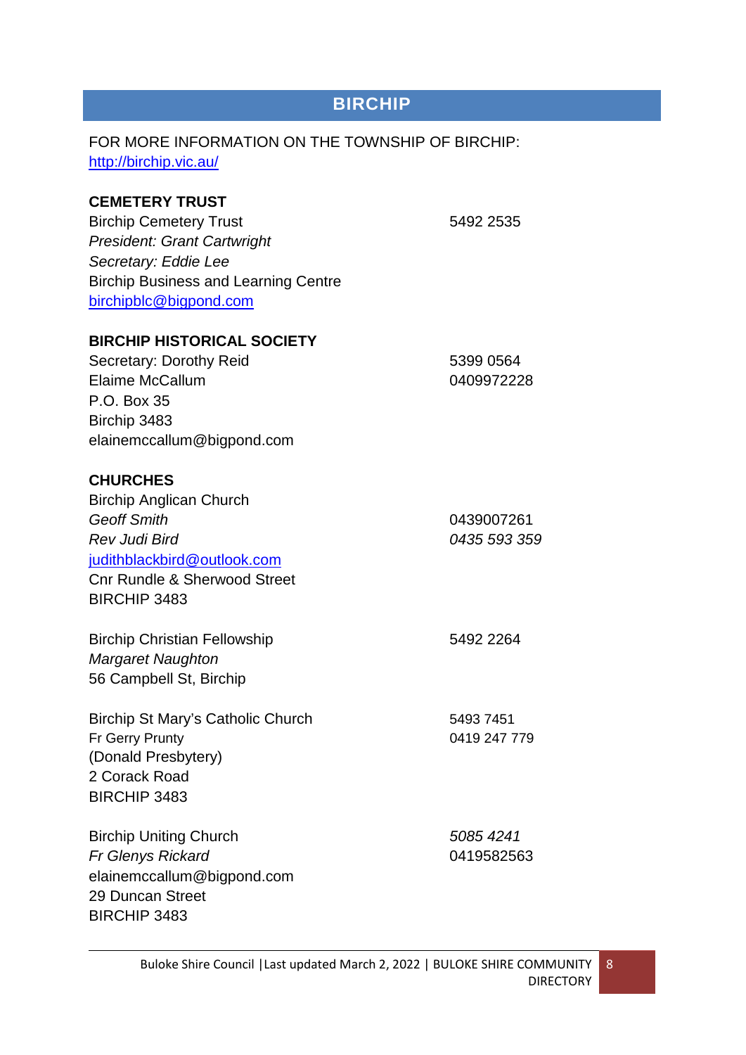# **BIRCHIP**

# <span id="page-7-0"></span>FOR MORE INFORMATION ON THE TOWNSHIP OF BIRCHIP: <http://birchip.vic.au/>

# **CEMETERY TRUST**

Birchip Cemetery Trust 5492 2535 *President: Grant Cartwright Secretary: Eddie Lee* Birchip Business and Learning Centre [birchipblc@bigpond.com](mailto:birchipblc@bigpond.com)

### **BIRCHIP HISTORICAL SOCIETY**

Secretary: Dorothy Reid 5399 0564 Elaime McCallum 0409972228 P.O. Box 35 Birchip 3483 elainemccallum@bigpond.com

# **CHURCHES**

| <b>Birchip Anglican Church</b>    |              |
|-----------------------------------|--------------|
| <b>Geoff Smith</b>                | 0439007261   |
| Rev Judi Bird                     | 0435 593 359 |
| judithblackbird@outlook.com       |              |
| Cnr Rundle & Sherwood Street      |              |
| <b>BIRCHIP 3483</b>               |              |
| Birchip Christian Fellowship      | 5492 2264    |
| <b>Margaret Naughton</b>          |              |
| 56 Campbell St, Birchip           |              |
| Birchip St Mary's Catholic Church | 54937451     |
| Fr Gerry Prunty                   | 0419 247 779 |
| (Danald Draw a <b>bin</b>         |              |

(Donald Presbytery) 2 Corack Road BIRCHIP 3483

Birchip Uniting Church *5085 4241 Fr Glenys Rickard* 0419582563 elainemccallum@bigpond.com 29 Duncan Street BIRCHIP 3483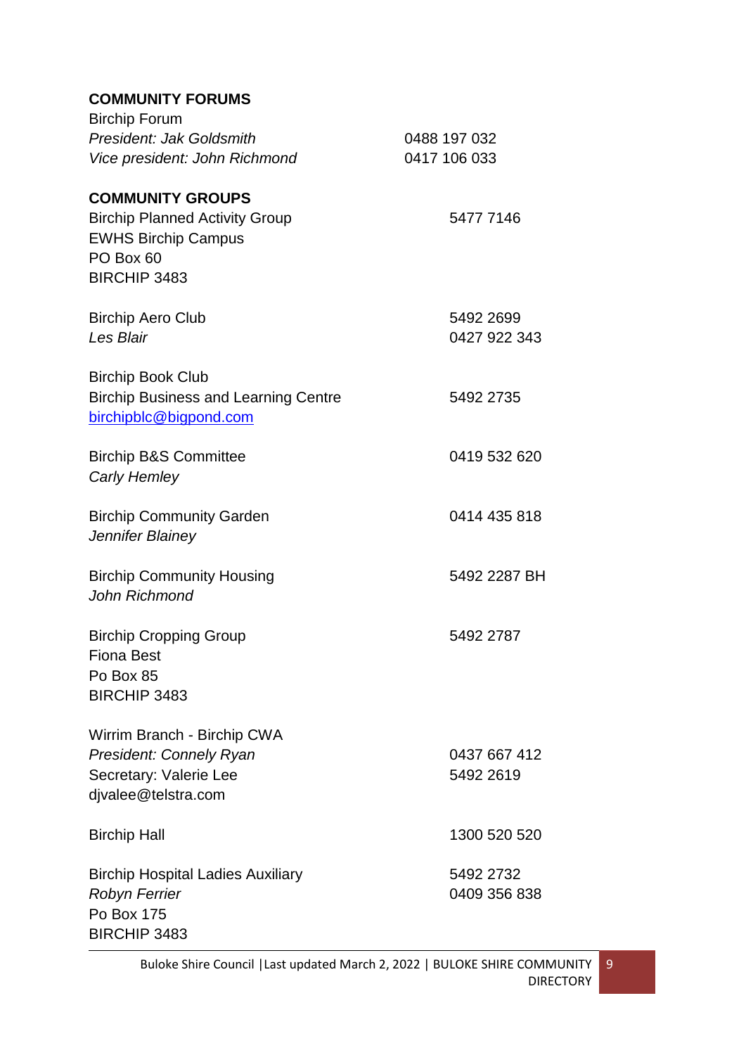# **COMMUNITY FORUMS**

| <b>Birchip Forum</b><br>President: Jak Goldsmith<br>Vice president: John Richmond                                           | 0488 197 032<br>0417 106 033 |
|-----------------------------------------------------------------------------------------------------------------------------|------------------------------|
| <b>COMMUNITY GROUPS</b><br><b>Birchip Planned Activity Group</b><br><b>EWHS Birchip Campus</b><br>PO Box 60<br>BIRCHIP 3483 | 5477 7146                    |
| <b>Birchip Aero Club</b><br>Les Blair                                                                                       | 5492 2699<br>0427 922 343    |
| <b>Birchip Book Club</b><br><b>Birchip Business and Learning Centre</b><br>birchipblc@bigpond.com                           | 5492 2735                    |
| <b>Birchip B&amp;S Committee</b><br><b>Carly Hemley</b>                                                                     | 0419 532 620                 |
| <b>Birchip Community Garden</b><br>Jennifer Blainey                                                                         | 0414 435 818                 |
| <b>Birchip Community Housing</b><br>John Richmond                                                                           | 5492 2287 BH                 |
| <b>Birchip Cropping Group</b><br><b>Fiona Best</b><br>Po Box 85<br>BIRCHIP 3483                                             | 5492 2787                    |
| Wirrim Branch - Birchip CWA<br><b>President: Connely Ryan</b><br>Secretary: Valerie Lee<br>djvalee@telstra.com              | 0437 667 412<br>5492 2619    |
| <b>Birchip Hall</b>                                                                                                         | 1300 520 520                 |
| <b>Birchip Hospital Ladies Auxiliary</b><br><b>Robyn Ferrier</b><br>Po Box 175<br>BIRCHIP 3483                              | 5492 2732<br>0409 356 838    |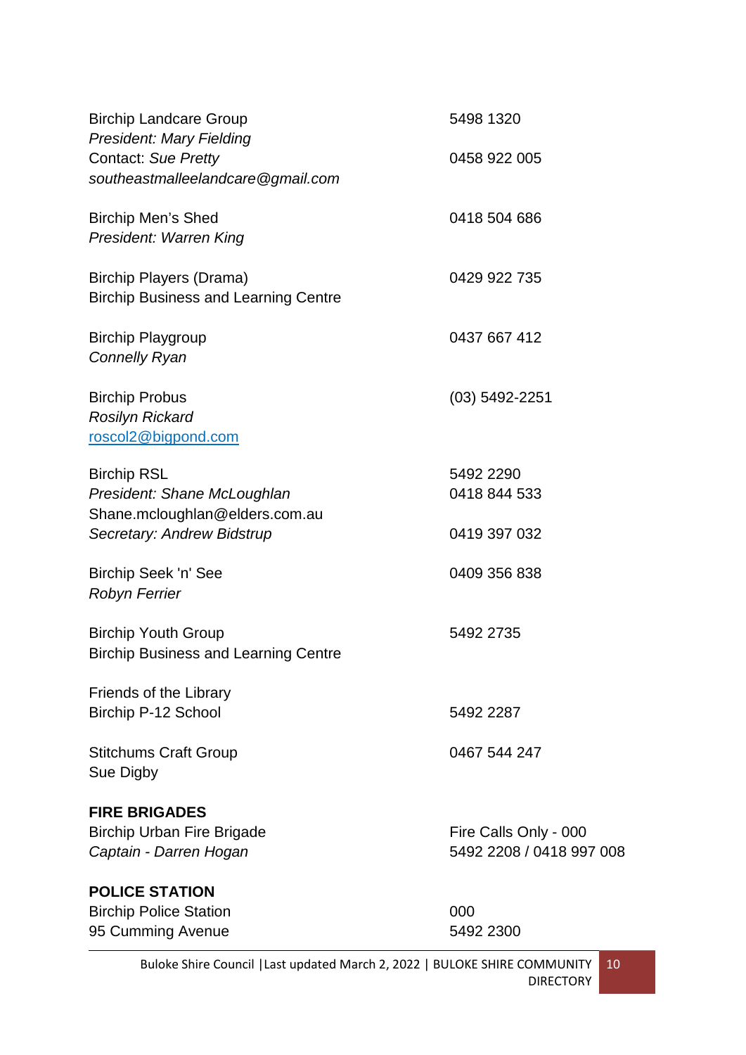| <b>Birchip Landcare Group</b>                                                               | 5498 1320                                         |
|---------------------------------------------------------------------------------------------|---------------------------------------------------|
| <b>President: Mary Fielding</b><br>Contact: Sue Pretty<br>southeastmalleelandcare@gmail.com | 0458 922 005                                      |
| <b>Birchip Men's Shed</b><br>President: Warren King                                         | 0418 504 686                                      |
| Birchip Players (Drama)<br><b>Birchip Business and Learning Centre</b>                      | 0429 922 735                                      |
| <b>Birchip Playgroup</b><br><b>Connelly Ryan</b>                                            | 0437 667 412                                      |
| <b>Birchip Probus</b><br><b>Rosilyn Rickard</b><br>roscol2@bigpond.com                      | $(03)$ 5492-2251                                  |
| <b>Birchip RSL</b><br>President: Shane McLoughlan<br>Shane.mcloughlan@elders.com.au         | 5492 2290<br>0418 844 533                         |
| Secretary: Andrew Bidstrup                                                                  | 0419 397 032                                      |
| Birchip Seek 'n' See<br><b>Robyn Ferrier</b>                                                | 0409 356 838                                      |
| <b>Birchip Youth Group</b><br><b>Birchip Business and Learning Centre</b>                   | 5492 2735                                         |
| Friends of the Library<br>Birchip P-12 School                                               | 5492 2287                                         |
| <b>Stitchums Craft Group</b><br>Sue Digby                                                   | 0467 544 247                                      |
| <b>FIRE BRIGADES</b><br><b>Birchip Urban Fire Brigade</b><br>Captain - Darren Hogan         | Fire Calls Only - 000<br>5492 2208 / 0418 997 008 |
| <b>POLICE STATION</b><br><b>Birchip Police Station</b><br>95 Cumming Avenue                 | 000<br>5492 2300                                  |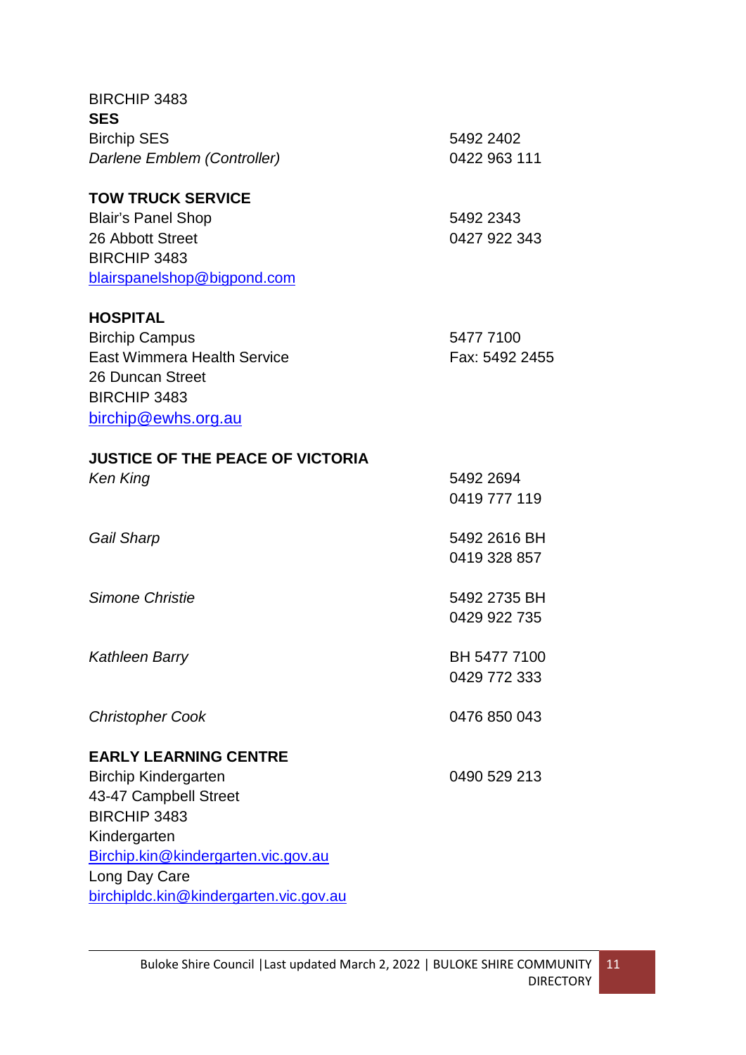| <b>BIRCHIP 3483</b>                     |                |
|-----------------------------------------|----------------|
| <b>SES</b>                              |                |
| <b>Birchip SES</b>                      | 5492 2402      |
| Darlene Emblem (Controller)             | 0422 963 111   |
| <b>TOW TRUCK SERVICE</b>                |                |
| <b>Blair's Panel Shop</b>               | 5492 2343      |
| 26 Abbott Street                        | 0427 922 343   |
| <b>BIRCHIP 3483</b>                     |                |
| blairspanelshop@bigpond.com             |                |
| <b>HOSPITAL</b>                         |                |
| <b>Birchip Campus</b>                   | 5477 7100      |
| <b>East Wimmera Health Service</b>      | Fax: 5492 2455 |
| 26 Duncan Street                        |                |
| <b>BIRCHIP 3483</b>                     |                |
| birchip@ewhs.org.au                     |                |
| <b>JUSTICE OF THE PEACE OF VICTORIA</b> |                |
| Ken King                                | 5492 2694      |
|                                         | 0419 777 119   |
| Gail Sharp                              | 5492 2616 BH   |
|                                         | 0419 328 857   |
| Simone Christie                         | 5492 2735 BH   |
|                                         | 0429 922 735   |
| <b>Kathleen Barry</b>                   | BH 5477 7100   |
|                                         | 0429 772 333   |
|                                         |                |
| <b>Christopher Cook</b>                 | 0476 850 043   |
| <b>EARLY LEARNING CENTRE</b>            |                |
| <b>Birchip Kindergarten</b>             | 0490 529 213   |
| 43-47 Campbell Street                   |                |
| <b>BIRCHIP 3483</b>                     |                |
| Kindergarten                            |                |
| Birchip.kin@kindergarten.vic.gov.au     |                |
| Long Day Care                           |                |
| birchipldc.kin@kindergarten.vic.gov.au  |                |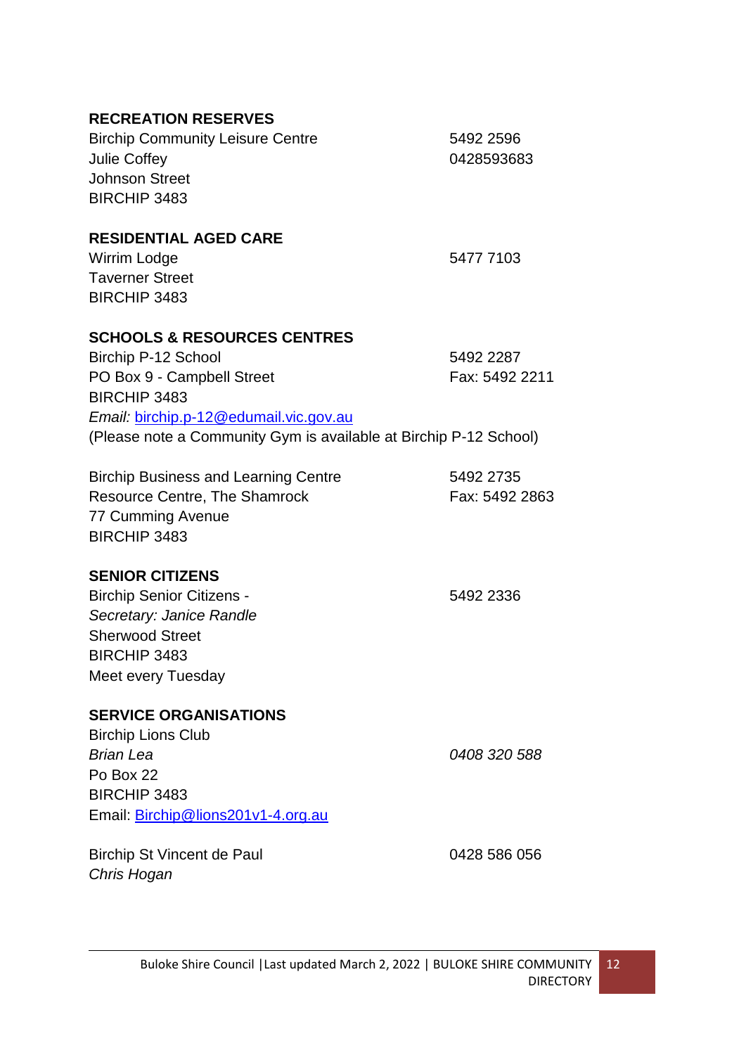| <b>RECREATION RESERVES</b><br><b>Birchip Community Leisure Centre</b><br><b>Julie Coffey</b><br><b>Johnson Street</b><br><b>BIRCHIP 3483</b>                                                                                      | 5492 2596<br>0428593683     |
|-----------------------------------------------------------------------------------------------------------------------------------------------------------------------------------------------------------------------------------|-----------------------------|
| <b>RESIDENTIAL AGED CARE</b><br>Wirrim Lodge<br><b>Taverner Street</b><br><b>BIRCHIP 3483</b>                                                                                                                                     | 5477 7103                   |
| <b>SCHOOLS &amp; RESOURCES CENTRES</b><br>Birchip P-12 School<br>PO Box 9 - Campbell Street<br><b>BIRCHIP 3483</b><br>Email: birchip.p-12@edumail.vic.gov.au<br>(Please note a Community Gym is available at Birchip P-12 School) | 5492 2287<br>Fax: 5492 2211 |
| <b>Birchip Business and Learning Centre</b><br><b>Resource Centre, The Shamrock</b><br>77 Cumming Avenue<br><b>BIRCHIP 3483</b>                                                                                                   | 5492 2735<br>Fax: 5492 2863 |
| <b>SENIOR CITIZENS</b><br><b>Birchip Senior Citizens -</b><br>Secretary: Janice Randle<br><b>Sherwood Street</b><br>BIRCHIP 3483<br>Meet every Tuesday                                                                            | 5492 2336                   |
| <b>SERVICE ORGANISATIONS</b><br><b>Birchip Lions Club</b><br><b>Brian Lea</b><br>Po Box 22<br><b>BIRCHIP 3483</b><br>Email: Birchip@lions201v1-4.org.au                                                                           | 0408 320 588                |
| Birchip St Vincent de Paul<br>Chris Hogan                                                                                                                                                                                         | 0428 586 056                |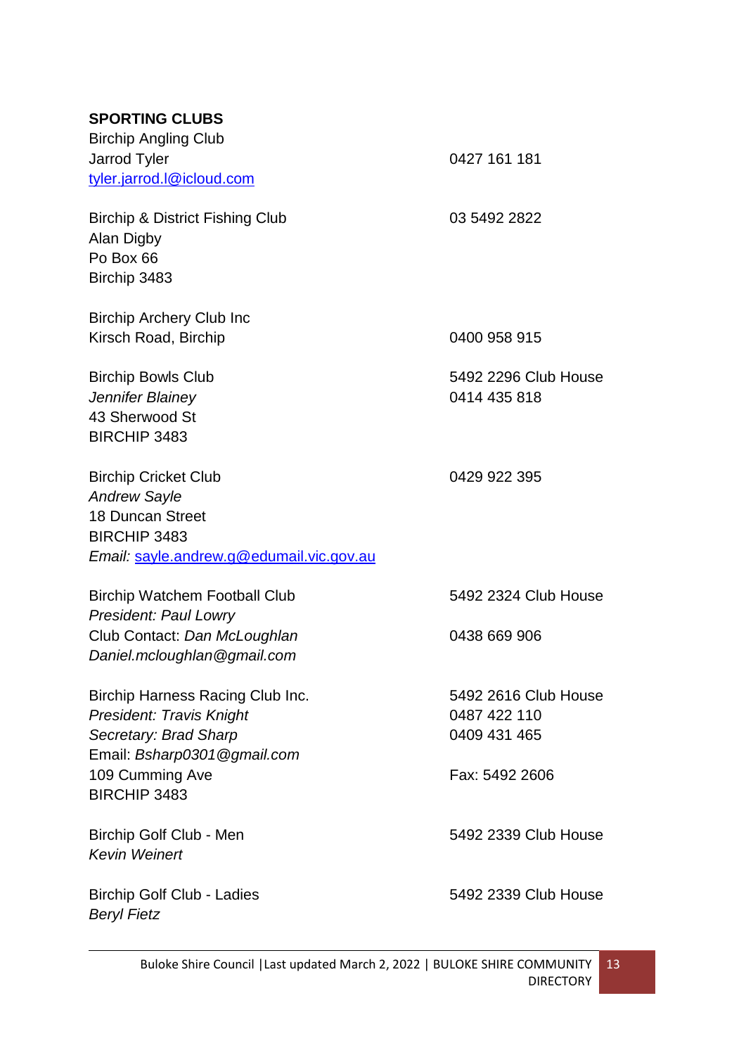# **SPORTING CLUBS**

| <b>Birchip Angling Club</b><br>Jarrod Tyler<br>tyler.jarrod.l@icloud.com                                                                                       | 0427 161 181                                                           |
|----------------------------------------------------------------------------------------------------------------------------------------------------------------|------------------------------------------------------------------------|
| <b>Birchip &amp; District Fishing Club</b><br>Alan Digby<br>Po Box 66<br>Birchip 3483                                                                          | 03 5492 2822                                                           |
| <b>Birchip Archery Club Inc</b><br>Kirsch Road, Birchip                                                                                                        | 0400 958 915                                                           |
| <b>Birchip Bowls Club</b><br>Jennifer Blainey<br>43 Sherwood St<br><b>BIRCHIP 3483</b>                                                                         | 5492 2296 Club House<br>0414 435 818                                   |
| <b>Birchip Cricket Club</b><br><b>Andrew Sayle</b><br><b>18 Duncan Street</b><br><b>BIRCHIP 3483</b><br>Email: sayle.andrew.g@edumail.vic.gov.au               | 0429 922 395                                                           |
| <b>Birchip Watchem Football Club</b><br><b>President: Paul Lowry</b><br>Club Contact: Dan McLoughlan<br>Daniel.mcloughlan@gmail.com                            | 5492 2324 Club House<br>0438 669 906                                   |
| Birchip Harness Racing Club Inc.<br>President: Travis Knight<br>Secretary: Brad Sharp<br>Email: Bsharp0301@gmail.com<br>109 Cumming Ave<br><b>BIRCHIP 3483</b> | 5492 2616 Club House<br>0487 422 110<br>0409 431 465<br>Fax: 5492 2606 |
| Birchip Golf Club - Men<br><b>Kevin Weinert</b>                                                                                                                | 5492 2339 Club House                                                   |
| <b>Birchip Golf Club - Ladies</b><br><b>Beryl Fietz</b>                                                                                                        | 5492 2339 Club House                                                   |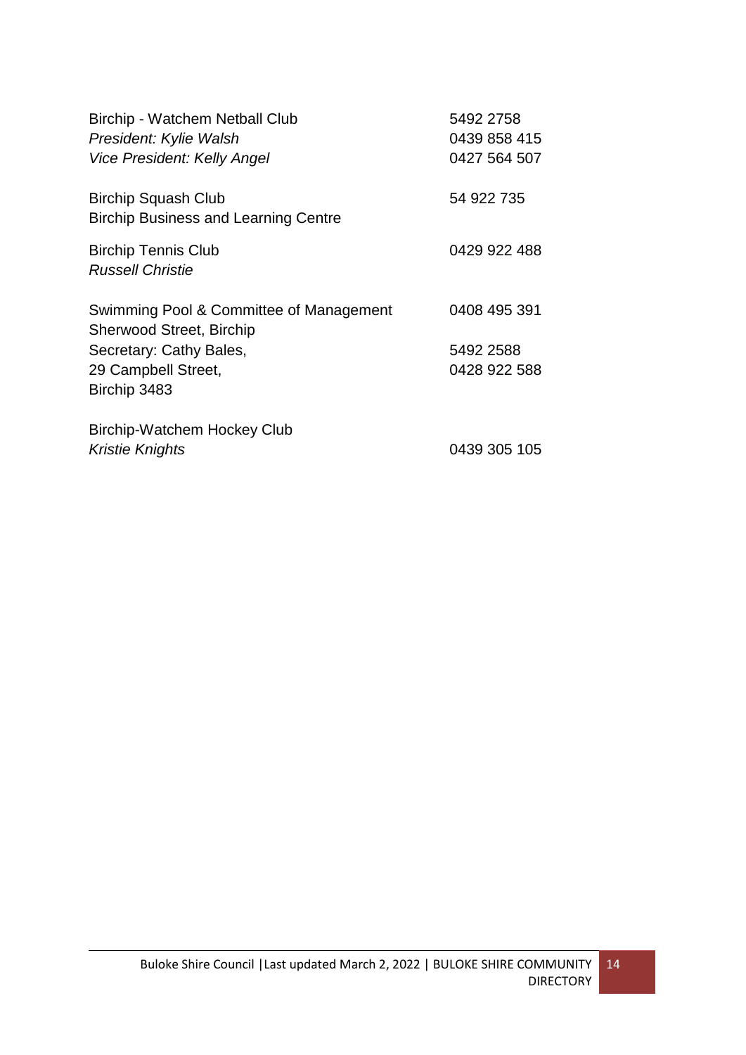| Birchip - Watchem Netball Club<br>President: Kylie Walsh<br>Vice President: Kelly Angel | 5492 2758<br>0439 858 415<br>0427 564 507 |
|-----------------------------------------------------------------------------------------|-------------------------------------------|
| <b>Birchip Squash Club</b><br><b>Birchip Business and Learning Centre</b>               | 54 922 735                                |
| <b>Birchip Tennis Club</b><br><b>Russell Christie</b>                                   | 0429 922 488                              |
| Swimming Pool & Committee of Management<br><b>Sherwood Street, Birchip</b>              | 0408 495 391                              |
| Secretary: Cathy Bales,                                                                 | 5492 2588                                 |
| 29 Campbell Street,<br>Birchip 3483                                                     | 0428 922 588                              |
| Birchip-Watchem Hockey Club                                                             |                                           |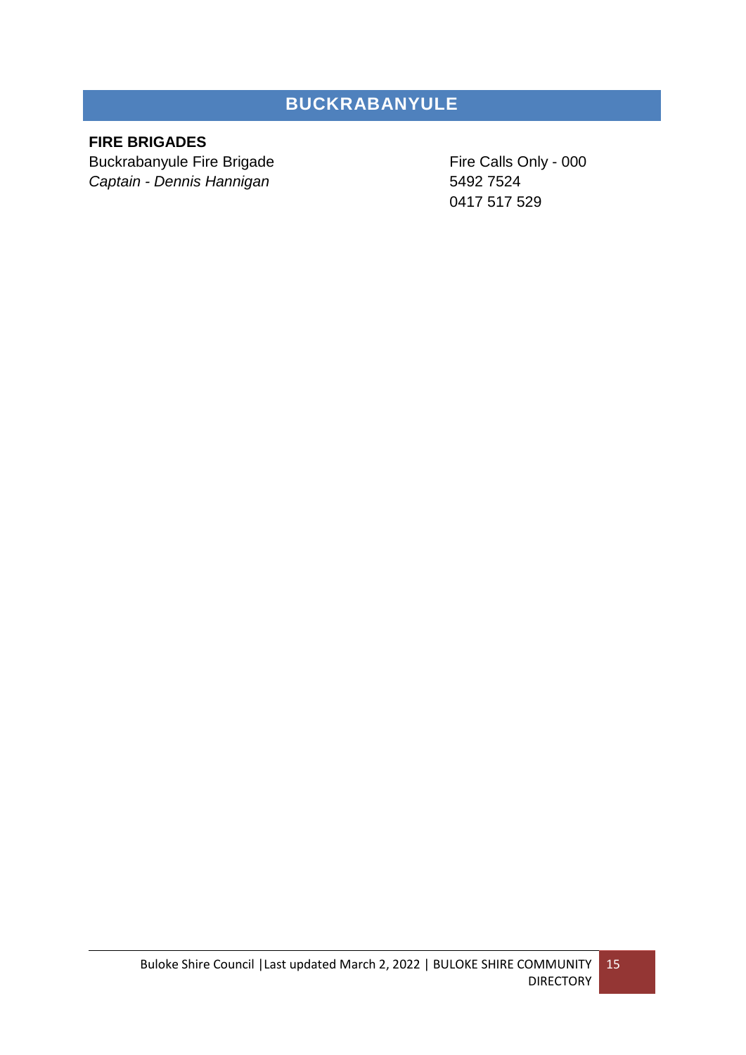# **BUCKRABANYULE**

# <span id="page-14-0"></span>**FIRE BRIGADES**

Buckrabanyule Fire Brigade Fire Calls Only - 000 *Captain - Dennis Hannigan* 5492 7524

0417 517 529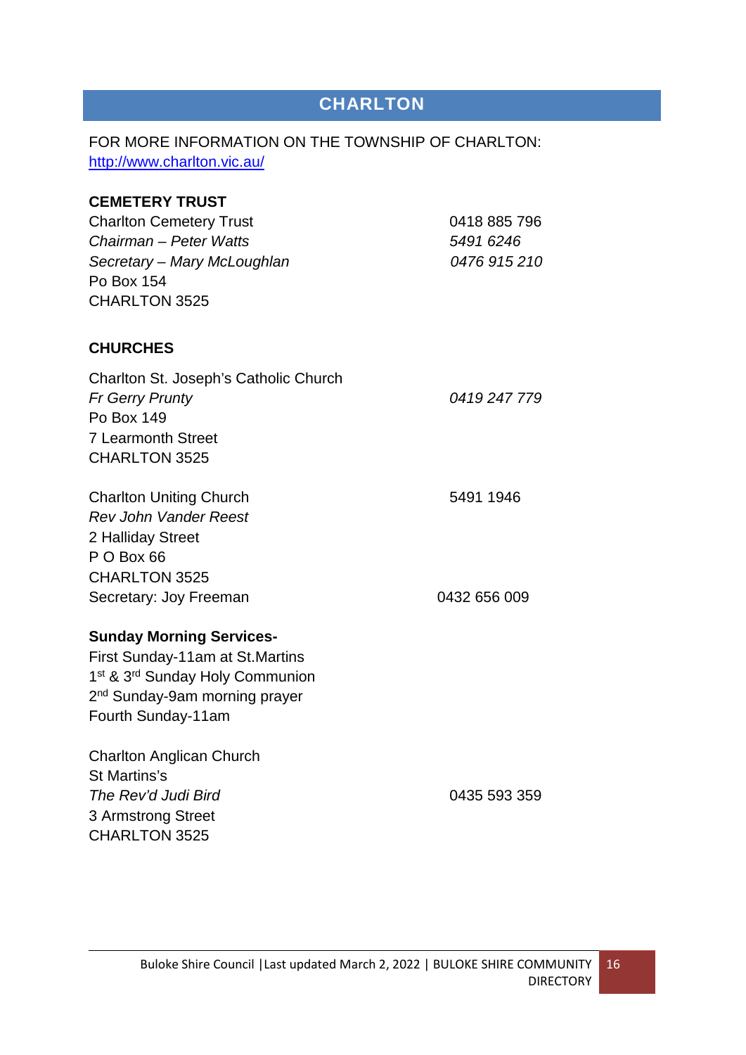# **CHARLTON**

# <span id="page-15-0"></span>FOR MORE INFORMATION ON THE TOWNSHIP OF CHARLTON: <http://www.charlton.vic.au/>

| <b>CEMETERY TRUST</b>                                   |              |
|---------------------------------------------------------|--------------|
| <b>Charlton Cemetery Trust</b>                          | 0418 885 796 |
| Chairman - Peter Watts                                  | 5491 6246    |
| Secretary - Mary McLoughlan                             | 0476 915 210 |
| Po Box 154                                              |              |
| CHARLTON 3525                                           |              |
| <b>CHURCHES</b>                                         |              |
| Charlton St. Joseph's Catholic Church                   |              |
| <b>Fr Gerry Prunty</b>                                  | 0419 247 779 |
| Po Box 149                                              |              |
| <b>7 Learmonth Street</b>                               |              |
| <b>CHARLTON 3525</b>                                    |              |
| <b>Charlton Uniting Church</b>                          | 5491 1946    |
| <b>Rev John Vander Reest</b>                            |              |
| 2 Halliday Street                                       |              |
| P O Box 66                                              |              |
| CHARLTON 3525                                           |              |
| Secretary: Joy Freeman                                  | 0432 656 009 |
| <b>Sunday Morning Services-</b>                         |              |
| First Sunday-11am at St. Martins                        |              |
| 1 <sup>st</sup> & 3 <sup>rd</sup> Sunday Holy Communion |              |
| 2 <sup>nd</sup> Sunday-9am morning prayer               |              |
| Fourth Sunday-11am                                      |              |
| <b>Charlton Anglican Church</b>                         |              |
| St Martins's                                            |              |
| The Rev'd Judi Bird                                     | 0435 593 359 |
| 3 Armstrong Street                                      |              |
| <b>CHARLTON 3525</b>                                    |              |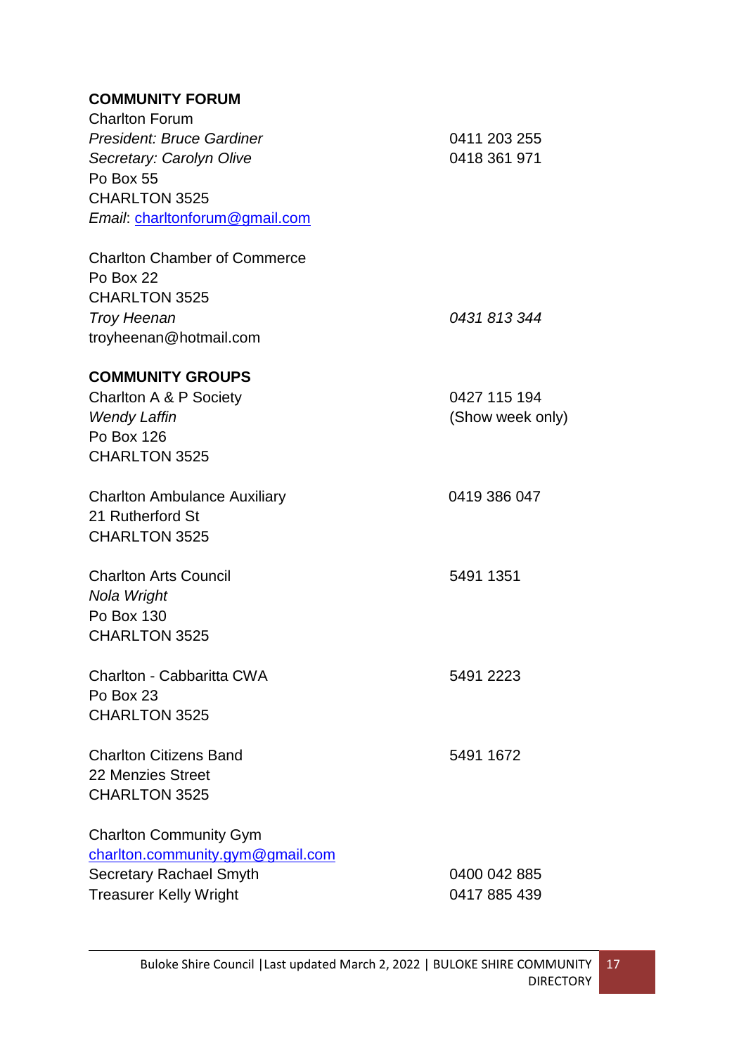# **COMMUNITY FORUM**

| <b>Charlton Forum</b>               |                  |
|-------------------------------------|------------------|
| <b>President: Bruce Gardiner</b>    | 0411 203 255     |
| Secretary: Carolyn Olive            | 0418 361 971     |
| Po Box 55                           |                  |
| <b>CHARLTON 3525</b>                |                  |
| Email: charltonforum@gmail.com      |                  |
| <b>Charlton Chamber of Commerce</b> |                  |
| Po Box 22                           |                  |
| <b>CHARLTON 3525</b>                |                  |
| <b>Troy Heenan</b>                  | 0431 813 344     |
| troyheenan@hotmail.com              |                  |
| <b>COMMUNITY GROUPS</b>             |                  |
| Charlton A & P Society              | 0427 115 194     |
| <b>Wendy Laffin</b>                 | (Show week only) |
| Po Box 126                          |                  |
| <b>CHARLTON 3525</b>                |                  |
| <b>Charlton Ambulance Auxiliary</b> | 0419 386 047     |
| 21 Rutherford St                    |                  |
| <b>CHARLTON 3525</b>                |                  |
| <b>Charlton Arts Council</b>        | 5491 1351        |
| Nola Wright                         |                  |
| Po Box 130                          |                  |
| CHARLTON 3525                       |                  |
| Charlton - Cabbaritta CWA           | 5491 2223        |
| Po Box 23                           |                  |
| <b>CHARLTON 3525</b>                |                  |
| <b>Charlton Citizens Band</b>       | 5491 1672        |
| 22 Menzies Street                   |                  |
| <b>CHARLTON 3525</b>                |                  |
| <b>Charlton Community Gym</b>       |                  |
| charlton.community.gym@gmail.com    |                  |
| <b>Secretary Rachael Smyth</b>      | 0400 042 885     |
| <b>Treasurer Kelly Wright</b>       | 0417 885 439     |
|                                     |                  |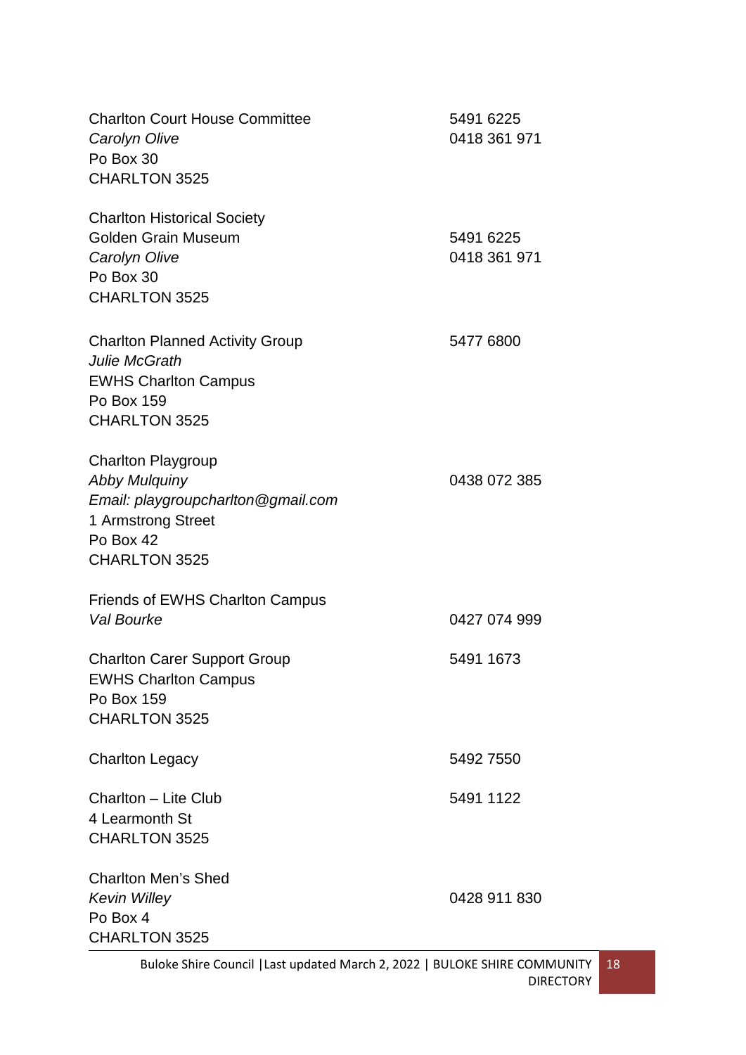| <b>Charlton Court House Committee</b><br>Carolyn Olive<br>Po Box 30<br><b>CHARLTON 3525</b>                                                        | 5491 6225<br>0418 361 971 |
|----------------------------------------------------------------------------------------------------------------------------------------------------|---------------------------|
| <b>Charlton Historical Society</b><br><b>Golden Grain Museum</b><br>Carolyn Olive<br>Po Box 30<br><b>CHARLTON 3525</b>                             | 5491 6225<br>0418 361 971 |
| <b>Charlton Planned Activity Group</b><br><b>Julie McGrath</b><br><b>EWHS Charlton Campus</b><br>Po Box 159<br><b>CHARLTON 3525</b>                | 5477 6800                 |
| <b>Charlton Playgroup</b><br><b>Abby Mulquiny</b><br>Email: playgroupcharlton@gmail.com<br>1 Armstrong Street<br>Po Box 42<br><b>CHARLTON 3525</b> | 0438 072 385              |
| <b>Friends of EWHS Charlton Campus</b><br>Val Bourke                                                                                               | 0427 074 999              |
| <b>Charlton Carer Support Group</b><br><b>EWHS Charlton Campus</b><br>Po Box 159<br><b>CHARLTON 3525</b>                                           | 5491 1673                 |
| <b>Charlton Legacy</b>                                                                                                                             | 5492 7550                 |
| Charlton - Lite Club<br>4 Learmonth St<br><b>CHARLTON 3525</b>                                                                                     | 5491 1122                 |
| <b>Charlton Men's Shed</b><br><b>Kevin Willey</b><br>Po Box 4<br>CHARLTON 3525                                                                     | 0428 911 830              |

#### Buloke Shire Council |Last updated March 2, 2022 | BULOKE SHIRE COMMUNITY DIRECTORY 18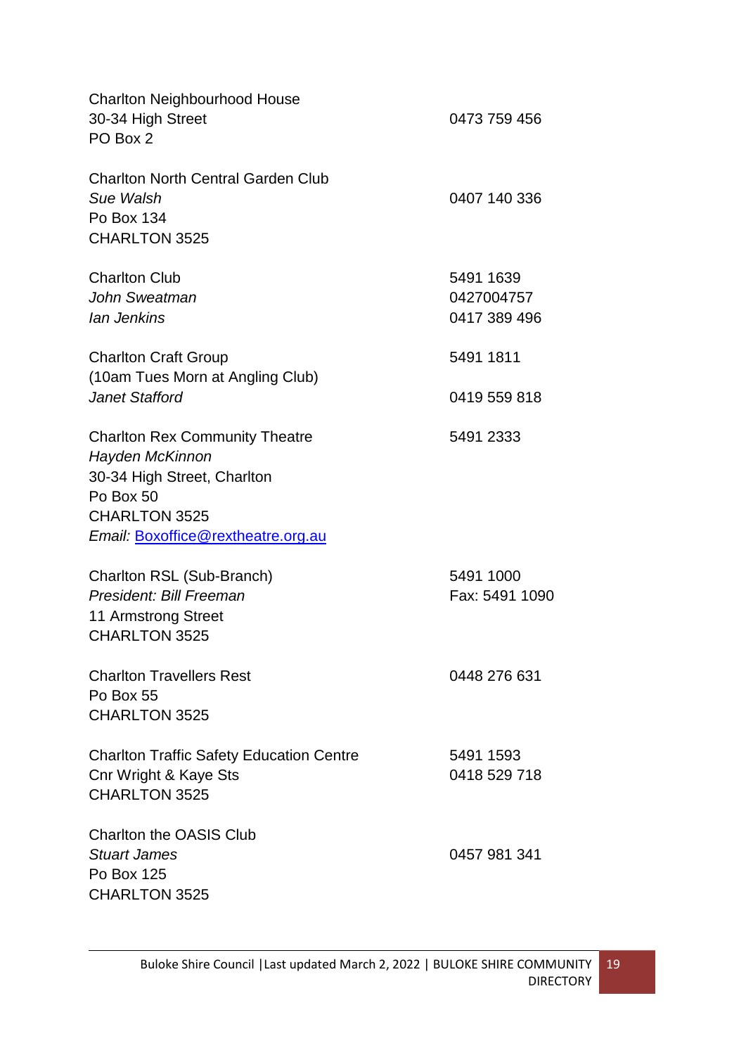| <b>Charlton Neighbourhood House</b><br>30-34 High Street<br>PO Box 2                                                                                               | 0473 759 456                            |
|--------------------------------------------------------------------------------------------------------------------------------------------------------------------|-----------------------------------------|
| <b>Charlton North Central Garden Club</b><br>Sue Walsh<br>Po Box 134<br><b>CHARLTON 3525</b>                                                                       | 0407 140 336                            |
| <b>Charlton Club</b><br>John Sweatman<br>lan Jenkins                                                                                                               | 5491 1639<br>0427004757<br>0417 389 496 |
| <b>Charlton Craft Group</b>                                                                                                                                        | 5491 1811                               |
| (10am Tues Morn at Angling Club)<br><b>Janet Stafford</b>                                                                                                          | 0419 559 818                            |
| <b>Charlton Rex Community Theatre</b><br>Hayden McKinnon<br>30-34 High Street, Charlton<br>Po Box 50<br><b>CHARLTON 3525</b><br>Email: Boxoffice@rextheatre.org.au | 5491 2333                               |
| Charlton RSL (Sub-Branch)<br>President: Bill Freeman<br>11 Armstrong Street<br><b>CHARLTON 3525</b>                                                                | 5491 1000<br>Fax: 5491 1090             |
| <b>Charlton Travellers Rest</b><br>Po Box 55<br><b>CHARLTON 3525</b>                                                                                               | 0448 276 631                            |
| <b>Charlton Traffic Safety Education Centre</b><br>Cnr Wright & Kaye Sts<br><b>CHARLTON 3525</b>                                                                   | 5491 1593<br>0418 529 718               |
| <b>Charlton the OASIS Club</b><br><b>Stuart James</b><br>Po Box 125<br><b>CHARLTON 3525</b>                                                                        | 0457 981 341                            |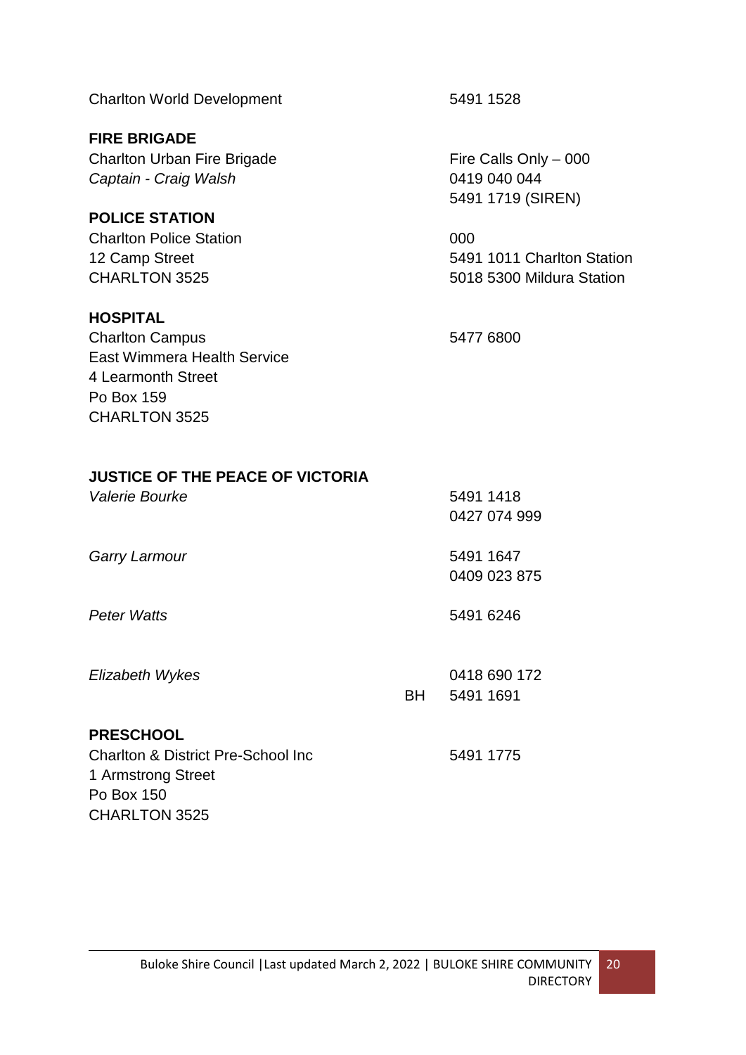Charlton World Development 5491 1528

**FIRE BRIGADE** Charlton Urban Fire Brigade Fire Calls Only – 000 *Captain - Craig Walsh* 0419 040 044

**POLICE STATION** Charlton Police Station 000

### **HOSPITAL**

Charlton Campus 5477 6800 East Wimmera Health Service 4 Learmonth Street Po Box 159 CHARLTON 3525

1 Armstrong Street

CHARLTON 3525

Po Box 150

5491 1719 (SIREN)

12 Camp Street 5491 1011 Charlton Station CHARLTON 3525 5018 5300 Mildura Station

# **JUSTICE OF THE PEACE OF VICTORIA**

| Valerie Bourke                                 |           | 5491 1418    |
|------------------------------------------------|-----------|--------------|
|                                                |           | 0427 074 999 |
| <b>Garry Larmour</b>                           |           | 5491 1647    |
|                                                |           | 0409 023 875 |
| <b>Peter Watts</b>                             |           | 5491 6246    |
| Elizabeth Wykes                                |           | 0418 690 172 |
|                                                | <b>BH</b> | 5491 1691    |
| <b>PRESCHOOL</b>                               |           |              |
| <b>Charlton &amp; District Pre-School Inc.</b> |           | 5491 1775    |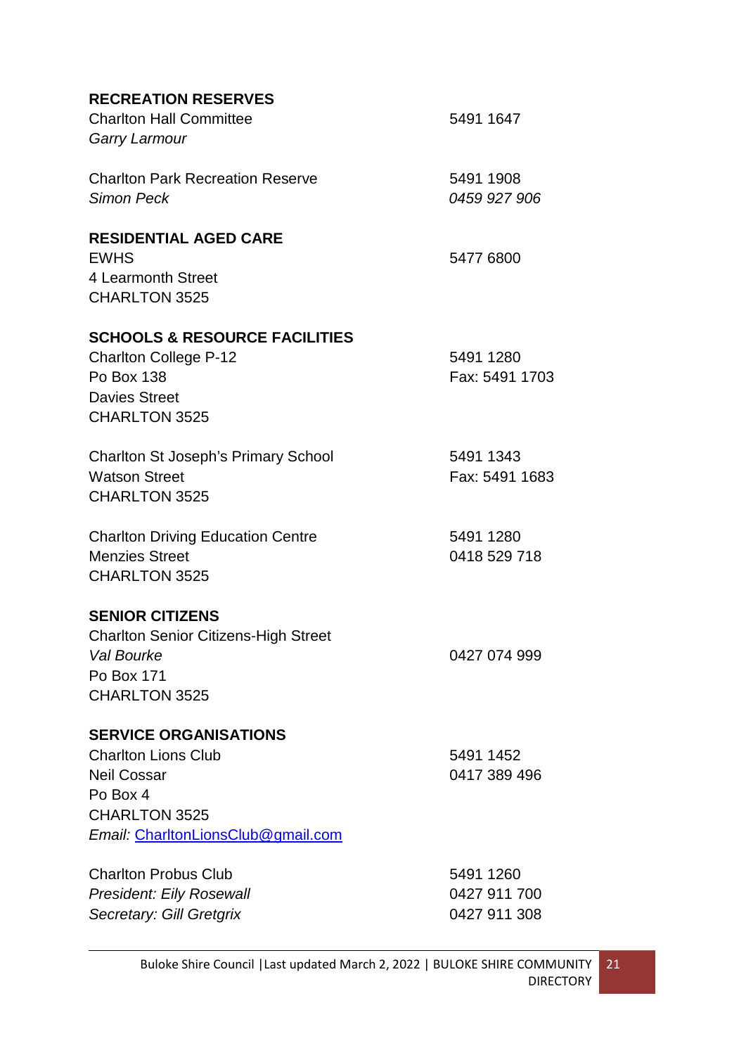| <b>RECREATION RESERVES</b>                  |                |
|---------------------------------------------|----------------|
| <b>Charlton Hall Committee</b>              | 5491 1647      |
| Garry Larmour                               |                |
| <b>Charlton Park Recreation Reserve</b>     | 5491 1908      |
| <b>Simon Peck</b>                           | 0459 927 906   |
| <b>RESIDENTIAL AGED CARE</b>                |                |
| <b>EWHS</b>                                 | 5477 6800      |
| 4 Learmonth Street                          |                |
| <b>CHARLTON 3525</b>                        |                |
| <b>SCHOOLS &amp; RESOURCE FACILITIES</b>    |                |
| <b>Charlton College P-12</b>                | 5491 1280      |
| Po Box 138                                  | Fax: 5491 1703 |
| <b>Davies Street</b>                        |                |
| <b>CHARLTON 3525</b>                        |                |
| <b>Charlton St Joseph's Primary School</b>  | 5491 1343      |
| <b>Watson Street</b>                        | Fax: 5491 1683 |
| <b>CHARLTON 3525</b>                        |                |
| <b>Charlton Driving Education Centre</b>    | 5491 1280      |
| <b>Menzies Street</b>                       | 0418 529 718   |
| <b>CHARLTON 3525</b>                        |                |
| <b>SENIOR CITIZENS</b>                      |                |
| <b>Charlton Senior Citizens-High Street</b> |                |
| Val Bourke                                  | 0427 074 999   |
| Po Box 171                                  |                |
| <b>CHARLTON 3525</b>                        |                |
| <b>SERVICE ORGANISATIONS</b>                |                |
| <b>Charlton Lions Club</b>                  | 5491 1452      |
| <b>Neil Cossar</b>                          | 0417 389 496   |
| Po Box 4                                    |                |
| CHARLTON 3525                               |                |
| Email: CharltonLionsClub@gmail.com          |                |
| <b>Charlton Probus Club</b>                 | 5491 1260      |
| <b>President: Eily Rosewall</b>             | 0427 911 700   |

*Secretary: Gill Gretgrix* 0427 911 308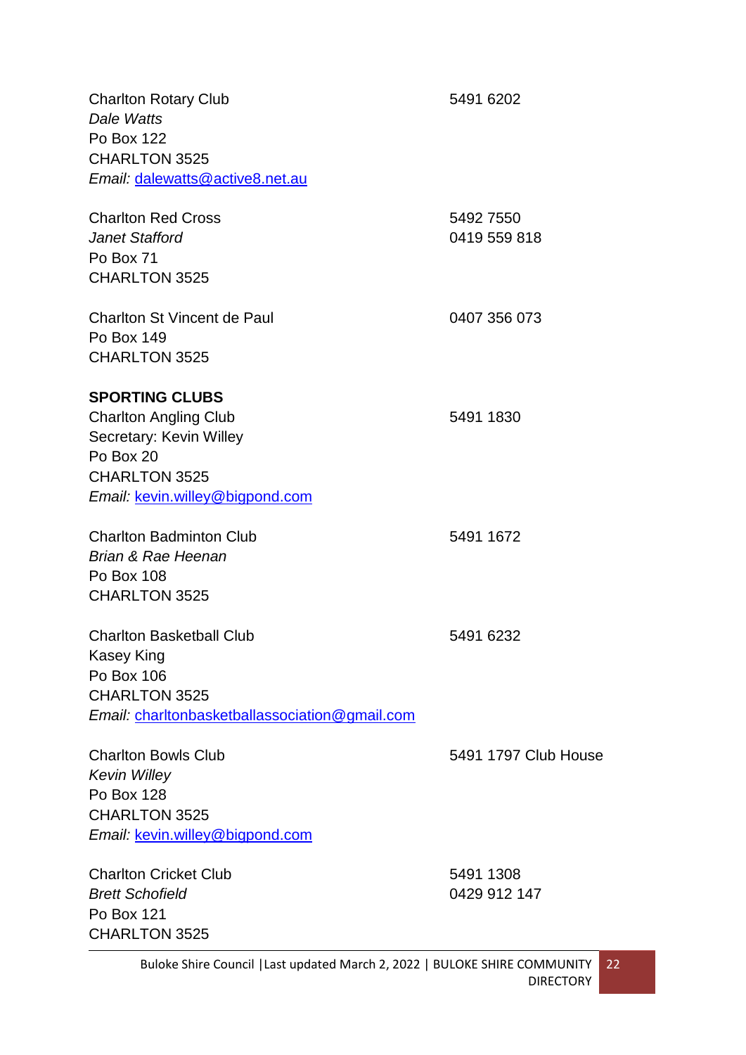| 5491 6202            |
|----------------------|
|                      |
|                      |
|                      |
|                      |
| 5492 7550            |
| 0419 559 818         |
|                      |
|                      |
| 0407 356 073         |
|                      |
|                      |
|                      |
| 5491 1830            |
|                      |
|                      |
|                      |
|                      |
| 5491 1672            |
|                      |
|                      |
|                      |
| 5491 6232            |
|                      |
|                      |
|                      |
|                      |
| 5491 1797 Club House |
|                      |
|                      |
|                      |
|                      |
| 5491 1308            |
| 0429 912 147         |
|                      |
|                      |
|                      |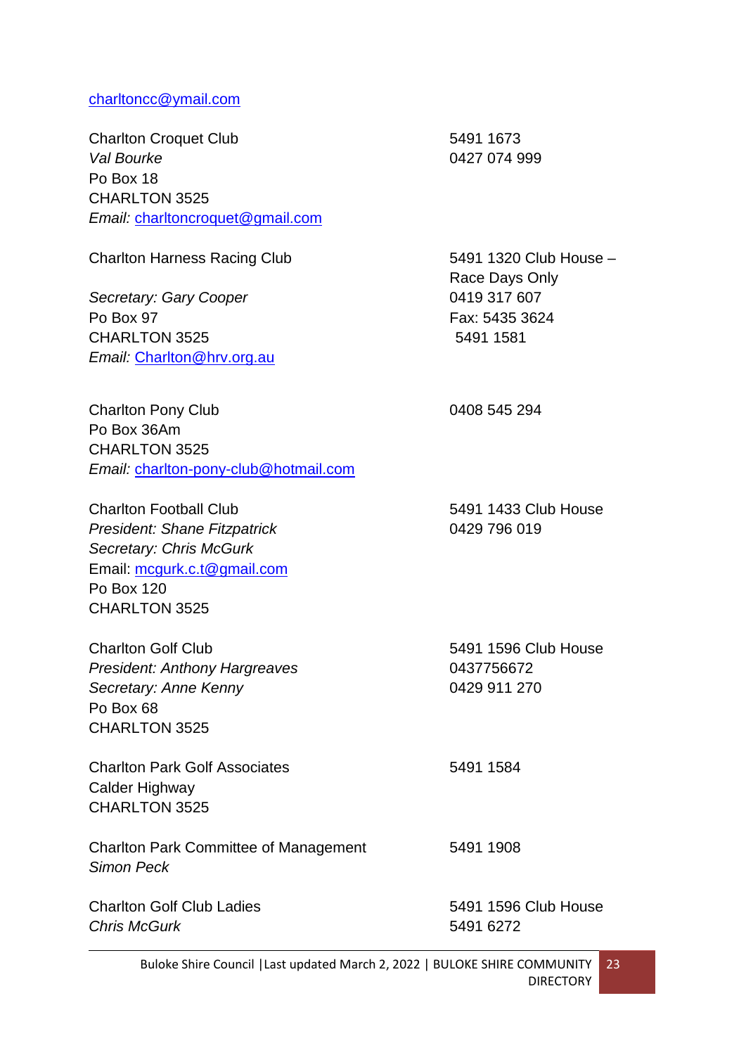#### [charltoncc@ymail.com](mailto:charltoncc@ymail.com)

Charlton Croquet Club 5491 1673 *Val Bourke* 0427 074 999 Po Box 18 CHARLTON 3525 *Email:* [charltoncroquet@gmail.com](mailto:charltoncroquet@gmail.com)

**Secretary: Gary Cooper** 0419 317 607 Po Box 97 Fax: 5435 3624 CHARI TON 3525 5491 1581 *Email:* [Charlton@hrv.org.au](mailto:Charlton@hrv.org.au)

Charlton Pony Club 0408 545 294 Po Box 36Am CHARLTON 3525 *Email:* [charlton-pony-club@hotmail.com](mailto:charlton-pony-club@hotmail.com)

Charlton Football Club 5491 1433 Club House **President: Shane Fitzpatrick** 0429 796 019 *Secretary: Chris McGurk* Email: [mcgurk.c.t@gmail.com](mailto:mcgurk.c.t@gmail.com) Po Box 120 CHARLTON 3525

Charlton Golf Club **5491 1596 Club House** *President: Anthony Hargreaves* 0437756672 **Secretary: Anne Kenny 120 0429 11 270** Po Box 68 CHARLTON 3525

Charlton Park Golf Associates 5491 1584 Calder Highway CHARLTON 3525

Charlton Park Committee of Management 5491 1908 *Simon Peck*

Charlton Golf Club Ladies 5491 1596 Club House *Chris McGurk* 5491 6272

Charlton Harness Racing Club 5491 1320 Club House – Race Days Only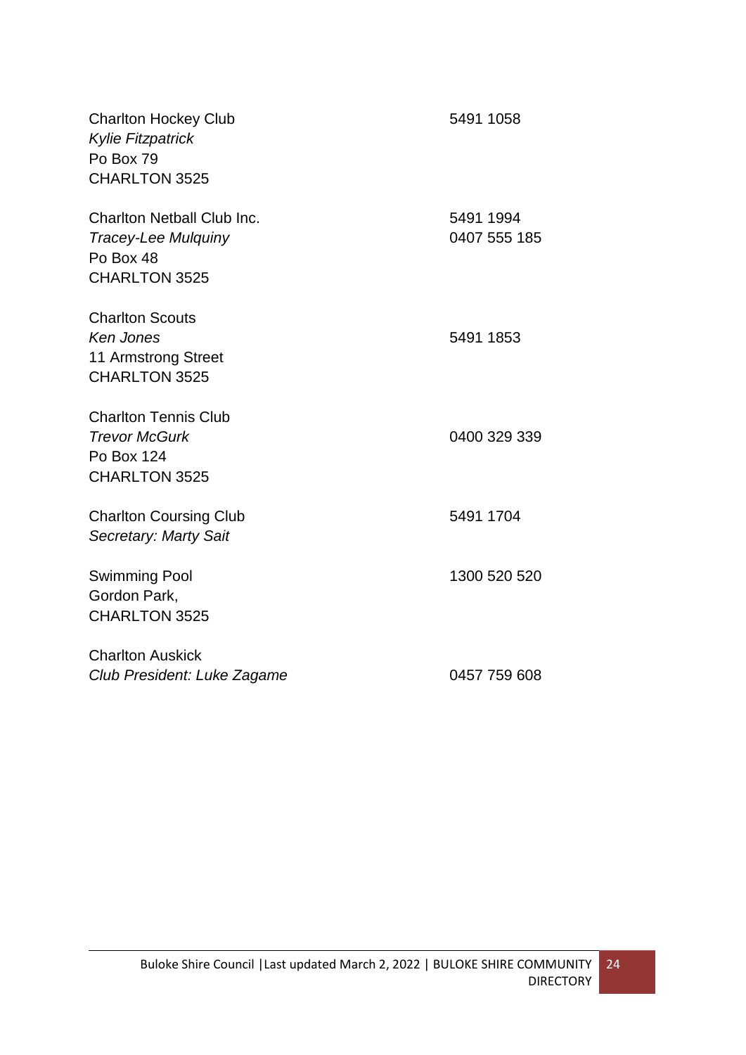| <b>Charlton Hockey Club</b><br><b>Kylie Fitzpatrick</b><br>Po Box 79<br>CHARLTON 3525                | 5491 1058 |              |
|------------------------------------------------------------------------------------------------------|-----------|--------------|
| <b>Charlton Netball Club Inc.</b><br><b>Tracey-Lee Mulguiny</b><br>Po Box 48<br><b>CHARLTON 3525</b> | 5491 1994 | 0407 555 185 |
| <b>Charlton Scouts</b><br>Ken Jones<br>11 Armstrong Street<br><b>CHARLTON 3525</b>                   | 5491 1853 |              |
| <b>Charlton Tennis Club</b><br><b>Trevor McGurk</b><br>Po Box 124<br>CHARLTON 3525                   |           | 0400 329 339 |
| <b>Charlton Coursing Club</b><br>Secretary: Marty Sait                                               | 5491 1704 |              |
| <b>Swimming Pool</b><br>Gordon Park,<br><b>CHARLTON 3525</b>                                         |           | 1300 520 520 |
| <b>Charlton Auskick</b><br>Club President: Luke Zagame                                               |           | 0457 759 608 |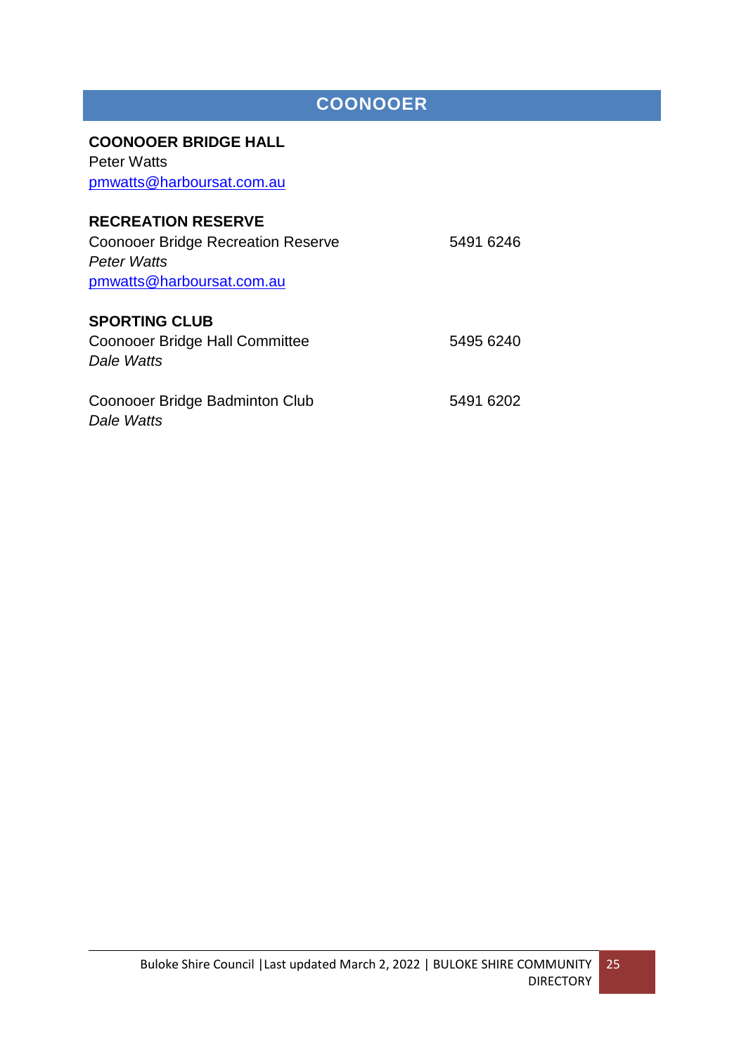# **COONOOER**

#### <span id="page-24-0"></span>**COONOOER BRIDGE HALL**

Peter Watts [pmwatts@harboursat.com.au](mailto:pmwatts@harboursat.com.au)

# **RECREATION RESERVE**

Coonooer Bridge Recreation Reserve 5491 6246 *Peter Watts* [pmwatts@harboursat.com.au](mailto:pmwatts@harboursat.com.au) **SPORTING CLUB** 

| Coonooer Bridge Hall Committee | 5495 6240 |  |  |
|--------------------------------|-----------|--|--|
| Dale Watts                     |           |  |  |

Coonooer Bridge Badminton Club 5491 6202 *Dale Watts*

25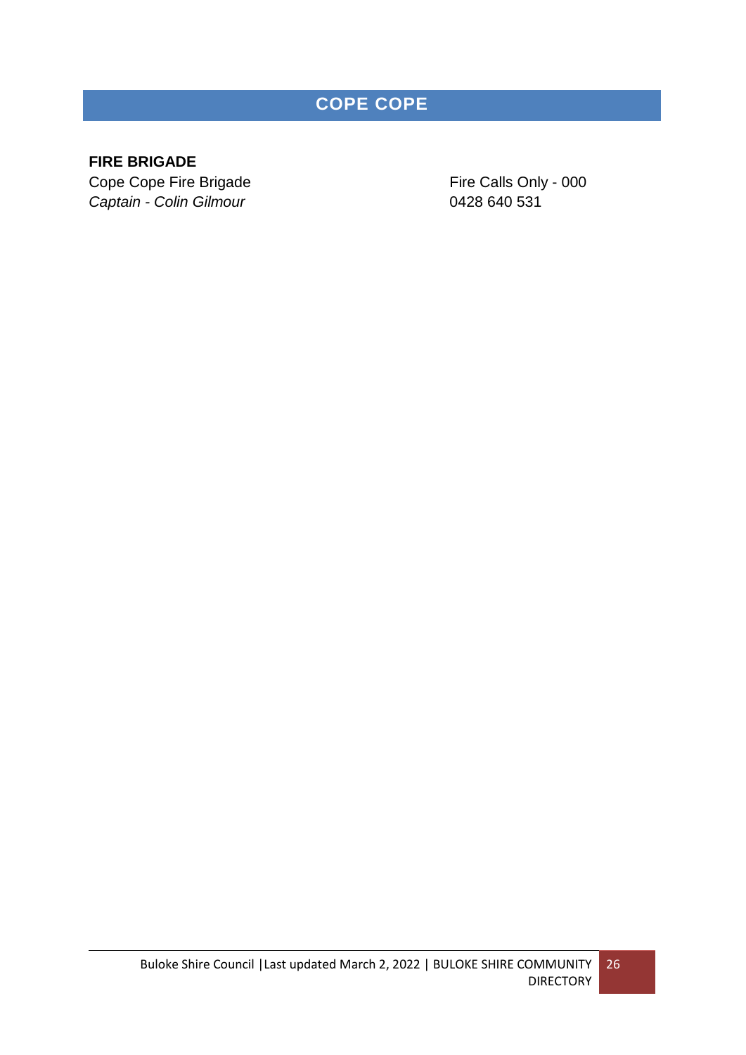# **COPE COPE**

# <span id="page-25-0"></span>**FIRE BRIGADE**

Cope Cope Fire Brigade Fire Calls Only - 000 *Captain - Colin Gilmour* 0428 640 531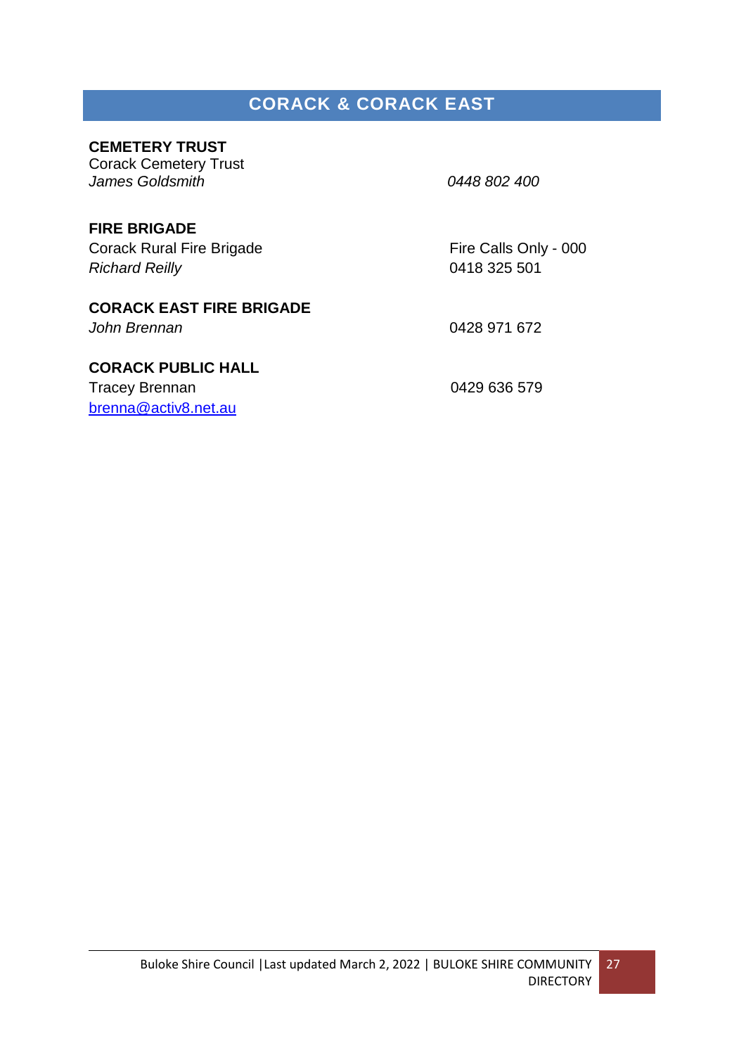# **CORACK & CORACK EAST**

# <span id="page-26-0"></span>**CEMETERY TRUST**

Corack Cemetery Trust *James Goldsmith 0448 802 400*

# **FIRE BRIGADE**

Corack Rural Fire Brigade Fire Calls Only - 000 *Richard Reilly* 0418 325 501

# **CORACK EAST FIRE BRIGADE**

# *John Brennan* 0428 971 672

# **CORACK PUBLIC HALL**

Tracey Brennan 0429 636 579 [brenna@activ8.net.au](mailto:brenna@activ8.net.au)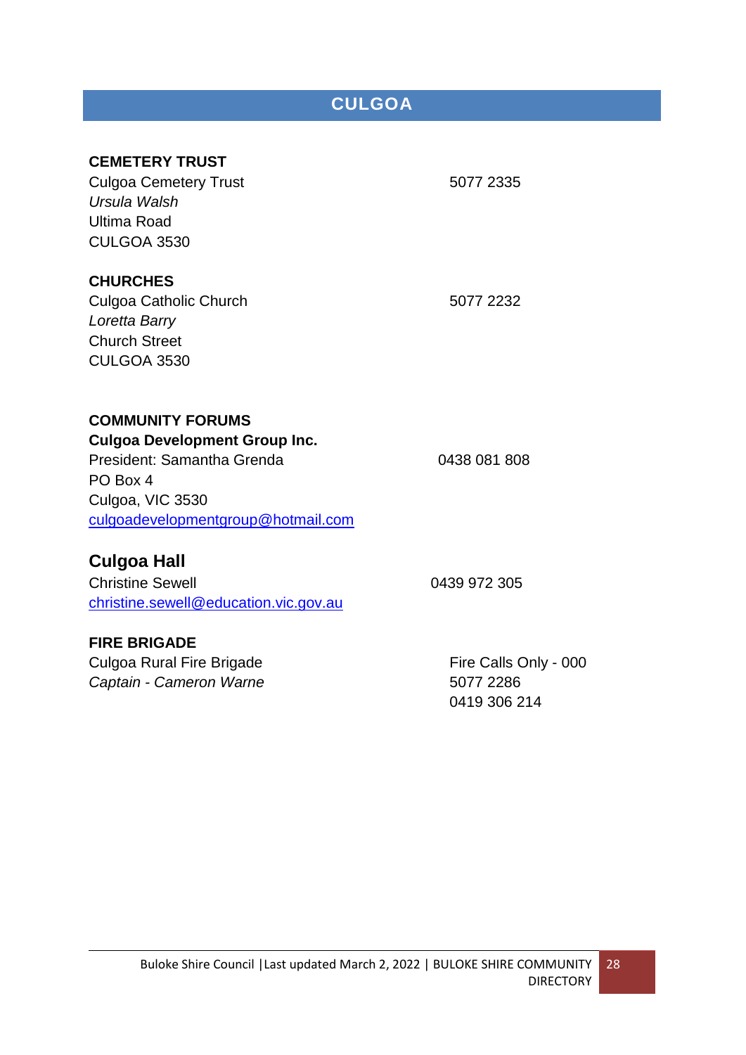# **CULGOA**

# <span id="page-27-0"></span>**CEMETERY TRUST**

Culgoa Cemetery Trust 5077 2335 *Ursula Walsh* Ultima Road CULGOA 3530

### **CHURCHES**

Culgoa Catholic Church 5077 2232 *Loretta Barry* Church Street CULGOA 3530

### **COMMUNITY FORUMS**

**Culgoa Development Group Inc.**  President: Samantha Grenda 0438 081 808 PO Box 4 Culgoa, VIC 3530 [culgoadevelopmentgroup@hotmail.com](mailto:culgoadevelopmentgroup@hotmail.com)

# **Culgoa Hall**

Christine Sewell 2012 205 [christine.sewell@education.vic.gov.au](mailto:christine.sewell@education.vic.gov.au)

# **FIRE BRIGADE**

Culgoa Rural Fire Brigade Fire Calls Only - 000 *Captain - Cameron Warne* 5077 2286

0419 306 214

28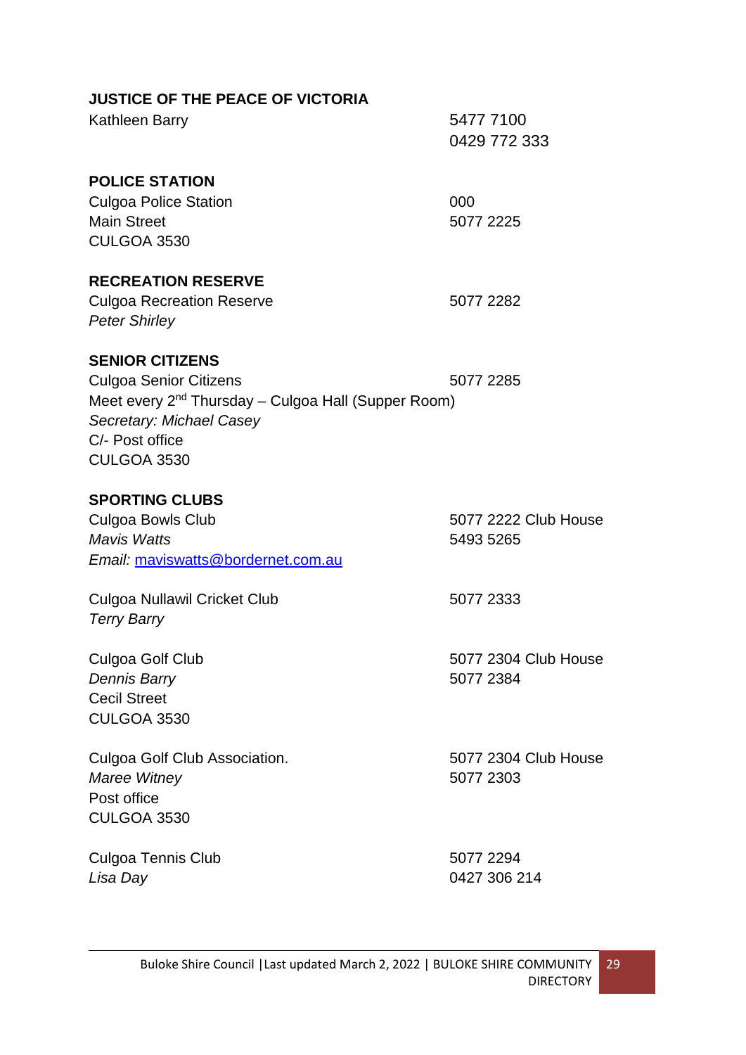| <b>JUSTICE OF THE PEACE OF VICTORIA</b>                         |                           |
|-----------------------------------------------------------------|---------------------------|
| Kathleen Barry                                                  | 5477 7100<br>0429 772 333 |
| <b>POLICE STATION</b>                                           |                           |
| <b>Culgoa Police Station</b>                                    | 000                       |
| <b>Main Street</b>                                              | 5077 2225                 |
| <b>CULGOA 3530</b>                                              |                           |
| <b>RECREATION RESERVE</b>                                       |                           |
| <b>Culgoa Recreation Reserve</b>                                | 5077 2282                 |
| <b>Peter Shirley</b>                                            |                           |
| <b>SENIOR CITIZENS</b>                                          |                           |
| <b>Culgoa Senior Citizens</b>                                   | 5077 2285                 |
| Meet every 2 <sup>nd</sup> Thursday – Culgoa Hall (Supper Room) |                           |
| Secretary: Michael Casey                                        |                           |
| C/- Post office                                                 |                           |
| <b>CULGOA 3530</b>                                              |                           |
| <b>SPORTING CLUBS</b>                                           |                           |
| <b>Culgoa Bowls Club</b>                                        | 5077 2222 Club House      |
| <b>Mavis Watts</b>                                              | 5493 5265                 |
| Email: maviswatts@bordernet.com.au                              |                           |
| Culgoa Nullawil Cricket Club                                    | 5077 2333                 |
| <b>Terry Barry</b>                                              |                           |
| Culgoa Golf Club                                                | 5077 2304 Club House      |
| <b>Dennis Barry</b>                                             | 5077 2384                 |
| <b>Cecil Street</b>                                             |                           |
| CULGOA 3530                                                     |                           |
| Culgoa Golf Club Association.                                   | 5077 2304 Club House      |
| Maree Witney                                                    | 5077 2303                 |
| Post office                                                     |                           |
| <b>CULGOA 3530</b>                                              |                           |
| <b>Culgoa Tennis Club</b>                                       | 5077 2294                 |
| Lisa Day                                                        | 0427 306 214              |
|                                                                 |                           |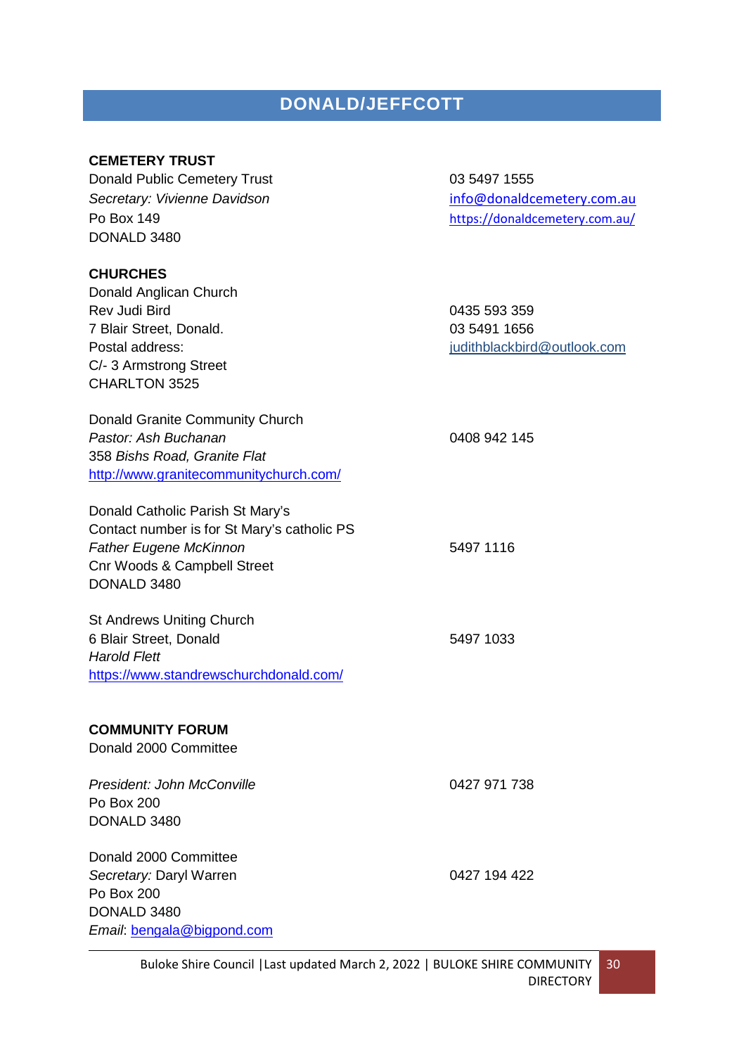# **DONALD/JEFFCOTT**

#### <span id="page-29-0"></span>**CEMETERY TRUST**

Donald Public Cemetery Trust **1988** 1999 1555 **Secretary: Vivienne Davidson** [info@donaldcemetery.com.au](mailto:Donald%20Public%20Cemetery%20%3Cinfo@donaldcemetery.com.au%3E?subject=General%20Enquiry) Po Box 149 <https://donaldcemetery.com.au/> DONALD 3480 **CHURCHES** Donald Anglican Church Rev Judi Bird 0435 593 359 7 Blair Street, Donald. 03 5491 1656 Postal address: in the property of the property of the property indithblackbird@outlook.com C/- 3 Armstrong Street CHARLTON 3525 Donald Granite Community Church *Pastor: Ash Buchanan* 0408 942 145 358 *Bishs Road, Granite Flat* <http://www.granitecommunitychurch.com/> Donald Catholic Parish St Mary's Contact number is for St Mary's catholic PS **Father Eugene McKinnon** 5497 1116 Cnr Woods & Campbell Street DONALD 3480 St Andrews Uniting Church 6 Blair Street, Donald 5497 1033 *Harold Flett* <https://www.standrewschurchdonald.com/> **COMMUNITY FORUM** Donald 2000 Committee President: John McConville **Canadian Convention Convention** 0427 971 738 Po Box 200 DONALD 3480 Donald 2000 Committee Secretary: Daryl Warren **188 and 194 122 and 194 422** Po Box 200 DONALD 3480 *Email*: [bengala@bigpond.com](mailto:bengala@bigpond.com)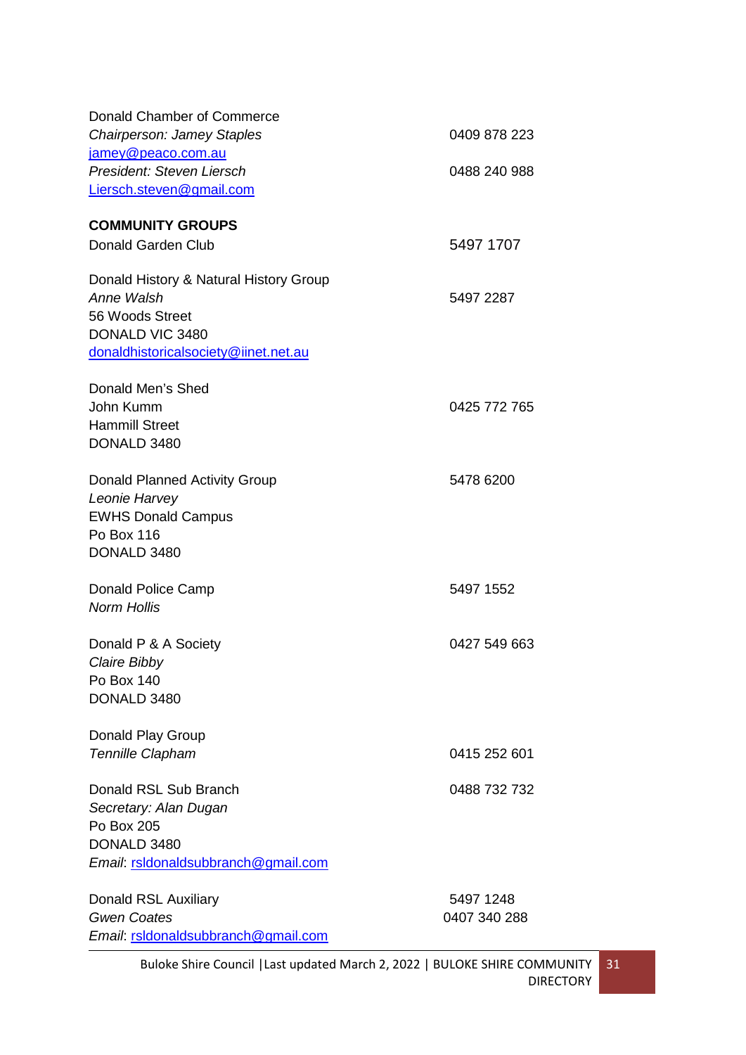| Donald Chamber of Commerce             |              |
|----------------------------------------|--------------|
| <b>Chairperson: Jamey Staples</b>      | 0409 878 223 |
| jamey@peaco.com.au                     |              |
| President: Steven Liersch              | 0488 240 988 |
| Liersch.steven@gmail.com               |              |
| <b>COMMUNITY GROUPS</b>                |              |
| Donald Garden Club                     | 5497 1707    |
| Donald History & Natural History Group |              |
| Anne Walsh                             | 5497 2287    |
| 56 Woods Street                        |              |
| DONALD VIC 3480                        |              |
| donaldhistoricalsociety@iinet.net.au   |              |
| Donald Men's Shed                      |              |
| John Kumm                              | 0425 772 765 |
| <b>Hammill Street</b>                  |              |
| DONALD 3480                            |              |
| <b>Donald Planned Activity Group</b>   | 5478 6200    |
| Leonie Harvey                          |              |
| <b>EWHS Donald Campus</b>              |              |
| Po Box 116                             |              |
| DONALD 3480                            |              |
| Donald Police Camp                     | 5497 1552    |
| <b>Norm Hollis</b>                     |              |
| Donald P & A Society                   | 0427 549 663 |
| Claire Bibby                           |              |
| Po Box 140                             |              |
| DONALD 3480                            |              |
| Donald Play Group                      |              |
| Tennille Clapham                       | 0415 252 601 |
| Donald RSL Sub Branch                  | 0488 732 732 |
| Secretary: Alan Dugan                  |              |
| Po Box 205                             |              |
| DONALD 3480                            |              |
| Email: rsldonaldsubbranch@gmail.com    |              |
| Donald RSL Auxiliary                   | 5497 1248    |
| <b>Gwen Coates</b>                     | 0407 340 288 |
| Email: rsidonaldsubbranch@gmail.com    |              |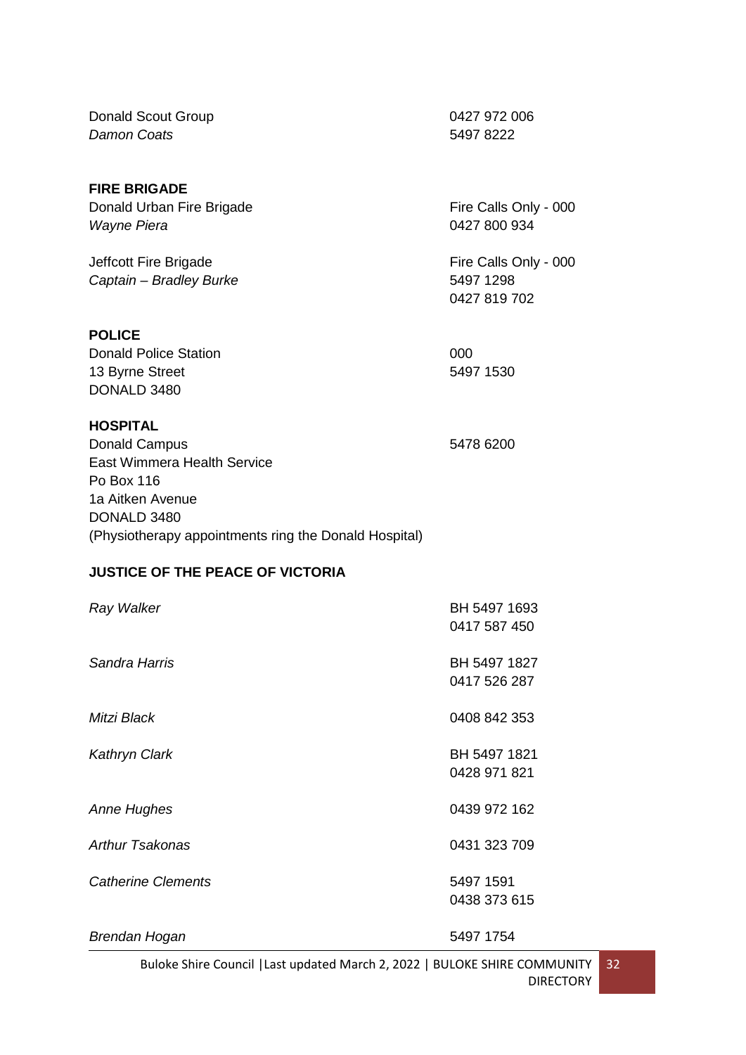Donald Scout Group 0427 972 006 *Damon Coats* 5497 8222

#### **FIRE BRIGADE**

Donald Urban Fire Brigade Fire Calls Only - 000 *Wayne Piera* 0427 800 934

Jeffcott Fire Brigade Fire Calls Only - 000 *Captain – Bradley Burke* 5497 1298

**POLICE**

Donald Police Station 000 13 Byrne Street 5497 1530 DONALD 3480

#### **HOSPITAL**

Donald Campus 5478 6200 East Wimmera Health Service Po Box 116 1a Aitken Avenue DONALD 3480 (Physiotherapy appointments ring the Donald Hospital)

#### **JUSTICE OF THE PEACE OF VICTORIA**

| Ray Walker                | BH 5497 1693<br>0417 587 450 |
|---------------------------|------------------------------|
| Sandra Harris             | BH 5497 1827<br>0417 526 287 |
| Mitzi Black               | 0408 842 353                 |
| <b>Kathryn Clark</b>      | BH 5497 1821<br>0428 971 821 |
| <b>Anne Hughes</b>        | 0439 972 162                 |
| <b>Arthur Tsakonas</b>    | 0431 323 709                 |
| <b>Catherine Clements</b> | 5497 1591<br>0438 373 615    |
| Brendan Hogan             | 5497 1754                    |

Buloke Shire Council |Last updated March 2, 2022 | BULOKE SHIRE COMMUNITY DIRECTORY 32

0427 819 702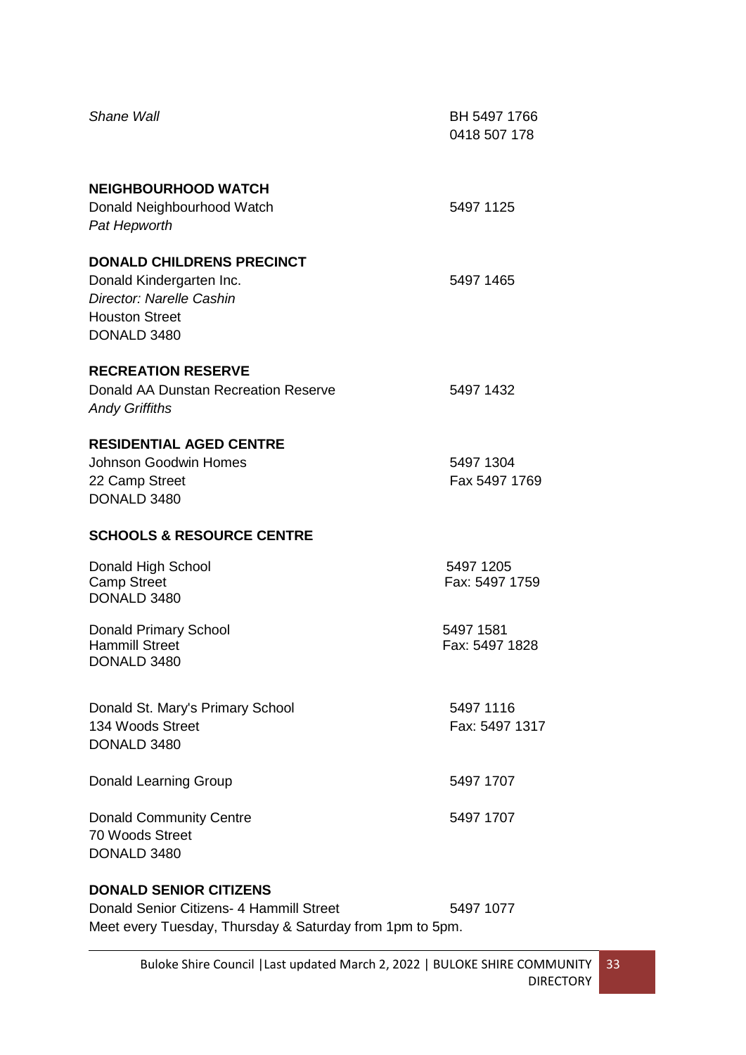| <b>Shane Wall</b>                                                                                                                     | BH 5497 1766<br>0418 507 178 |
|---------------------------------------------------------------------------------------------------------------------------------------|------------------------------|
| <b>NEIGHBOURHOOD WATCH</b><br>Donald Neighbourhood Watch<br>Pat Hepworth                                                              | 5497 1125                    |
| <b>DONALD CHILDRENS PRECINCT</b><br>Donald Kindergarten Inc.<br>Director: Narelle Cashin<br><b>Houston Street</b><br>DONALD 3480      | 5497 1465                    |
| <b>RECREATION RESERVE</b><br>Donald AA Dunstan Recreation Reserve<br><b>Andy Griffiths</b>                                            | 5497 1432                    |
| <b>RESIDENTIAL AGED CENTRE</b><br><b>Johnson Goodwin Homes</b><br>22 Camp Street<br>DONALD 3480                                       | 5497 1304<br>Fax 5497 1769   |
| <b>SCHOOLS &amp; RESOURCE CENTRE</b>                                                                                                  |                              |
| Donald High School<br><b>Camp Street</b><br>DONALD 3480                                                                               | 5497 1205<br>Fax: 5497 1759  |
| <b>Donald Primary School</b><br><b>Hammill Street</b><br>DONALD 3480                                                                  | 5497 1581<br>Fax: 5497 1828  |
| Donald St. Mary's Primary School<br>134 Woods Street<br>DONALD 3480                                                                   | 5497 1116<br>Fax: 5497 1317  |
| <b>Donald Learning Group</b>                                                                                                          | 5497 1707                    |
| <b>Donald Community Centre</b><br>70 Woods Street<br>DONALD 3480                                                                      | 5497 1707                    |
| <b>DONALD SENIOR CITIZENS</b><br>Donald Senior Citizens- 4 Hammill Street<br>Meet every Tuesday, Thursday & Saturday from 1pm to 5pm. | 5497 1077                    |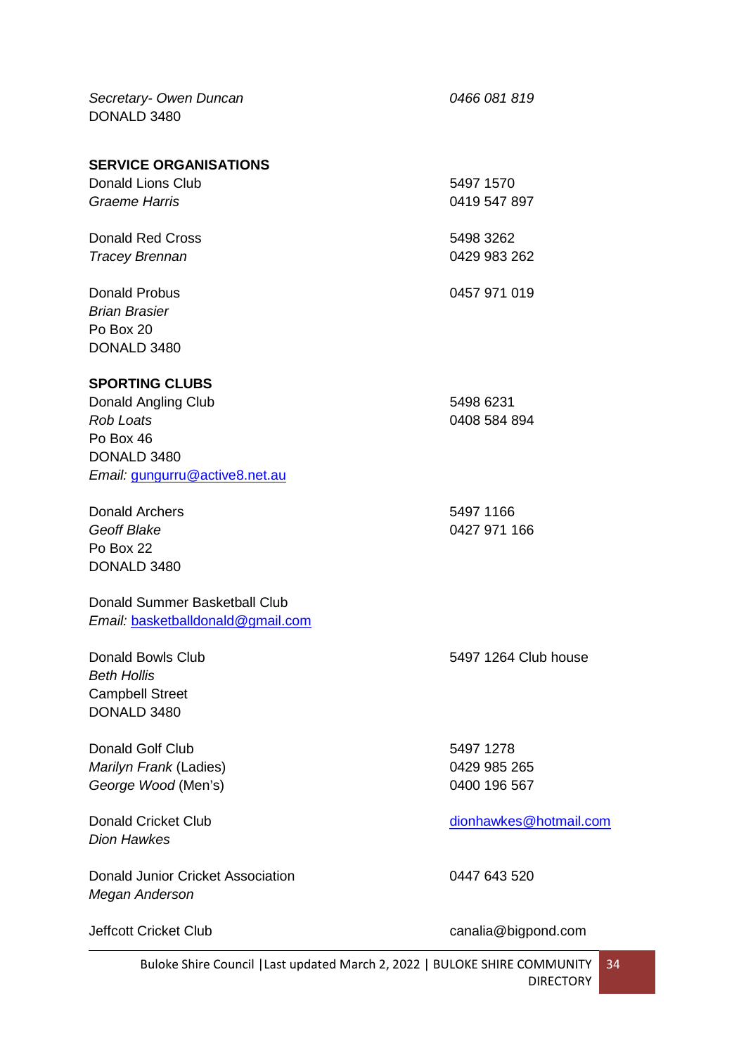*Secretary- Owen Duncan 0466 081 819* DONALD 3480

#### **SERVICE ORGANISATIONS**

| <b>Donald Lions Club</b> | 5497 1570    |
|--------------------------|--------------|
| Graeme Harris            | 0419 547 897 |
| Donald Red Cross         | 5498 3262    |
| <b>Tracey Brennan</b>    | 0429 983 262 |
| Donald Probus            | 0457 971 019 |
| <b>Brian Brasier</b>     |              |
| Po Box 20                |              |
| DONALD 3480              |              |

#### **SPORTING CLUBS**

| Donald Angling Club            | 5498 6231    |
|--------------------------------|--------------|
| Rob Loats                      | 0408 584 894 |
| Po Box 46                      |              |
| DONALD 3480                    |              |
| Email: gungurru@active8.net.au |              |

Donald Archers 5497 1166 *Geoff Blake* 0427 971 166 Po Box 22 DONALD 3480

#### Donald Summer Basketball Club *Email:* [basketballdonald@gmail.com](mailto:basketballdonald@gmail.com)

*Beth Hollis* Campbell Street DONALD 3480

Donald Golf Club 5497 1278 *Marilyn Frank* (Ladies) 0429 985 265 George Wood (Men's) **6400 196 567** 

*Dion Hawkes*

Donald Junior Cricket Association 0447 643 520 *Megan Anderson*

Donald Bowls Club 5497 1264 Club house

Donald Cricket Club [dionhawkes@hotmail.com](mailto:dionhawkes@hotmail.com)

Jeffcott Cricket Club canalia@bigpond.com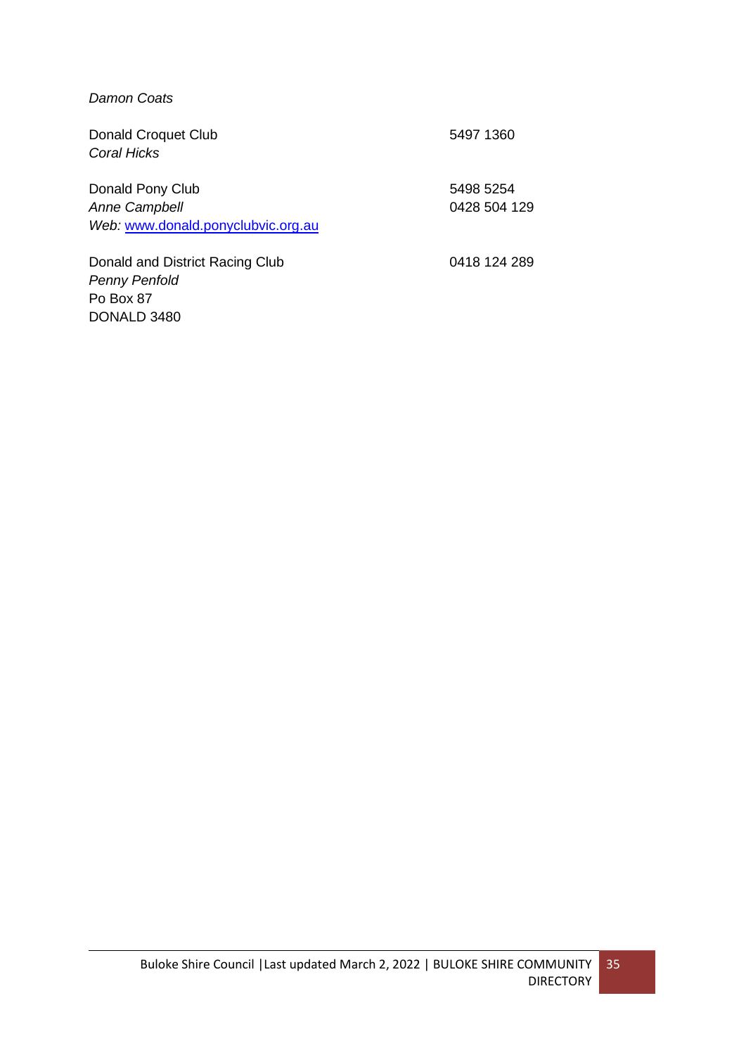#### *Damon Coats*

| <b>Donald Croquet Club</b><br>Coral Hicks | 5497 1360    |
|-------------------------------------------|--------------|
| Donald Pony Club                          | 5498 5254    |
| <b>Anne Campbell</b>                      | 0428 504 129 |
| Web: www.donald.ponyclubvic.org.au        |              |
| Donald and District Racing Club           | 0418 124 289 |
| <b>Penny Penfold</b>                      |              |
| Po Box 87                                 |              |
| DONALD 3480                               |              |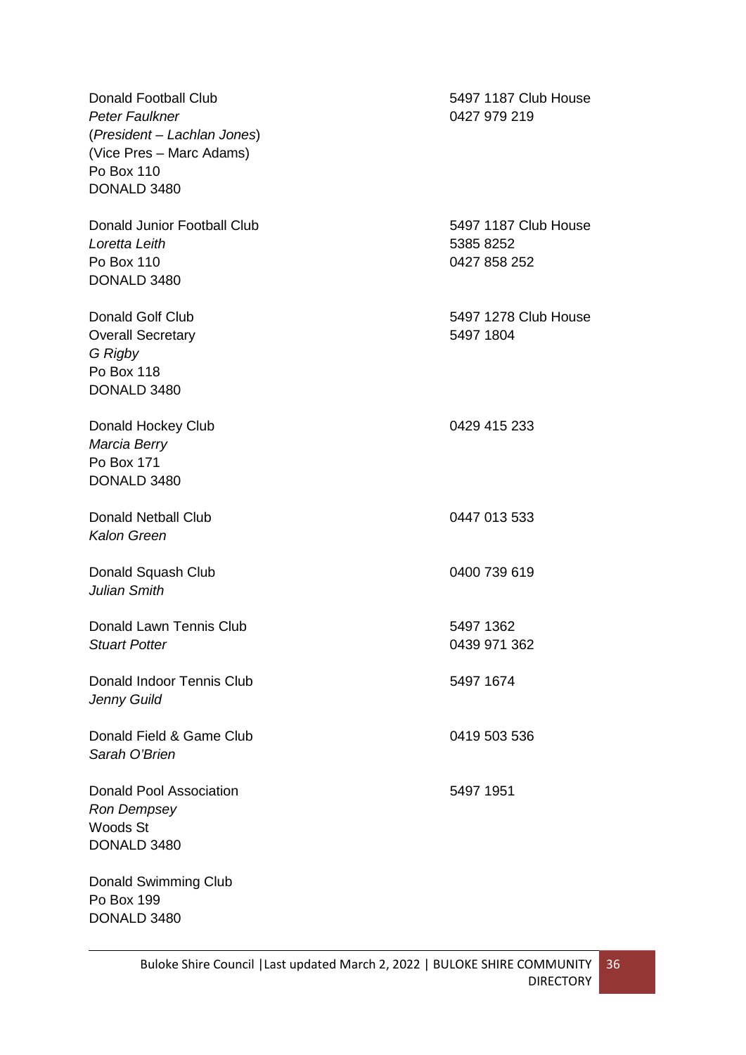| <b>Donald Football Club</b>    | 5497 1187 Club House |
|--------------------------------|----------------------|
| Peter Faulkner                 | 0427 979 219         |
| (President - Lachlan Jones)    |                      |
| (Vice Pres - Marc Adams)       |                      |
| Po Box 110                     |                      |
| DONALD 3480                    |                      |
|                                |                      |
| Donald Junior Football Club    | 5497 1187 Club House |
| Loretta Leith                  | 5385 8252            |
| Po Box 110                     | 0427 858 252         |
| DONALD 3480                    |                      |
|                                |                      |
| <b>Donald Golf Club</b>        | 5497 1278 Club House |
| <b>Overall Secretary</b>       | 5497 1804            |
| G Rigby                        |                      |
| Po Box 118                     |                      |
|                                |                      |
| DONALD 3480                    |                      |
| Donald Hockey Club             | 0429 415 233         |
| Marcia Berry                   |                      |
| Po Box 171                     |                      |
|                                |                      |
| DONALD 3480                    |                      |
| <b>Donald Netball Club</b>     | 0447 013 533         |
| <b>Kalon Green</b>             |                      |
|                                |                      |
| Donald Squash Club             | 0400 739 619         |
| Julian Smith                   |                      |
|                                |                      |
| Donald Lawn Tennis Club        | 5497 1362            |
| <b>Stuart Potter</b>           | 0439 971 362         |
|                                |                      |
| Donald Indoor Tennis Club      | 5497 1674            |
| Jenny Guild                    |                      |
|                                |                      |
| Donald Field & Game Club       | 0419 503 536         |
| Sarah O'Brien                  |                      |
|                                |                      |
| <b>Donald Pool Association</b> | 5497 1951            |
| Ron Dempsey                    |                      |
| Woods St                       |                      |
| DONALD 3480                    |                      |
|                                |                      |
| <b>Donald Swimming Club</b>    |                      |
| Po Box 199                     |                      |
| DONALD 3480                    |                      |
|                                |                      |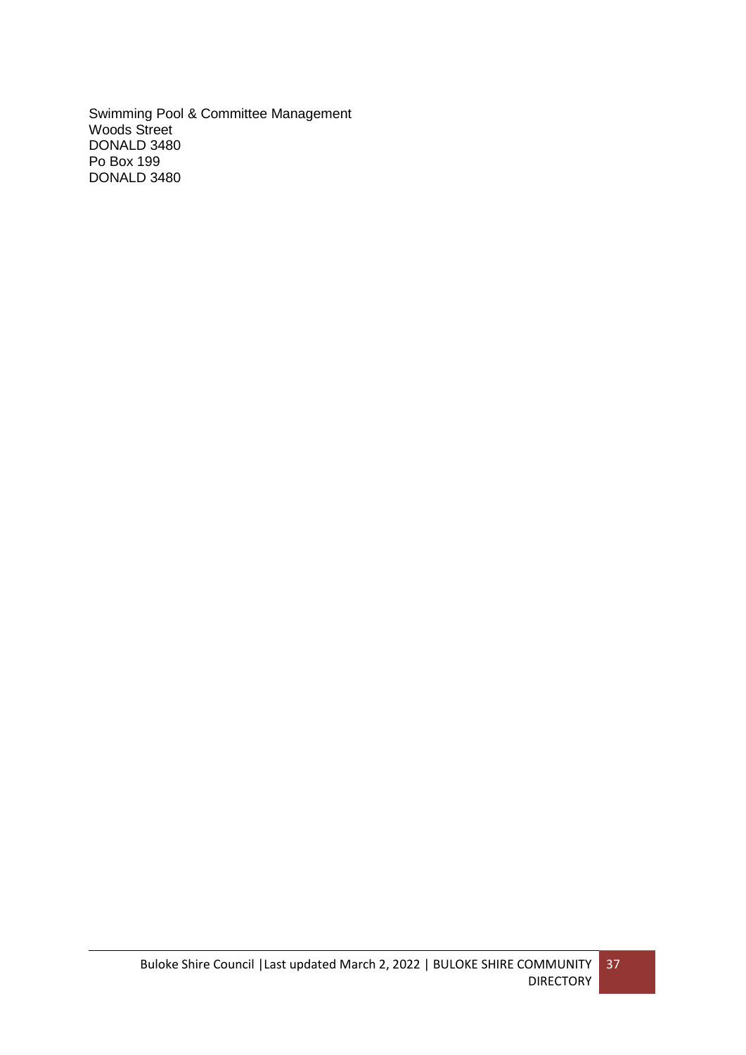Swimming Pool & Committee Management Woods Street DONALD 3480 Po Box 199 DONALD 3480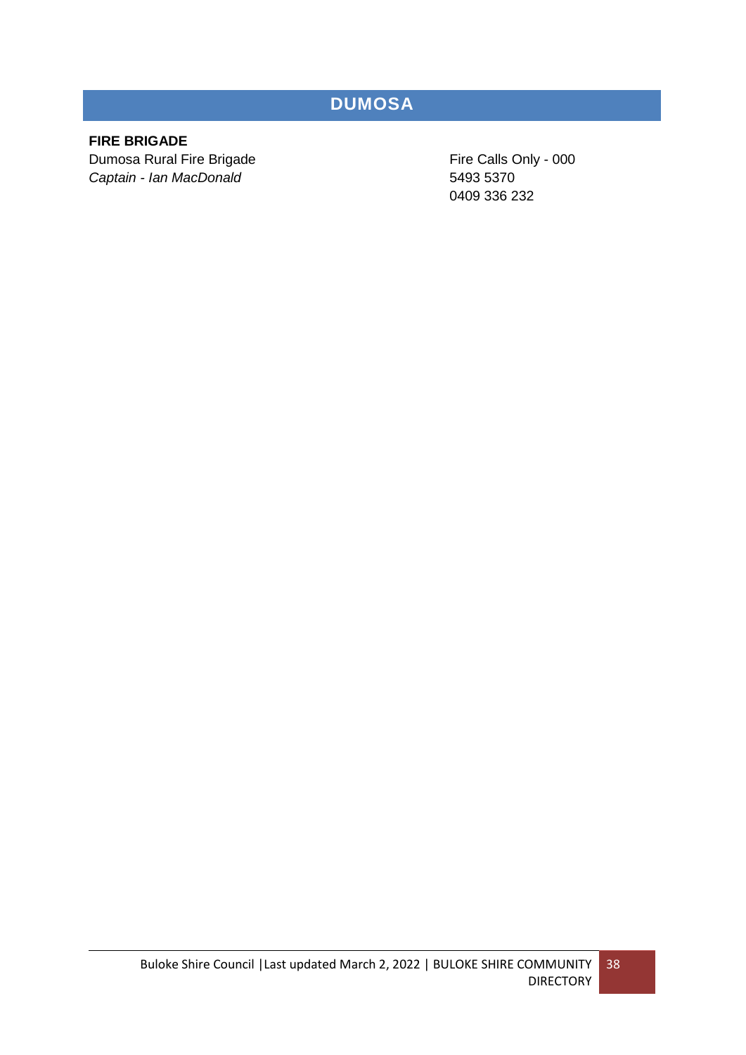## **DUMOSA**

### **FIRE BRIGADE**

Dumosa Rural Fire Brigade Fire Calls Only - 000 *Captain - Ian MacDonald* 5493 5370

0409 336 232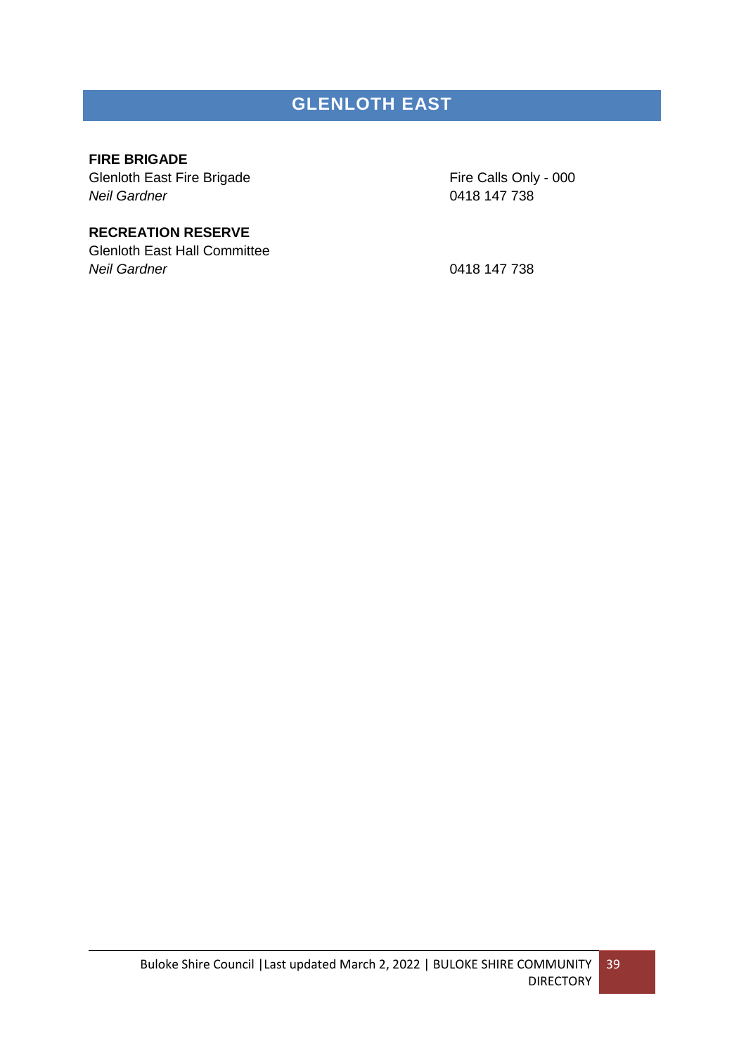## **GLENLOTH EAST**

#### **FIRE BRIGADE**

Glenloth East Fire Brigade Fire Calls Only - 000 *Neil Gardner* 0418 147 738

### **RECREATION RESERVE**

Glenloth East Hall Committee *Neil Gardner* 0418 147 738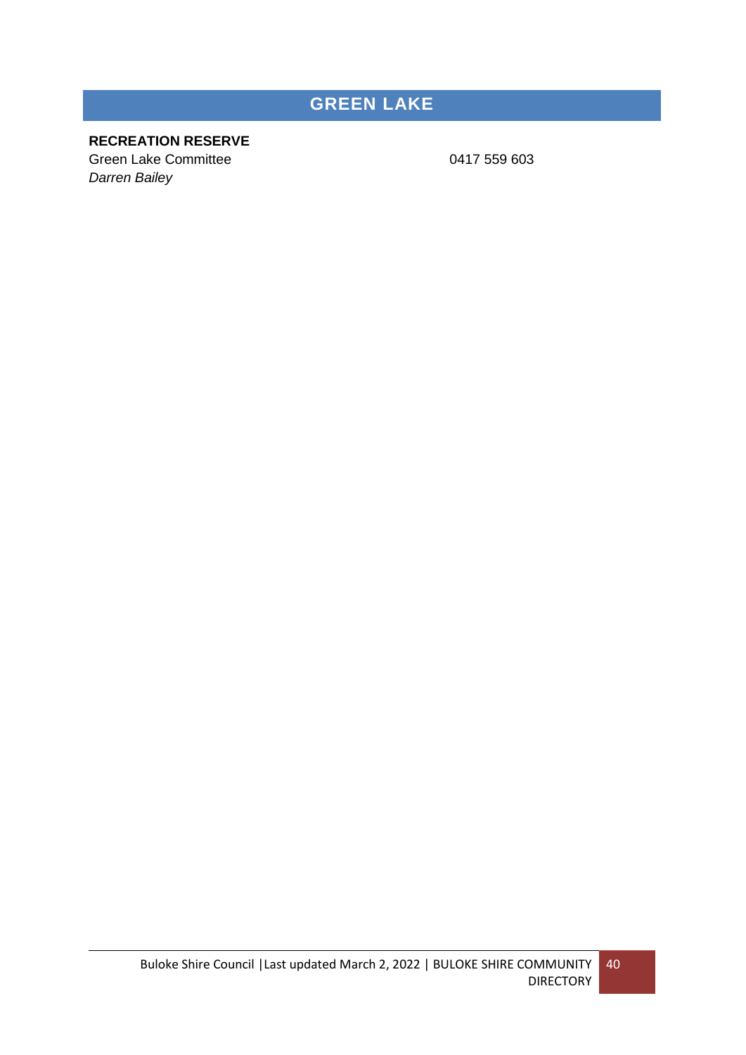# **GREEN LAKE**

### **RECREATION RESERVE**

Green Lake Committee 0417 559 603 *Darren Bailey*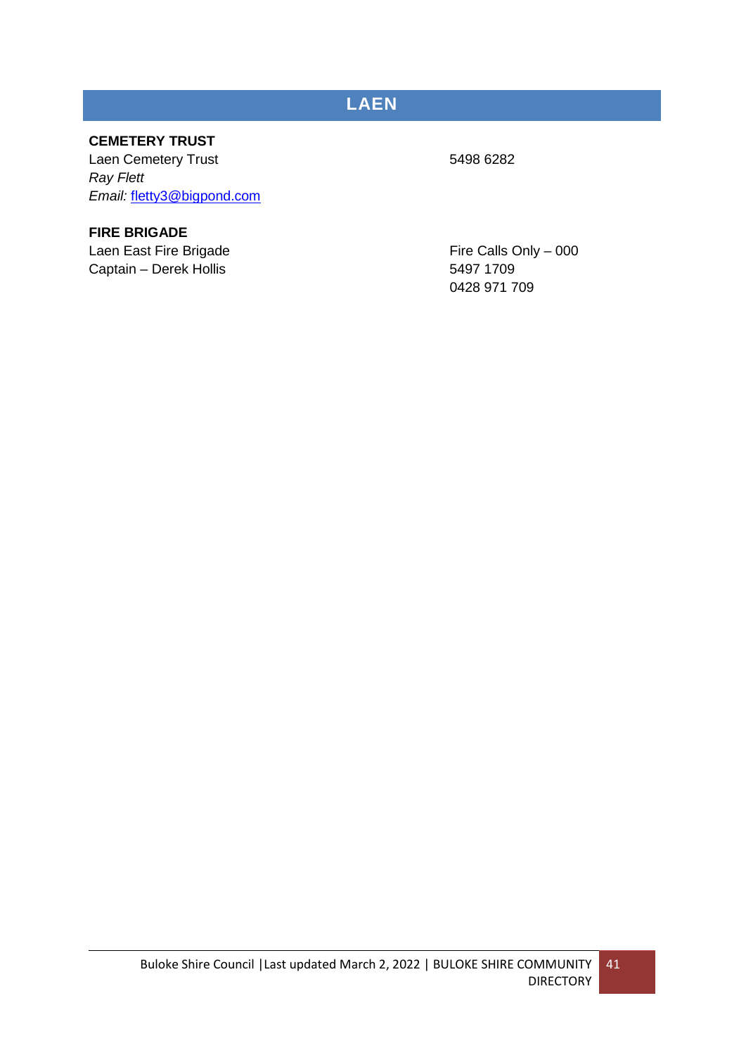## **LAEN**

### **CEMETERY TRUST**

Laen Cemetery Trust 5498 6282 *Ray Flett Email:* [fletty3@bigpond.com](mailto:fletty3@bigpond.com)

### **FIRE BRIGADE**

Laen East Fire Brigade Fire Calls Only – 000 Captain – Derek Hollis 5497 1709

0428 971 709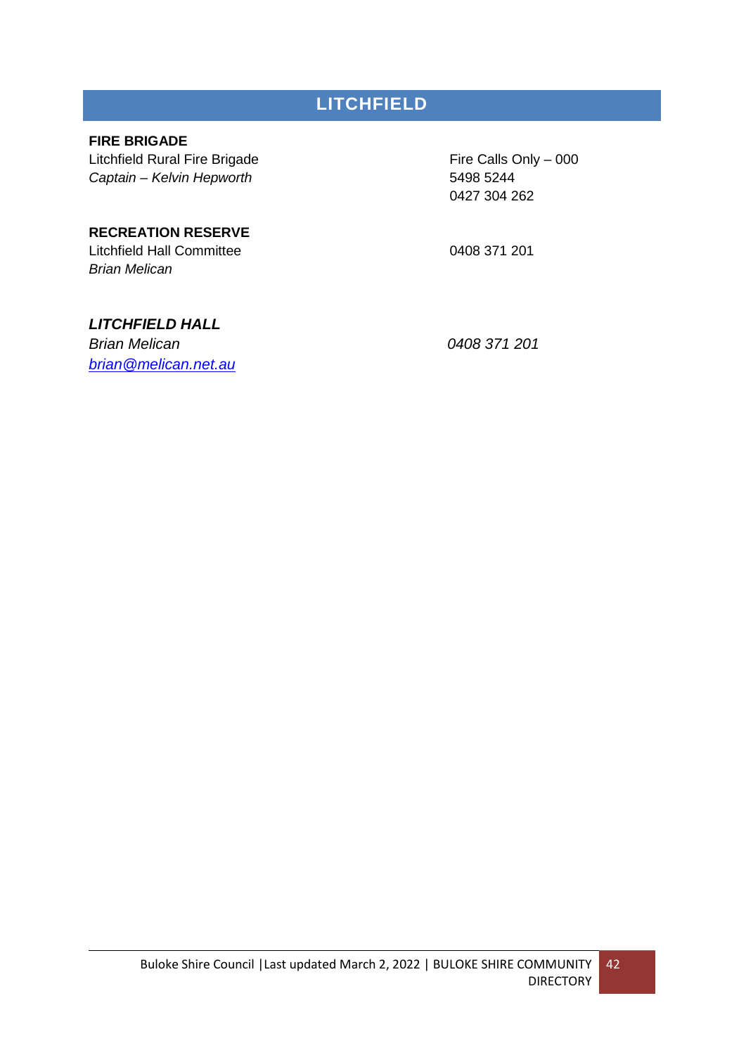## **LITCHFIELD**

### **FIRE BRIGADE**

Litchfield Rural Fire Brigade Fire Calls Only – 000 *Captain – Kelvin Hepworth* 5498 5244

0427 304 262

### **RECREATION RESERVE**

Litchfield Hall Committee 0408 371 201 *Brian Melican*

### *LITCHFIELD HALL*

*Brian Melican 0408 371 201 [brian@melican.net.au](mailto:brian@melican.net.au)*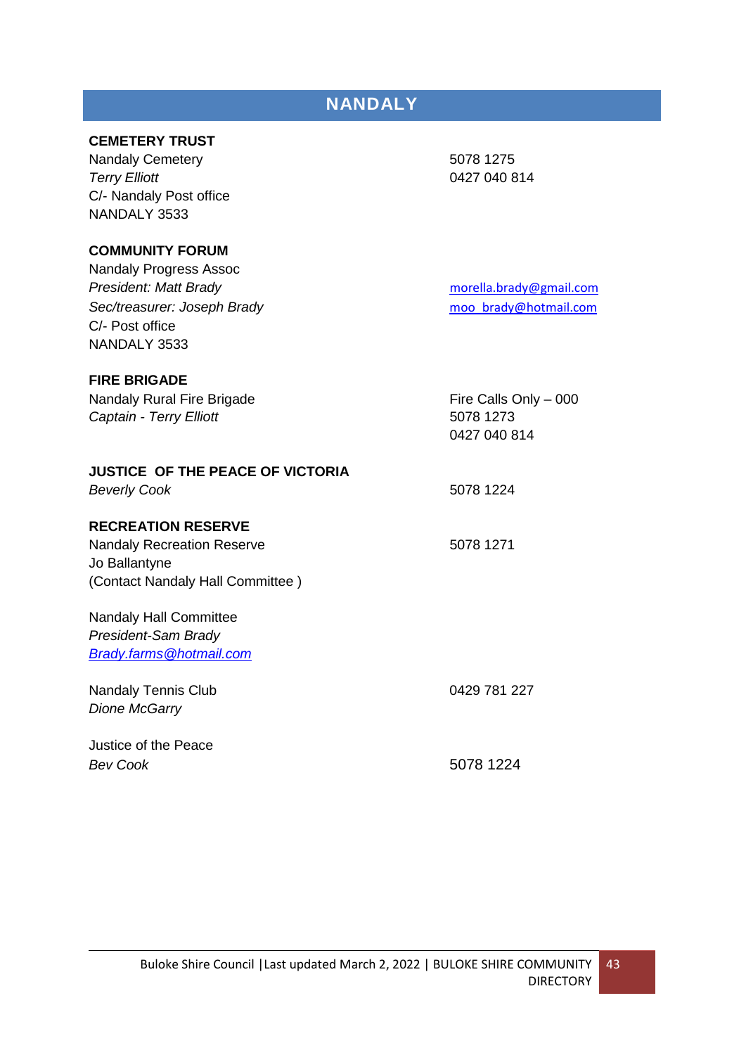### **NANDALY**

### **CEMETERY TRUST**

Nandaly Cemetery 6078 1275 *Terry Elliott* 0427 040 814 C/- Nandaly Post office NANDALY 3533

### **COMMUNITY FORUM**

Nandaly Progress Assoc **President: Matt Brady** [morella.brady@gmail.com](mailto:morella.brady@gmail.com) *Sec/treasurer: Joseph Brady* [moo\\_brady@hotmail.com](mailto:moo_brady@hotmail.com) C/- Post office NANDALY 3533

#### **FIRE BRIGADE**

Nandaly Rural Fire Brigade Fire Calls Only – 000 *Captain - Terry Elliott* 5078 1273 0427 040 814 **JUSTICE OF THE PEACE OF VICTORIA Beverly Cook** 5078 1224 **RECREATION RESERVE** Nandaly Recreation Reserve 5078 1271 Jo Ballantyne (Contact Nandaly Hall Committee ) Nandaly Hall Committee

*President-Sam Brady [Brady.farms@hotmail.com](mailto:Brady.farms@hotmail.com)*

Nandaly Tennis Club 0429 781 227 *Dione McGarry* Justice of the Peace *Bev Cook* 5078 1224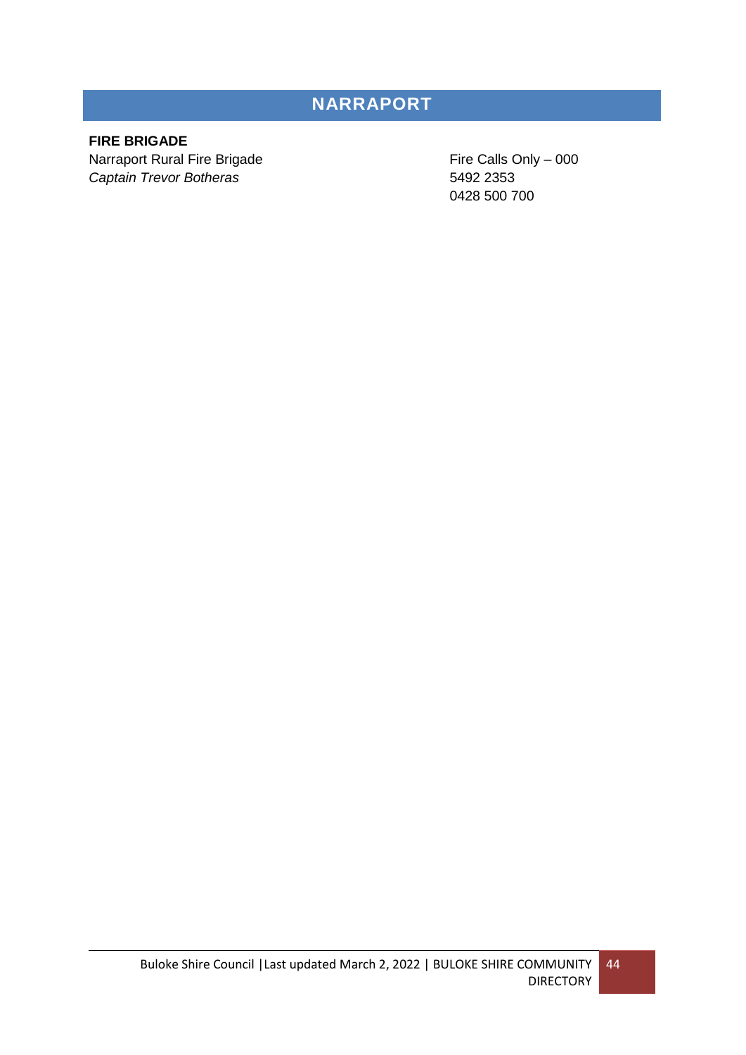## **NARRAPORT**

### **FIRE BRIGADE**

Narraport Rural Fire Brigade **Fire Calls Only – 000** *Captain Trevor Botheras* 5492 2353

0428 500 700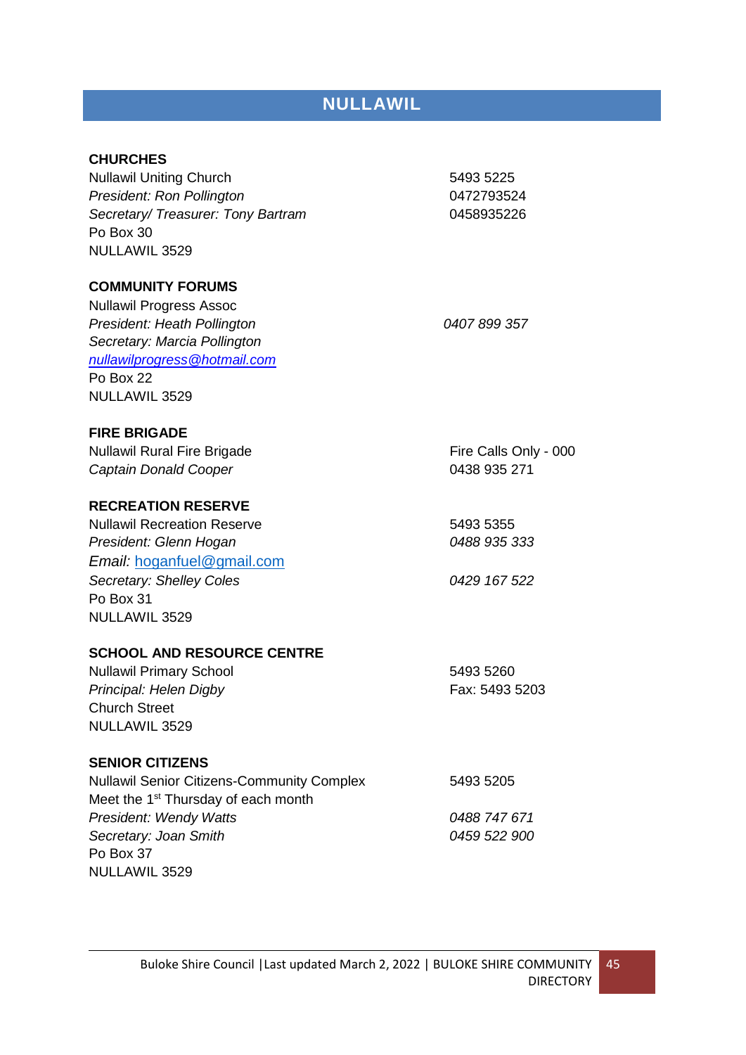### **NULLAWIL**

#### **CHURCHES**

Nullawil Uniting Church 5493 5225 President: Ron Pollington<br>
0472793524 *Secretary/ Treasurer: Tony Bartram* 0458935226 Po Box 30 NULLAWIL 3529

#### **COMMUNITY FORUMS**

Nullawil Progress Assoc *President: Heath Pollington 0407 899 357 Secretary: Marcia Pollington [nullawilprogress@hotmail.com](mailto:nullawilprogress@hotmail.com)* Po Box 22 NULLAWIL 3529

#### **FIRE BRIGADE**

Nullawil Rural Fire Brigade Fire Calls Only - 000 **Captain Donald Cooper** 0438 935 271

#### **RECREATION RESERVE**

Nullawil Recreation Reserve 1986 1997 1998 5493 5355 *President: Glenn Hogan 0488 935 333 Email:* [hoganfuel@gmail.com](mailto:hoganfuel@gmail.com) *Secretary: Shelley Coles 0429 167 522* Po Box 31 NULLAWIL 3529

### **SCHOOL AND RESOURCE CENTRE**

Nullawil Primary School 5493 5260 **Principal: Helen Digby Fax: 5493 5203** Church Street NULLAWIL 3529

#### **SENIOR CITIZENS**

Nullawil Senior Citizens-Community Complex 5493 5205 Meet the 1<sup>st</sup> Thursday of each month *President: Wendy Watts 0488 747 671 Secretary: Joan Smith 0459 522 900* Po Box 37 NULLAWIL 3529

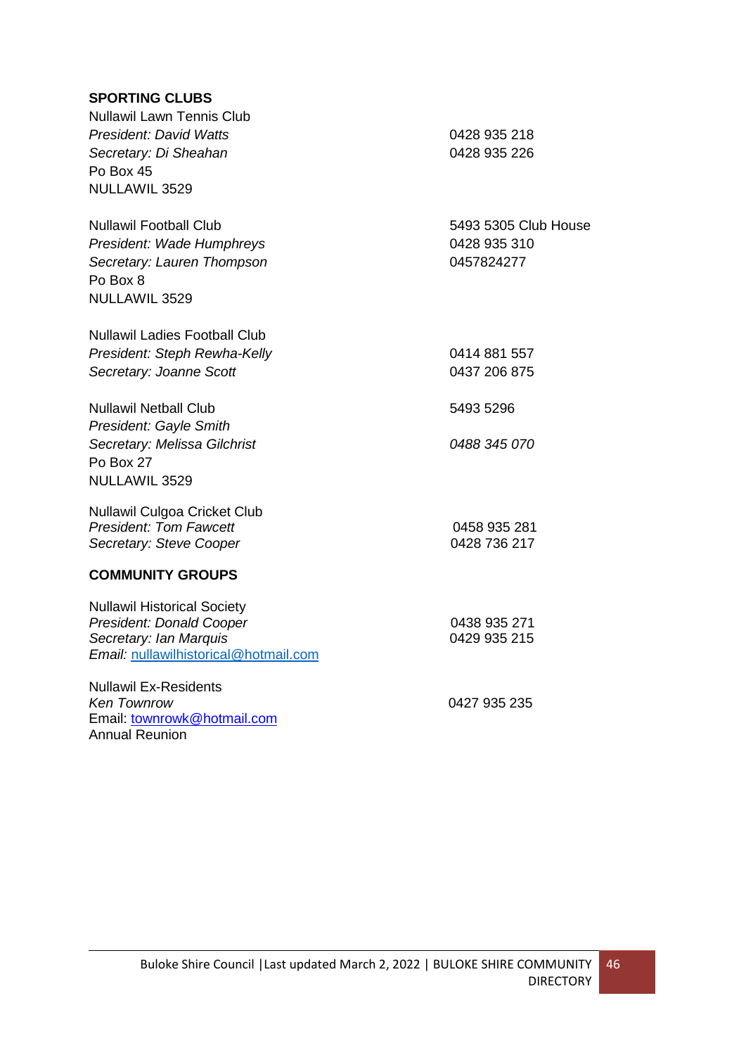### **SPORTING CLUBS**

Email: [townrowk@hotmail.com](mailto:townrowk@hotmail.com)

Annual Reunion

| <b>Nullawil Lawn Tennis Club</b><br><b>President: David Watts</b><br>Secretary: Di Sheahan<br>Po Box 45<br>NULLAWIL 3529                 | 0428 935 218<br>0428 935 226                       |
|------------------------------------------------------------------------------------------------------------------------------------------|----------------------------------------------------|
| <b>Nullawil Football Club</b><br>President: Wade Humphreys<br>Secretary: Lauren Thompson<br>Po Box 8<br>NULLAWIL 3529                    | 5493 5305 Club House<br>0428 935 310<br>0457824277 |
| <b>Nullawil Ladies Football Club</b><br>President: Steph Rewha-Kelly<br>Secretary: Joanne Scott                                          | 0414 881 557<br>0437 206 875                       |
| <b>Nullawil Netball Club</b><br>President: Gayle Smith<br>Secretary: Melissa Gilchrist<br>Po Box 27<br>NULLAWIL 3529                     | 5493 5296<br>0488 345 070                          |
| Nullawil Culgoa Cricket Club<br><b>President: Tom Fawcett</b><br>Secretary: Steve Cooper                                                 | 0458 935 281<br>0428 736 217                       |
| <b>COMMUNITY GROUPS</b>                                                                                                                  |                                                    |
| <b>Nullawil Historical Society</b><br><b>President: Donald Cooper</b><br>Secretary: Ian Marquis<br>Email: nullawilhistorical@hotmail.com | 0438 935 271<br>0429 935 215                       |
| <b>Nullawil Ex-Residents</b><br><b>Ken Townrow</b>                                                                                       | 0427 935 235                                       |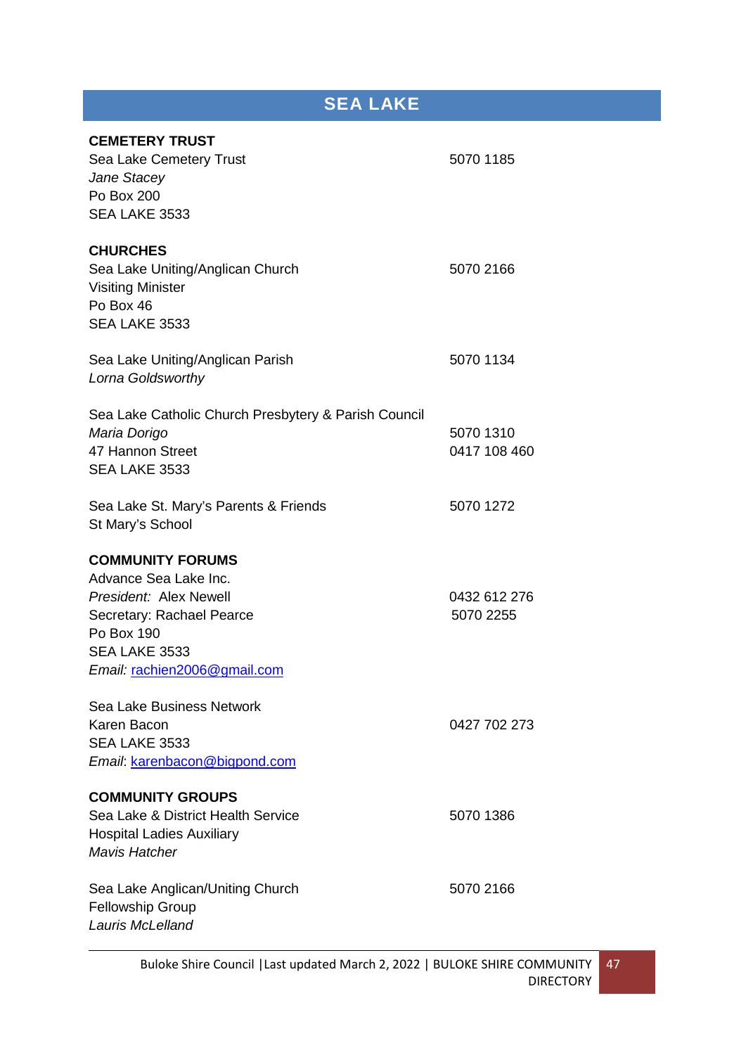# **SEA LAKE**

| Sea Lake Cemetery Trust                              | 5070 1185    |
|------------------------------------------------------|--------------|
| Jane Stacey                                          |              |
| Po Box 200                                           |              |
| SEA LAKE 3533                                        |              |
| <b>CHURCHES</b>                                      |              |
| Sea Lake Uniting/Anglican Church                     | 5070 2166    |
| <b>Visiting Minister</b>                             |              |
| Po Box 46                                            |              |
| SEA LAKE 3533                                        |              |
| Sea Lake Uniting/Anglican Parish                     | 5070 1134    |
| Lorna Goldsworthy                                    |              |
| Sea Lake Catholic Church Presbytery & Parish Council |              |
| Maria Dorigo                                         | 5070 1310    |
| 47 Hannon Street                                     | 0417 108 460 |
| SEA LAKE 3533                                        |              |
| Sea Lake St. Mary's Parents & Friends                | 5070 1272    |
| St Mary's School                                     |              |
| <b>COMMUNITY FORUMS</b>                              |              |
| Advance Sea Lake Inc.                                |              |
| President: Alex Newell                               | 0432 612 276 |
|                                                      |              |
| Secretary: Rachael Pearce                            | 5070 2255    |
| Po Box 190                                           |              |
| SEA LAKE 3533                                        |              |
| Email: rachien2006@gmail.com                         |              |
| Sea Lake Business Network                            |              |
| Karen Bacon                                          | 0427 702 273 |
| SEA LAKE 3533                                        |              |
| Email: karenbacon@bigpond.com                        |              |
| <b>COMMUNITY GROUPS</b>                              |              |
| Sea Lake & District Health Service                   | 5070 1386    |
| <b>Hospital Ladies Auxiliary</b>                     |              |
| <b>Mavis Hatcher</b>                                 |              |
| Sea Lake Anglican/Uniting Church                     | 5070 2166    |
| <b>Fellowship Group</b><br>Lauris McLelland          |              |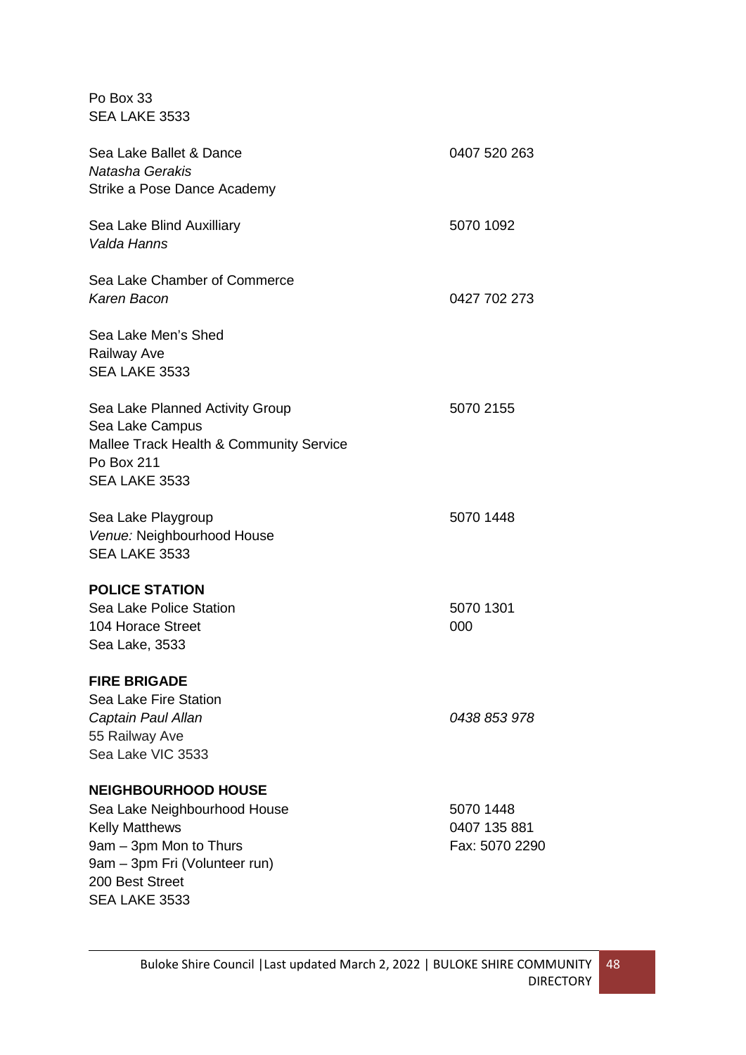Po Box 33 SEA LAKE 3533

| Sea Lake Ballet & Dance<br>Natasha Gerakis<br>Strike a Pose Dance Academy                                                                                                          | 0407 520 263                                |
|------------------------------------------------------------------------------------------------------------------------------------------------------------------------------------|---------------------------------------------|
| Sea Lake Blind Auxilliary<br>Valda Hanns                                                                                                                                           | 5070 1092                                   |
| Sea Lake Chamber of Commerce<br>Karen Bacon                                                                                                                                        | 0427 702 273                                |
| Sea Lake Men's Shed<br><b>Railway Ave</b><br>SEA LAKE 3533                                                                                                                         |                                             |
| Sea Lake Planned Activity Group<br>Sea Lake Campus<br>Mallee Track Health & Community Service<br>Po Box 211<br>SEA LAKE 3533                                                       | 5070 2155                                   |
| Sea Lake Playgroup<br>Venue: Neighbourhood House<br>SEA LAKE 3533                                                                                                                  | 5070 1448                                   |
| <b>POLICE STATION</b><br>Sea Lake Police Station<br>104 Horace Street<br>Sea Lake, 3533                                                                                            | 5070 1301<br>000                            |
| <b>FIRE BRIGADE</b><br><b>Sea Lake Fire Station</b><br>Captain Paul Allan<br>55 Railway Ave<br>Sea Lake VIC 3533                                                                   | 0438 853 978                                |
| <b>NEIGHBOURHOOD HOUSE</b><br>Sea Lake Neighbourhood House<br><b>Kelly Matthews</b><br>9am - 3pm Mon to Thurs<br>9am - 3pm Fri (Volunteer run)<br>200 Best Street<br>SEA LAKE 3533 | 5070 1448<br>0407 135 881<br>Fax: 5070 2290 |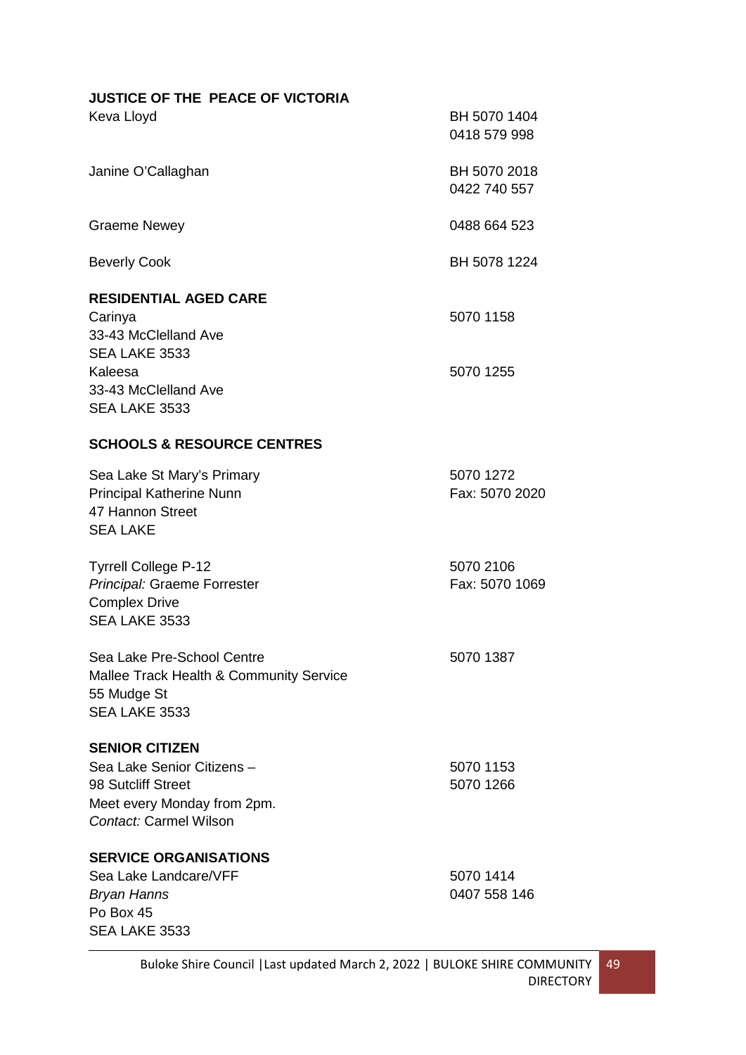| <b>JUSTICE OF THE PEACE OF VICTORIA</b>                                                                                            |                              |
|------------------------------------------------------------------------------------------------------------------------------------|------------------------------|
| Keva Lloyd                                                                                                                         | BH 5070 1404<br>0418 579 998 |
| Janine O'Callaghan                                                                                                                 | BH 5070 2018<br>0422 740 557 |
| <b>Graeme Newey</b>                                                                                                                | 0488 664 523                 |
| <b>Beverly Cook</b>                                                                                                                | BH 5078 1224                 |
| <b>RESIDENTIAL AGED CARE</b><br>Carinya<br>33-43 McClelland Ave<br>SEA LAKE 3533                                                   | 5070 1158                    |
| Kaleesa<br>33-43 McClelland Ave<br>SEA LAKE 3533                                                                                   | 5070 1255                    |
| <b>SCHOOLS &amp; RESOURCE CENTRES</b>                                                                                              |                              |
| Sea Lake St Mary's Primary<br>Principal Katherine Nunn<br>47 Hannon Street<br><b>SEA LAKE</b>                                      | 5070 1272<br>Fax: 5070 2020  |
| <b>Tyrrell College P-12</b><br>Principal: Graeme Forrester<br><b>Complex Drive</b><br>SEA LAKE 3533                                | 5070 2106<br>Fax: 5070 1069  |
| Sea Lake Pre-School Centre<br><b>Mallee Track Health &amp; Community Service</b><br>55 Mudge St<br>SEA LAKE 3533                   | 5070 1387                    |
| <b>SENIOR CITIZEN</b><br>Sea Lake Senior Citizens –<br>98 Sutcliff Street<br>Meet every Monday from 2pm.<br>Contact: Carmel Wilson | 5070 1153<br>5070 1266       |
| <b>SERVICE ORGANISATIONS</b><br>Sea Lake Landcare/VFF<br>Bryan Hanns<br>Po Box 45<br>SEA LAKE 3533                                 | 5070 1414<br>0407 558 146    |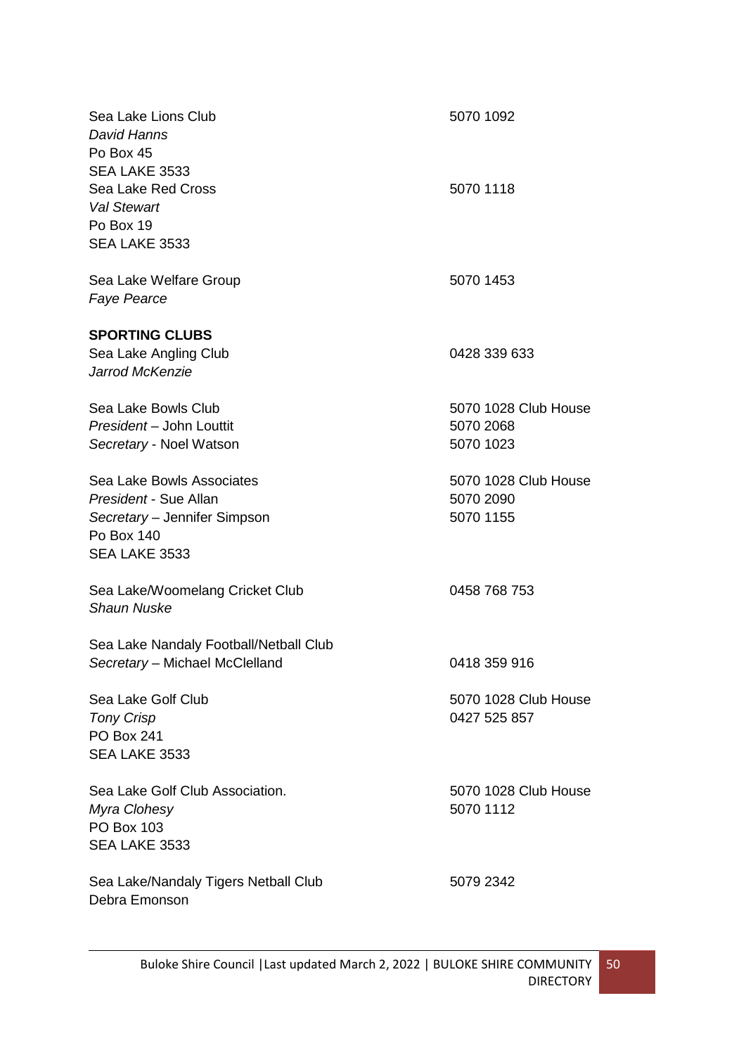| Sea Lake Lions Club<br>David Hanns<br>Po Box 45                                         | 5070 1092            |
|-----------------------------------------------------------------------------------------|----------------------|
| SEA LAKE 3533<br>Sea Lake Red Cross<br><b>Val Stewart</b><br>Po Box 19<br>SEA LAKE 3533 | 5070 1118            |
| Sea Lake Welfare Group<br><b>Faye Pearce</b>                                            | 5070 1453            |
| <b>SPORTING CLUBS</b>                                                                   |                      |
| Sea Lake Angling Club<br>Jarrod McKenzie                                                | 0428 339 633         |
| Sea Lake Bowls Club                                                                     | 5070 1028 Club House |
| President - John Louttit                                                                | 5070 2068            |
| Secretary - Noel Watson                                                                 | 5070 1023            |
| Sea Lake Bowls Associates                                                               | 5070 1028 Club House |
| President - Sue Allan                                                                   | 5070 2090            |
| Secretary - Jennifer Simpson<br>Po Box 140                                              | 5070 1155            |
| SEA LAKE 3533                                                                           |                      |
| Sea Lake/Woomelang Cricket Club<br><b>Shaun Nuske</b>                                   | 0458 768 753         |
| Sea Lake Nandaly Football/Netball Club                                                  |                      |
| Secretary - Michael McClelland                                                          | 0418 359 916         |
| Sea Lake Golf Club                                                                      | 5070 1028 Club House |
| <b>Tony Crisp</b>                                                                       | 0427 525 857         |
| <b>PO Box 241</b>                                                                       |                      |
| SEA LAKE 3533                                                                           |                      |
| Sea Lake Golf Club Association.                                                         | 5070 1028 Club House |
| Myra Clohesy                                                                            | 5070 1112            |
| <b>PO Box 103</b>                                                                       |                      |
| SEA LAKE 3533                                                                           |                      |
| Sea Lake/Nandaly Tigers Netball Club<br>Debra Emonson                                   | 5079 2342            |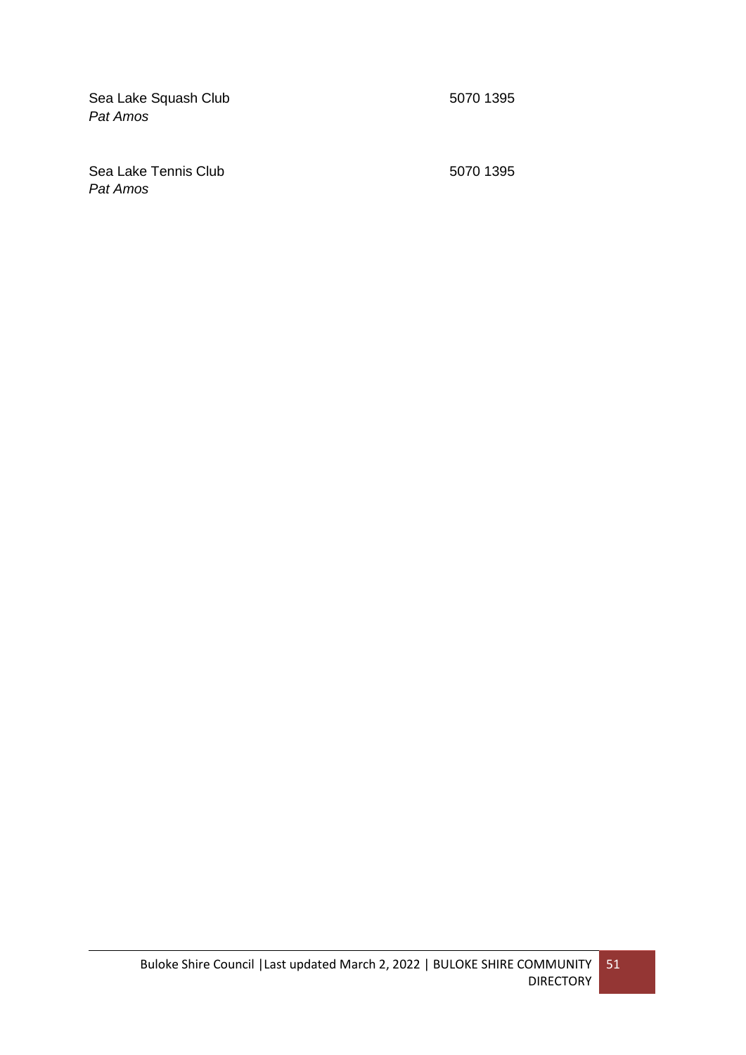Sea Lake Squash Club 5070 1395 *Pat Amos* 

Sea Lake Tennis Club 5070 1395 *Pat Amos*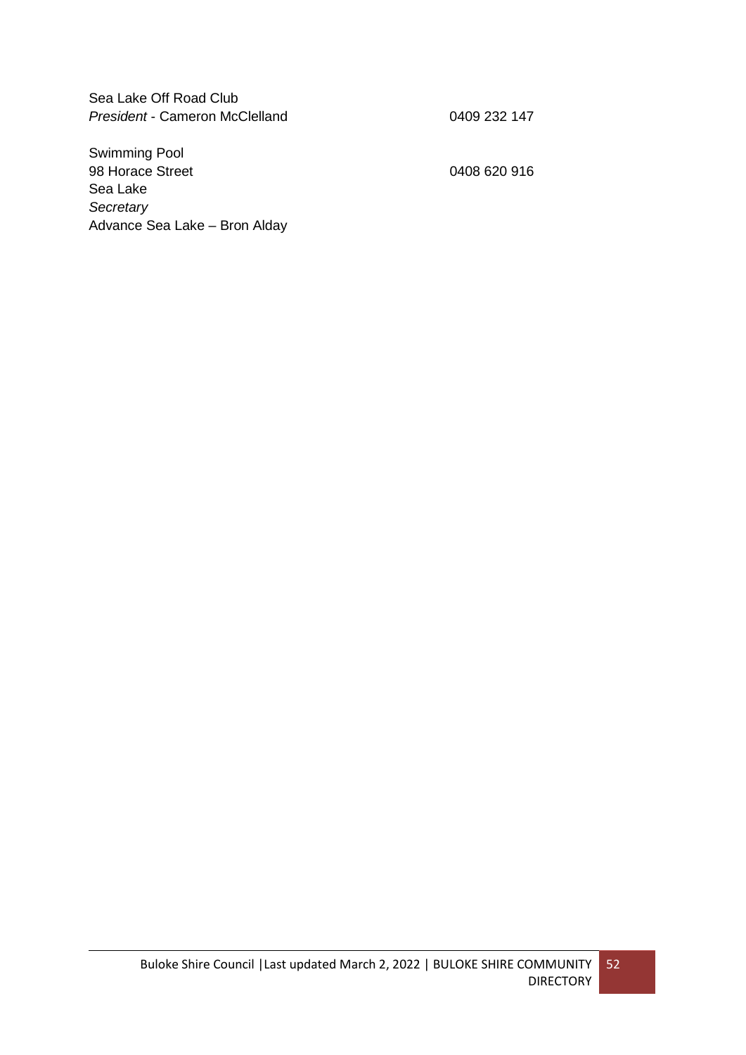Sea Lake Off Road Club President - Cameron McClelland **0409 232 147** 

Swimming Pool 98 Horace Street 2008 620 916 Sea Lake *Secretary* Advance Sea Lake – Bron Alday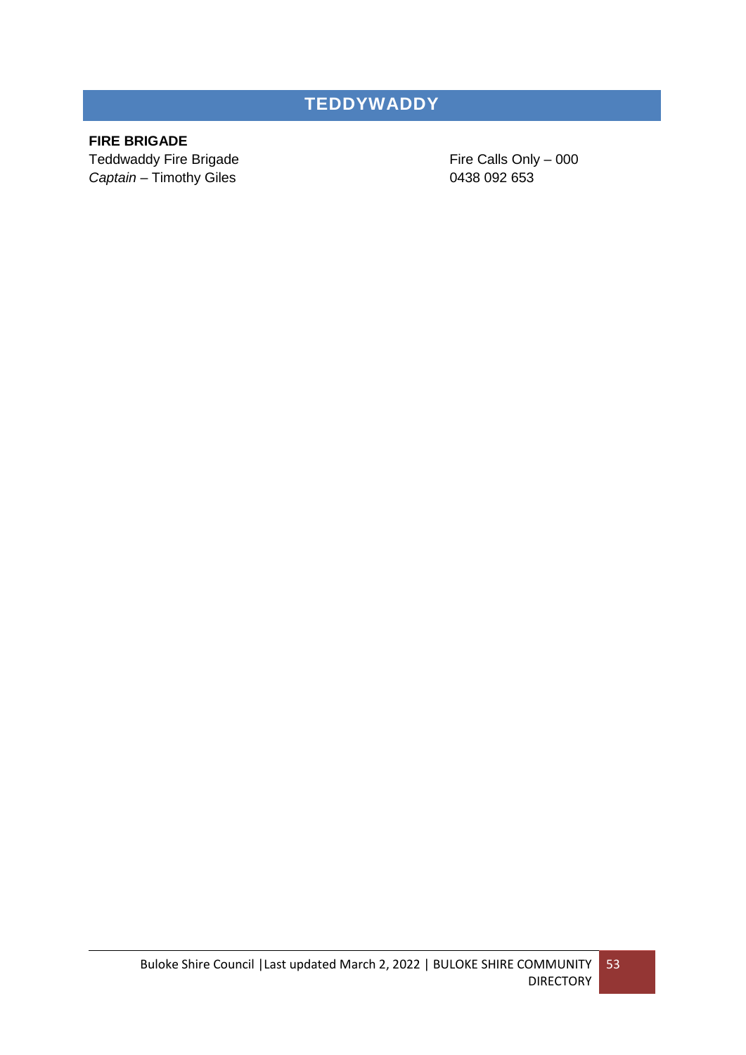## **TEDDYWADDY**

### **FIRE BRIGADE**

**Captain** – Timothy Giles **0438 092 653** 

Teddwaddy Fire Brigade Fire Calls Only – 000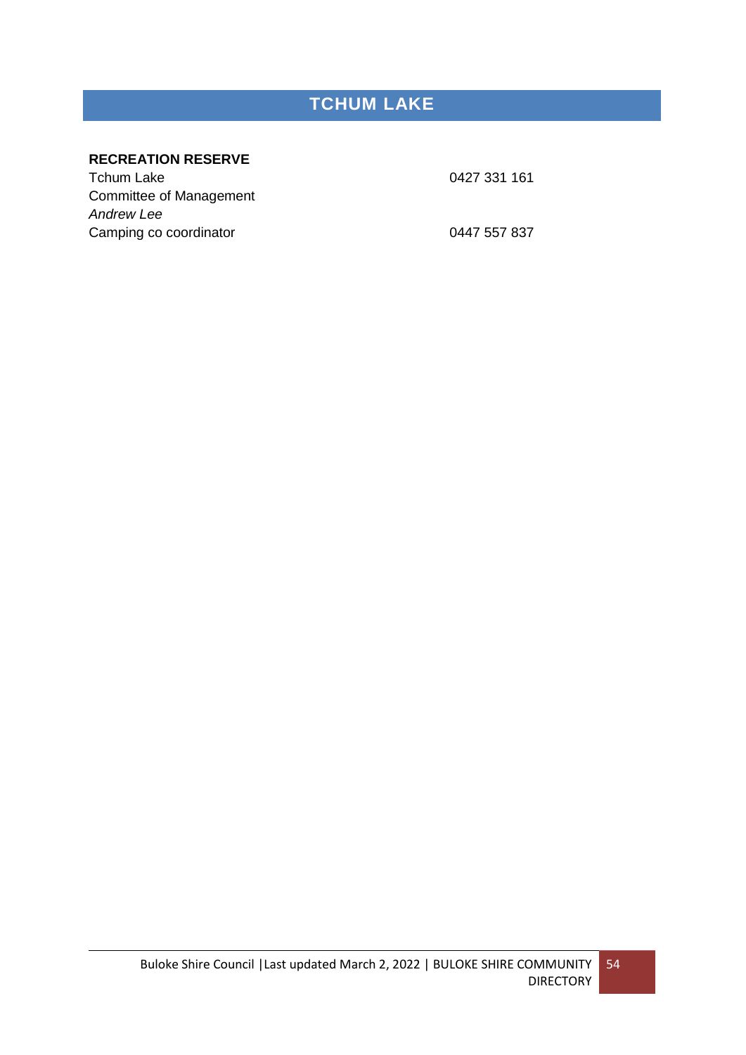# **TCHUM LAKE**

### **RECREATION RESERVE**

Tchum Lake 0427 331 161 Committee of Management *Andrew Lee* Camping co coordinator **Camping Controllering** Control Camping Control Camping Control Control Control Control Co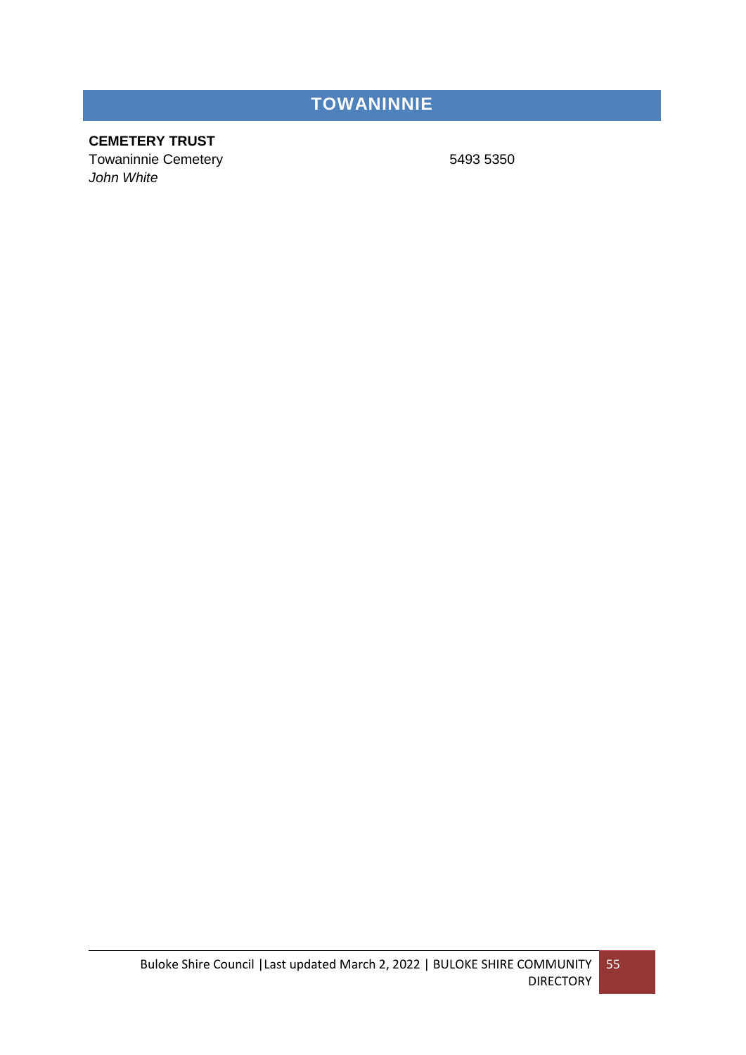# **TOWANINNIE**

### **CEMETERY TRUST**

Towaninnie Cemetery 6493 5350 *John White*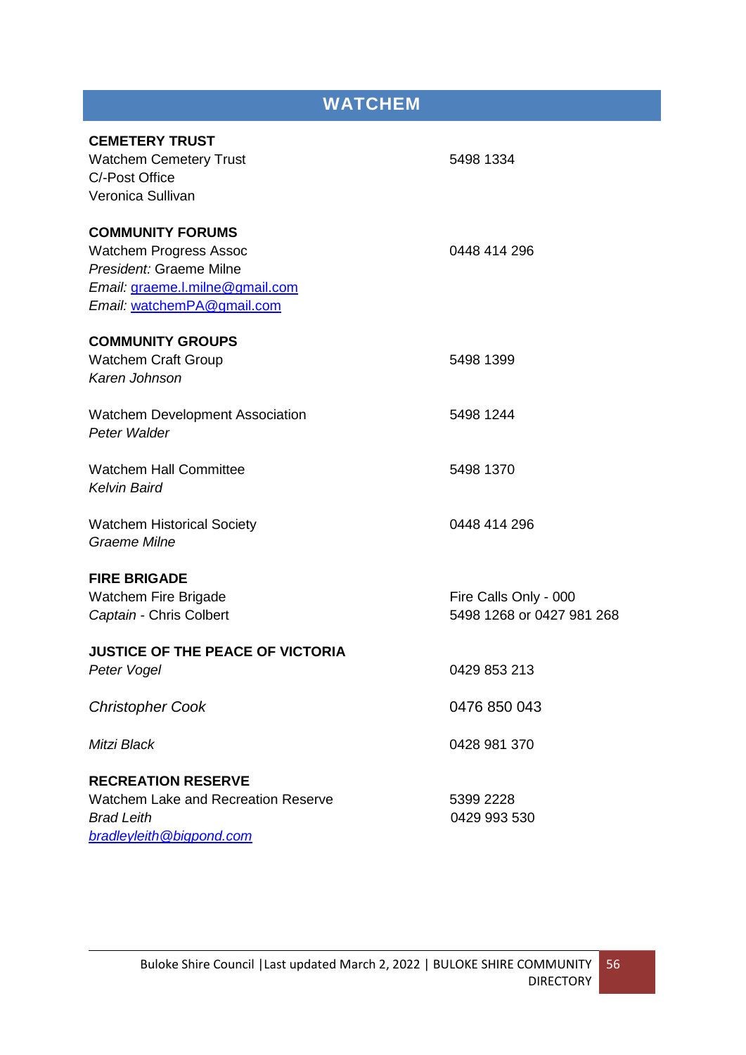| <b>WATCHEM</b>                                    |                           |  |
|---------------------------------------------------|---------------------------|--|
|                                                   |                           |  |
| <b>CEMETERY TRUST</b>                             |                           |  |
| <b>Watchem Cemetery Trust</b>                     | 5498 1334                 |  |
| C/-Post Office                                    |                           |  |
| Veronica Sullivan                                 |                           |  |
| <b>COMMUNITY FORUMS</b>                           |                           |  |
| <b>Watchem Progress Assoc</b>                     | 0448 414 296              |  |
| President: Graeme Milne                           |                           |  |
| Email: graeme.l.milne@gmail.com                   |                           |  |
| Email: watchemPA@gmail.com                        |                           |  |
| <b>COMMUNITY GROUPS</b>                           |                           |  |
| <b>Watchem Craft Group</b>                        | 5498 1399                 |  |
| Karen Johnson                                     |                           |  |
| <b>Watchem Development Association</b>            | 5498 1244                 |  |
| Peter Walder                                      |                           |  |
| <b>Watchem Hall Committee</b>                     | 5498 1370                 |  |
| <b>Kelvin Baird</b>                               |                           |  |
|                                                   |                           |  |
| <b>Watchem Historical Society</b><br>Graeme Milne | 0448 414 296              |  |
|                                                   |                           |  |
| <b>FIRE BRIGADE</b>                               |                           |  |
| <b>Watchem Fire Brigade</b>                       | Fire Calls Only - 000     |  |
| Captain - Chris Colbert                           | 5498 1268 or 0427 981 268 |  |
| <b>JUSTICE OF THE PEACE OF VICTORIA</b>           |                           |  |
| Peter Vogel                                       | 0429 853 213              |  |
|                                                   |                           |  |
| <b>Christopher Cook</b>                           | 0476 850 043              |  |
| Mitzi Black                                       | 0428 981 370              |  |
| <b>RECREATION RESERVE</b>                         |                           |  |
| <b>Watchem Lake and Recreation Reserve</b>        | 5399 2228                 |  |
| <b>Brad Leith</b>                                 | 0429 993 530              |  |
| bradleyleith@bigpond.com                          |                           |  |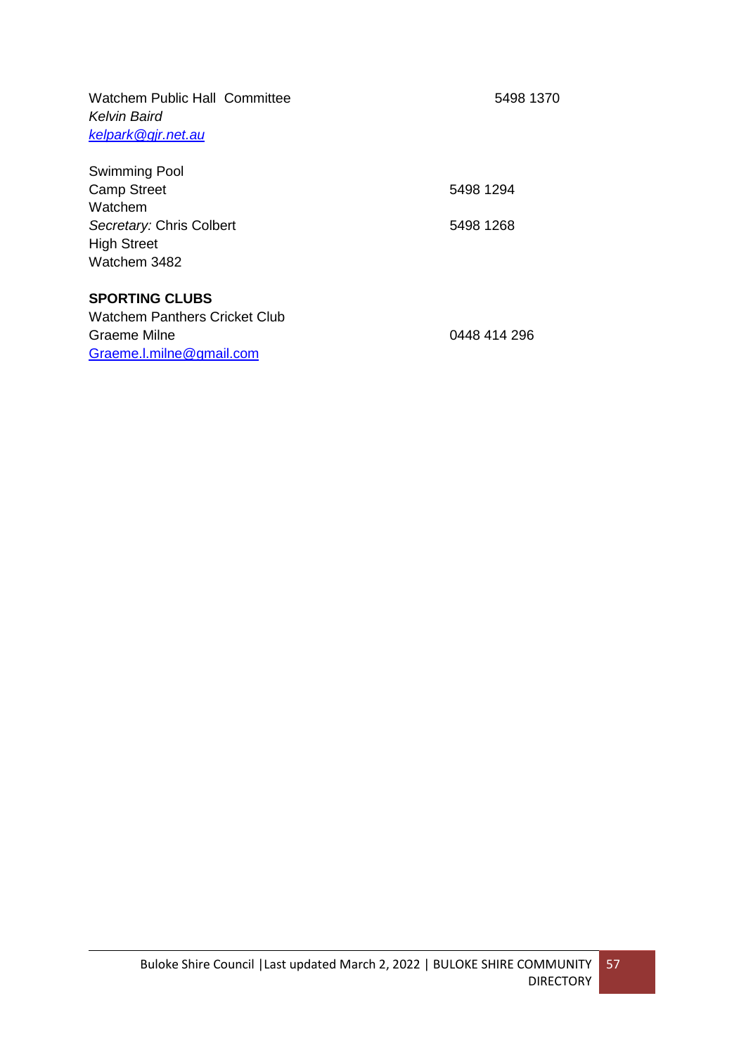Watchem Public Hall Committee 5498 1370 *Kelvin Baird [kelpark@gjr.net.au](mailto:kelpark@gjr.net.au)*

| Swimming Pool            |           |
|--------------------------|-----------|
| <b>Camp Street</b>       | 5498 1294 |
| Watchem                  |           |
| Secretary: Chris Colbert | 5498 1268 |
| <b>High Street</b>       |           |
| Watchem 3482             |           |
|                          |           |
| $\sim$                   |           |

#### **SPORTING CLUBS**

| Watchem Panthers Cricket Club |              |
|-------------------------------|--------------|
| Graeme Milne                  | 0448 414 296 |
| Graeme.l.milne@gmail.com      |              |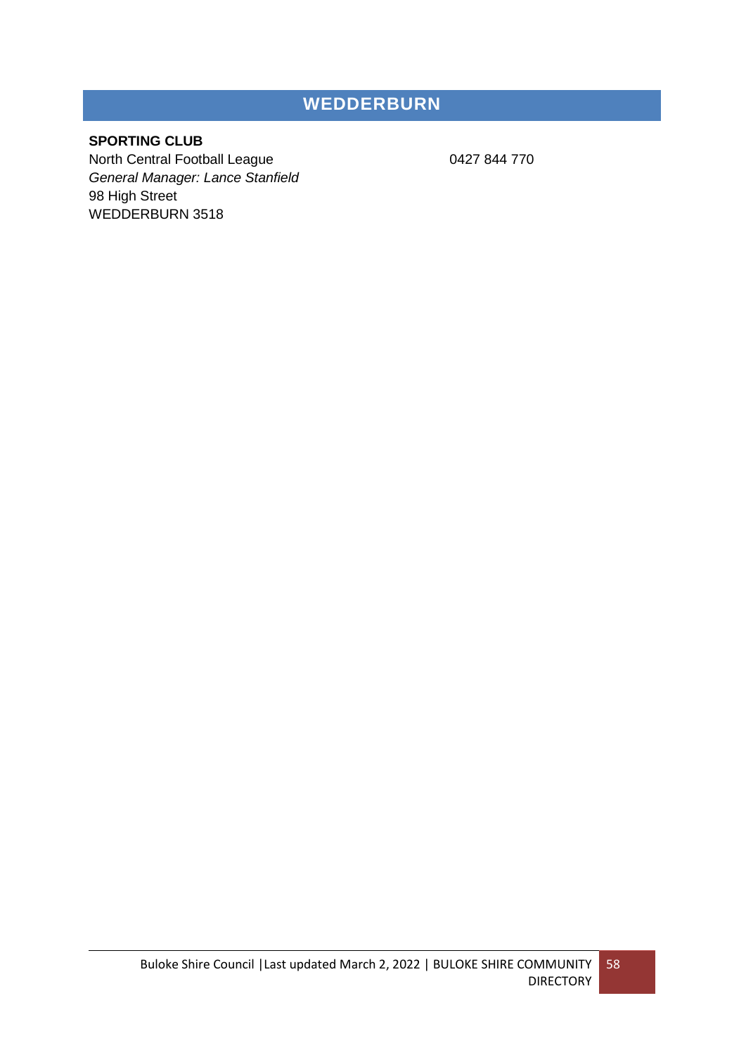## **WEDDERBURN**

### **SPORTING CLUB**

North Central Football League 0427 844 770 *General Manager: Lance Stanfield* 98 High Street WEDDERBURN 3518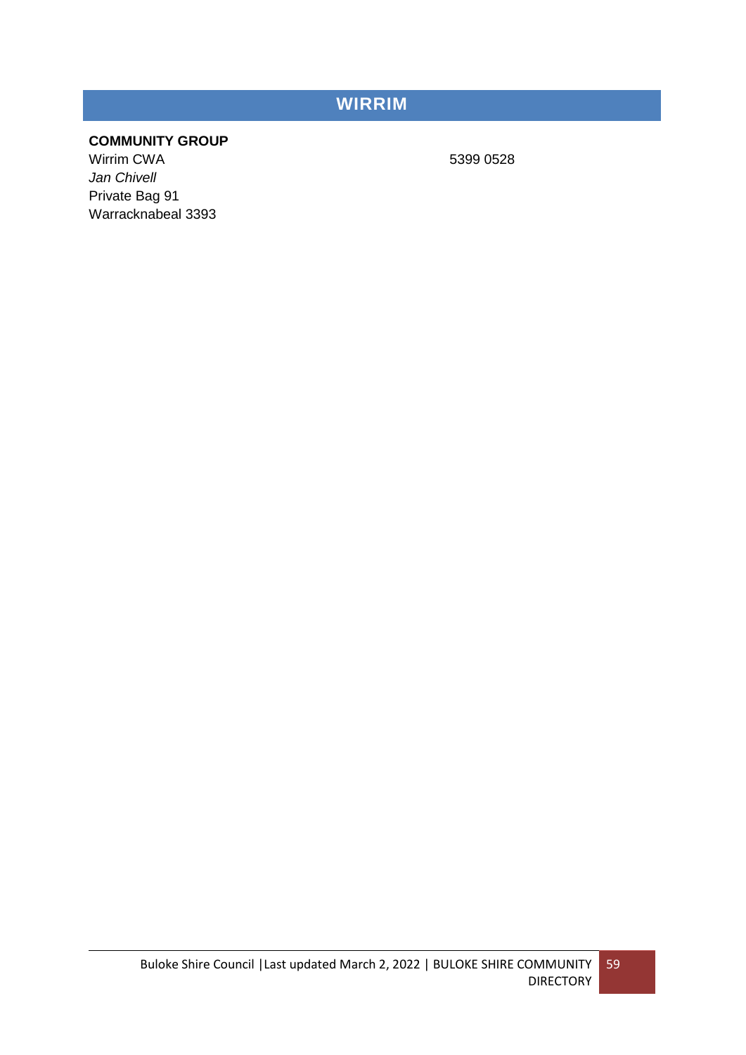## **WIRRIM**

### **COMMUNITY GROUP**

Wirrim CWA 5399 0528 *Jan Chivell* Private Bag 91 Warracknabeal 3393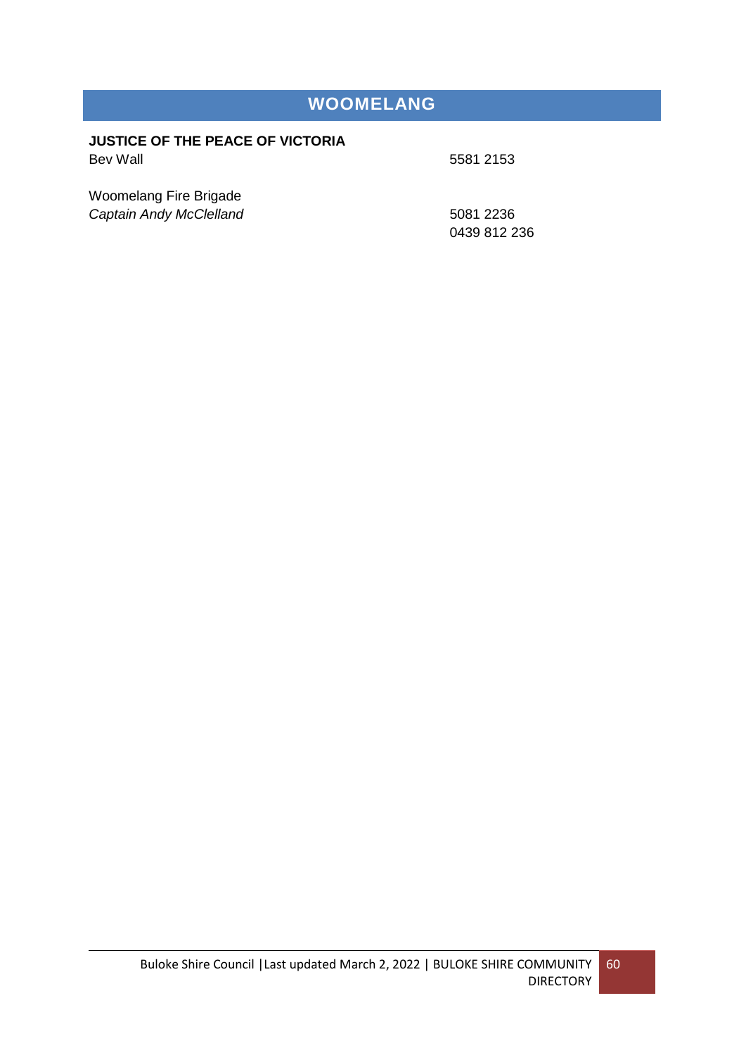## **WOOMELANG**

#### **JUSTICE OF THE PEACE OF VICTORIA** Bev Wall **6581** 2153

Woomelang Fire Brigade **Captain Andy McClelland** 5081 2236

0439 812 236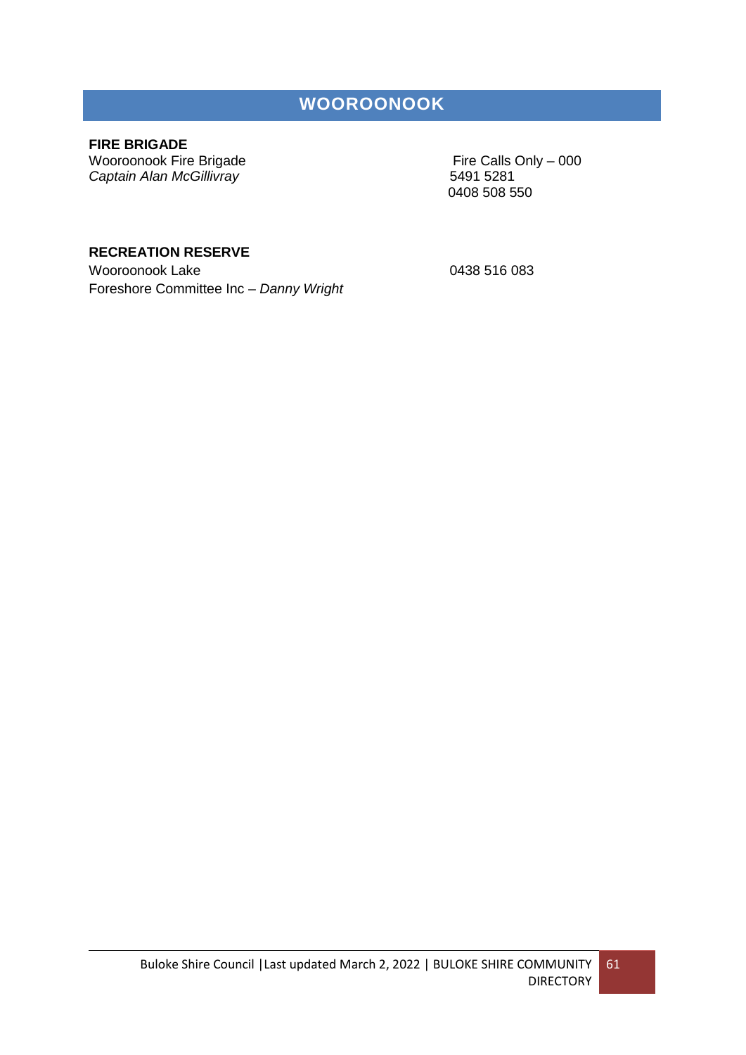### **WOOROONOOK**

### **FIRE BRIGADE**

Wooroonook Fire Brigade<br>
Captain Alan McGillivray<br>
Captain Alan McGillivray<br>
Fire Calls Only – 000 **Captain Alan McGillivray** 

0408 508 550

### **RECREATION RESERVE**

Wooroonook Lake 0438 516 083 Foreshore Committee Inc – *Danny Wright*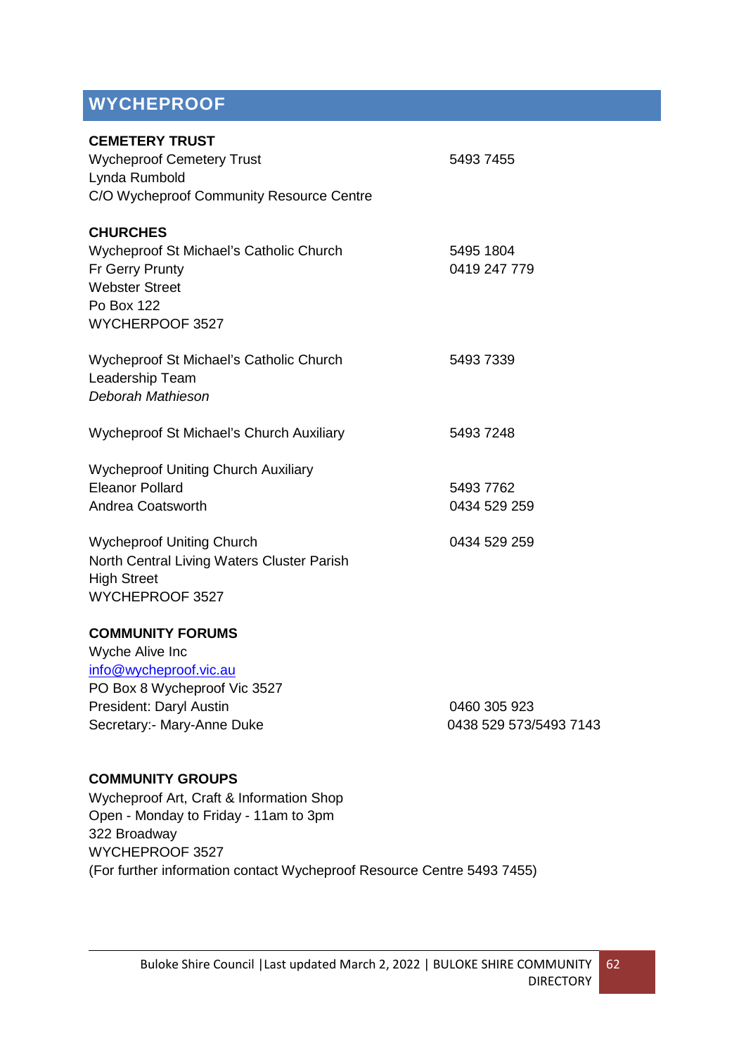# **WYCHEPROOF**

| <b>CEMETERY TRUST</b><br><b>Wycheproof Cemetery Trust</b><br>Lynda Rumbold<br>C/O Wycheproof Community Resource Centre                                                                                               | 5493 7455                                 |
|----------------------------------------------------------------------------------------------------------------------------------------------------------------------------------------------------------------------|-------------------------------------------|
| <b>CHURCHES</b><br>Wycheproof St Michael's Catholic Church<br>Fr Gerry Prunty<br><b>Webster Street</b><br>Po Box 122<br>WYCHERPOOF 3527                                                                              | 5495 1804<br>0419 247 779                 |
| Wycheproof St Michael's Catholic Church<br>Leadership Team<br>Deborah Mathieson                                                                                                                                      | 5493 7339                                 |
| Wycheproof St Michael's Church Auxiliary                                                                                                                                                                             | 5493 7248                                 |
| <b>Wycheproof Uniting Church Auxiliary</b><br><b>Eleanor Pollard</b><br>Andrea Coatsworth<br><b>Wycheproof Uniting Church</b><br>North Central Living Waters Cluster Parish<br><b>High Street</b><br>WYCHEPROOF 3527 | 5493 7762<br>0434 529 259<br>0434 529 259 |
| <b>COMMUNITY FORUMS</b><br>Wyche Alive Inc                                                                                                                                                                           |                                           |
| info@wycheproof.vic.au<br>PO Box 8 Wycheproof Vic 3527                                                                                                                                                               |                                           |
| President: Daryl Austin<br>Secretary:- Mary-Anne Duke                                                                                                                                                                | 0460 305 923<br>0438 529 573/5493 7143    |

### **COMMUNITY GROUPS**

Wycheproof Art, Craft & Information Shop Open - Monday to Friday - 11am to 3pm 322 Broadway WYCHEPROOF 3527 (For further information contact Wycheproof Resource Centre 5493 7455)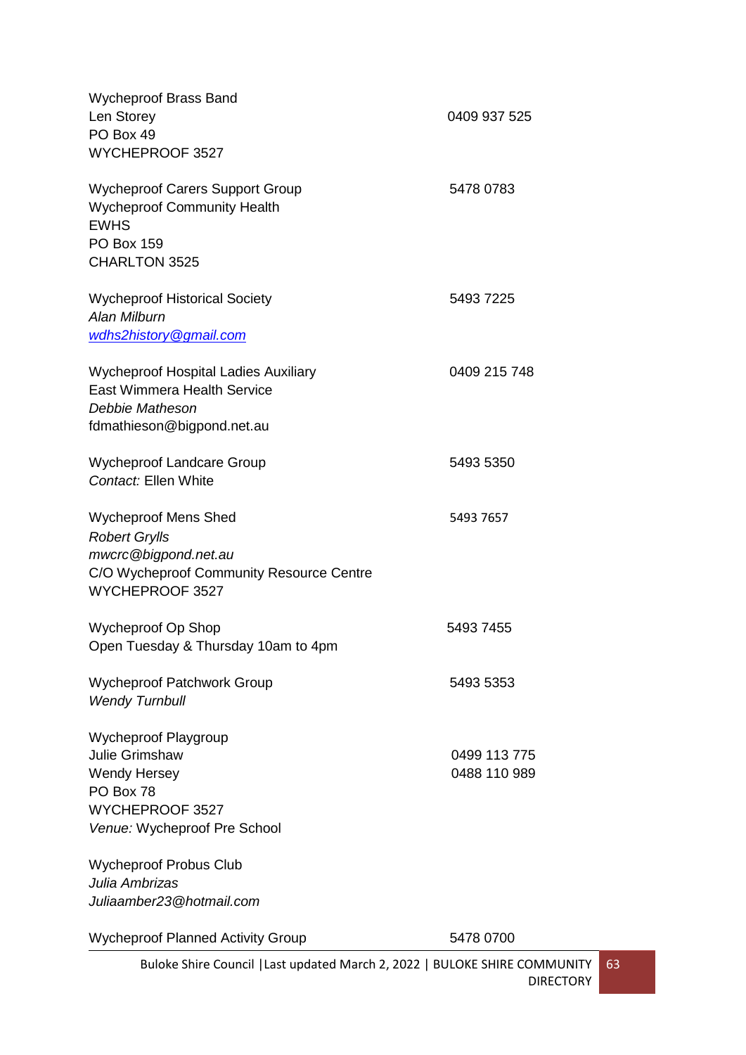| <b>Wycheproof Brass Band</b><br>Len Storey<br>PO Box 49<br>WYCHEPROOF 3527                                                                 | 0409 937 525                 |
|--------------------------------------------------------------------------------------------------------------------------------------------|------------------------------|
| <b>Wycheproof Carers Support Group</b><br><b>Wycheproof Community Health</b><br><b>EWHS</b><br><b>PO Box 159</b><br>CHARLTON 3525          | 5478 0783                    |
| <b>Wycheproof Historical Society</b><br>Alan Milburn<br>wdhs2history@gmail.com                                                             | 5493 7225                    |
| <b>Wycheproof Hospital Ladies Auxiliary</b><br><b>East Wimmera Health Service</b><br>Debbie Matheson<br>fdmathieson@bigpond.net.au         | 0409 215 748                 |
| <b>Wycheproof Landcare Group</b><br>Contact: Ellen White                                                                                   | 5493 5350                    |
| <b>Wycheproof Mens Shed</b><br><b>Robert Grylls</b><br>mwcrc@bigpond.net.au<br>C/O Wycheproof Community Resource Centre<br>WYCHEPROOF 3527 | 5493 7657                    |
| Wycheproof Op Shop<br>Open Tuesday & Thursday 10am to 4pm                                                                                  | 5493 7455                    |
| <b>Wycheproof Patchwork Group</b><br><b>Wendy Turnbull</b>                                                                                 | 5493 5353                    |
| Wycheproof Playgroup<br><b>Julie Grimshaw</b><br><b>Wendy Hersey</b><br>PO Box 78<br>WYCHEPROOF 3527<br>Venue: Wycheproof Pre School       | 0499 113 775<br>0488 110 989 |
| <b>Wycheproof Probus Club</b><br>Julia Ambrizas                                                                                            |                              |
| Juliaamber23@hotmail.com                                                                                                                   |                              |
| <b>Wycheproof Planned Activity Group</b>                                                                                                   | 5478 0700                    |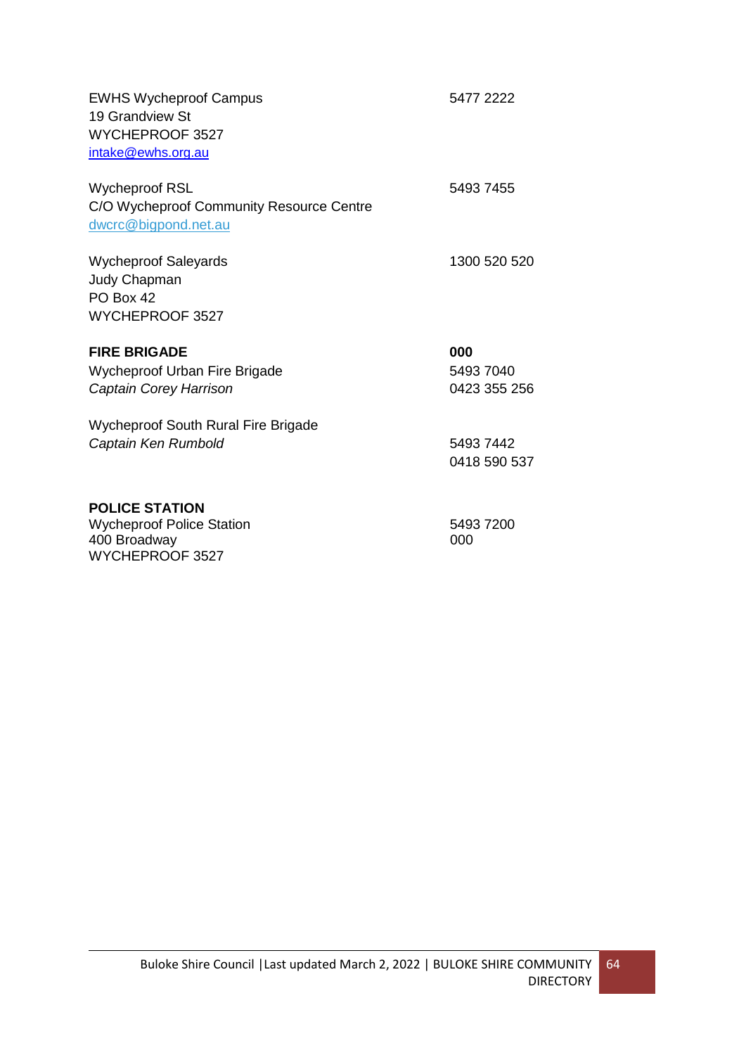| <b>EWHS Wycheproof Campus</b><br>19 Grandview St<br>WYCHEPROOF 3527<br>intake@ewhs.org.au | 5477 2222    |
|-------------------------------------------------------------------------------------------|--------------|
| <b>Wycheproof RSL</b><br>C/O Wycheproof Community Resource Centre<br>dwcrc@bigpond.net.au | 5493 7455    |
| <b>Wycheproof Saleyards</b><br><b>Judy Chapman</b><br>PO Box 42<br>WYCHEPROOF 3527        | 1300 520 520 |
| <b>FIRE BRIGADE</b>                                                                       | 000          |
| Wycheproof Urban Fire Brigade                                                             | 5493 7040    |
| Captain Corey Harrison                                                                    | 0423 355 256 |
| <b>Wycheproof South Rural Fire Brigade</b>                                                |              |
| Captain Ken Rumbold                                                                       | 5493 7442    |
|                                                                                           | 0418 590 537 |
| <b>POLICE STATION</b>                                                                     |              |
| <b>Wycheproof Police Station</b>                                                          | 5493 7200    |
| 400 Broadway                                                                              | 000          |
| WYCHEPROOF 3527                                                                           |              |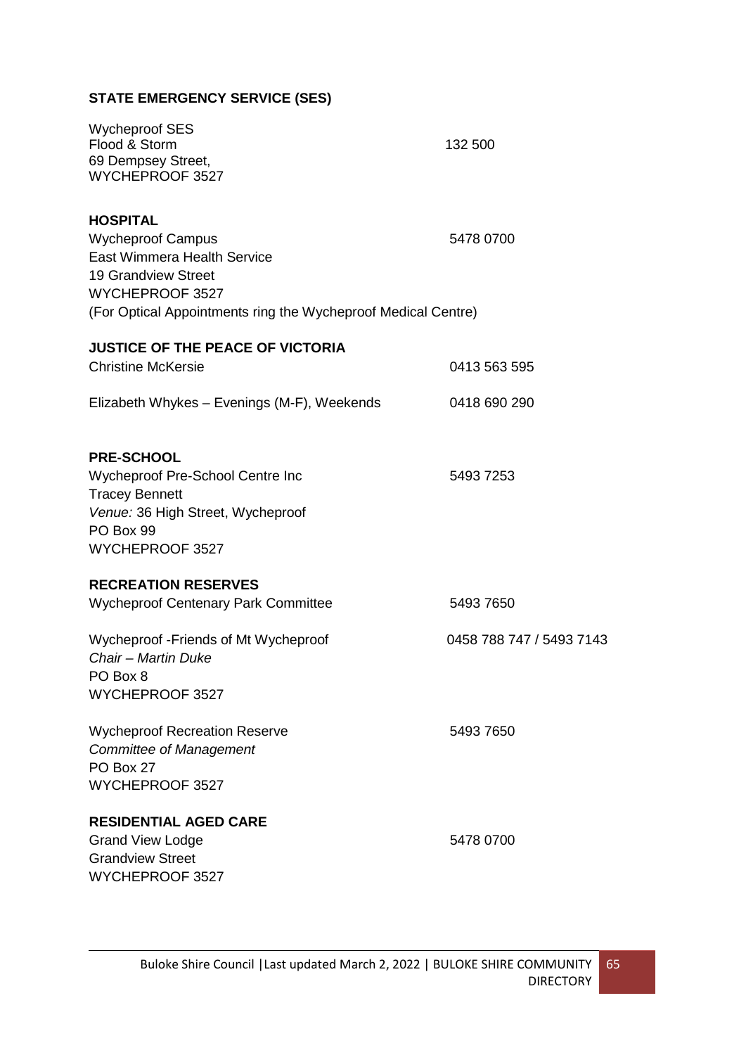### **STATE EMERGENCY SERVICE (SES)**

| <b>Wycheproof SES</b><br>Flood & Storm<br>69 Dempsey Street,<br>WYCHEPROOF 3527                                                                                                                     | 132 500                  |
|-----------------------------------------------------------------------------------------------------------------------------------------------------------------------------------------------------|--------------------------|
| <b>HOSPITAL</b><br><b>Wycheproof Campus</b><br><b>East Wimmera Health Service</b><br><b>19 Grandview Street</b><br>WYCHEPROOF 3527<br>(For Optical Appointments ring the Wycheproof Medical Centre) | 5478 0700                |
| <b>JUSTICE OF THE PEACE OF VICTORIA</b>                                                                                                                                                             |                          |
| <b>Christine McKersie</b>                                                                                                                                                                           | 0413 563 595             |
| Elizabeth Whykes - Evenings (M-F), Weekends                                                                                                                                                         | 0418 690 290             |
| <b>PRE-SCHOOL</b><br>Wycheproof Pre-School Centre Inc<br><b>Tracey Bennett</b><br>Venue: 36 High Street, Wycheproof<br>PO Box 99<br>WYCHEPROOF 3527                                                 | 5493 7253                |
| <b>RECREATION RESERVES</b>                                                                                                                                                                          |                          |
| <b>Wycheproof Centenary Park Committee</b>                                                                                                                                                          | 5493 7650                |
| Wycheproof - Friends of Mt Wycheproof<br>Chair - Martin Duke<br>PO Box 8<br>WYCHEPROOF 3527                                                                                                         | 0458 788 747 / 5493 7143 |
| <b>Wycheproof Recreation Reserve</b><br><b>Committee of Management</b><br>PO Box 27<br>WYCHEPROOF 3527                                                                                              | 5493 7650                |
| <b>RESIDENTIAL AGED CARE</b><br><b>Grand View Lodge</b><br><b>Grandview Street</b><br>WYCHEPROOF 3527                                                                                               | 5478 0700                |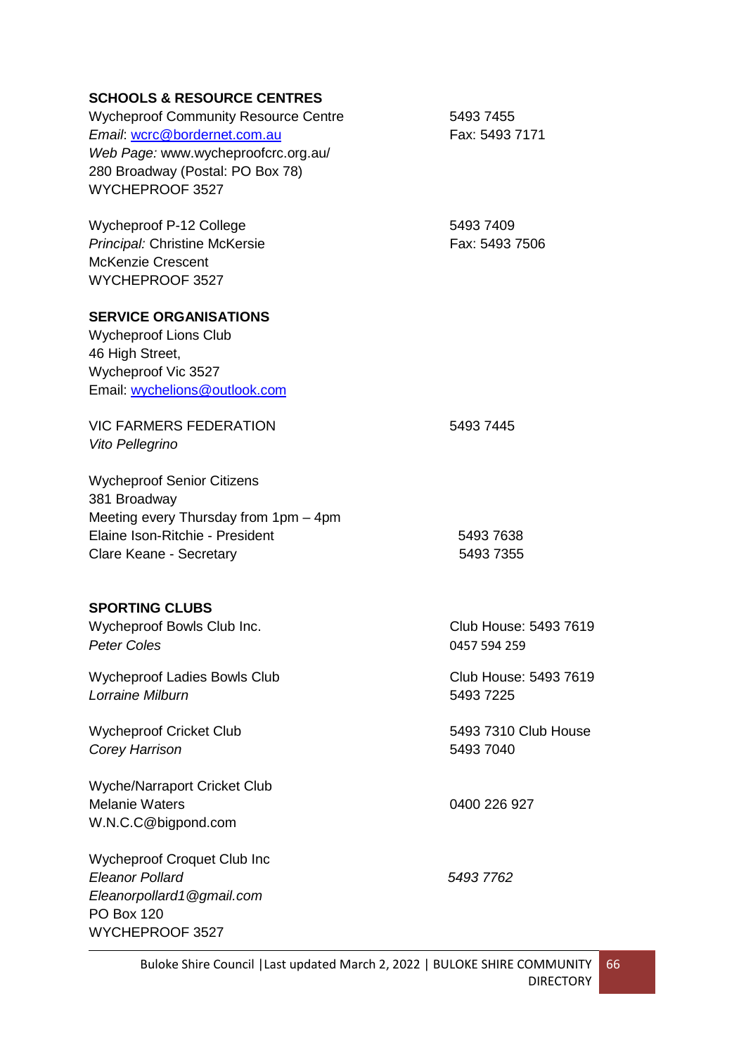### **SCHOOLS & RESOURCE CENTRES**

| <b>SCHOOLS &amp; RESOURCE CENTRES</b>                   |                       |
|---------------------------------------------------------|-----------------------|
| <b>Wycheproof Community Resource Centre</b>             | 5493 7455             |
| Email: wcrc@bordernet.com.au                            | Fax: 5493 7171        |
| Web Page: www.wycheproofcrc.org.au/                     |                       |
| 280 Broadway (Postal: PO Box 78)                        |                       |
| WYCHEPROOF 3527                                         |                       |
| Wycheproof P-12 College                                 | 5493 7409             |
| Principal: Christine McKersie                           | Fax: 5493 7506        |
| <b>McKenzie Crescent</b>                                |                       |
| WYCHEPROOF 3527                                         |                       |
| <b>SERVICE ORGANISATIONS</b>                            |                       |
| <b>Wycheproof Lions Club</b>                            |                       |
| 46 High Street,                                         |                       |
| Wycheproof Vic 3527                                     |                       |
| Email: wychelions@outlook.com                           |                       |
| <b>VIC FARMERS FEDERATION</b>                           | 5493 7445             |
| Vito Pellegrino                                         |                       |
| <b>Wycheproof Senior Citizens</b>                       |                       |
| 381 Broadway                                            |                       |
| Meeting every Thursday from 1pm - 4pm                   |                       |
| Elaine Ison-Ritchie - President                         | 5493 7638             |
| Clare Keane - Secretary                                 | 5493 7355             |
| <b>SPORTING CLUBS</b>                                   |                       |
| Wycheproof Bowls Club Inc.                              | Club House: 5493 7619 |
| <b>Peter Coles</b>                                      | 0457 594 259          |
|                                                         |                       |
| <b>Wycheproof Ladies Bowls Club</b><br>Lorraine Milburn | Club House: 5493 7619 |
|                                                         | 5493 7225             |
| <b>Wycheproof Cricket Club</b>                          | 5493 7310 Club House  |
| Corey Harrison                                          | 5493 7040             |
| <b>Wyche/Narraport Cricket Club</b>                     |                       |
| <b>Melanie Waters</b>                                   | 0400 226 927          |
| W.N.C.C@bigpond.com                                     |                       |
| <b>Wycheproof Croquet Club Inc</b>                      |                       |
| <b>Eleanor Pollard</b>                                  | 5493 7762             |
| Eleanorpollard1@gmail.com                               |                       |
| <b>PO Box 120</b>                                       |                       |
| WYCHEPROOF 3527                                         |                       |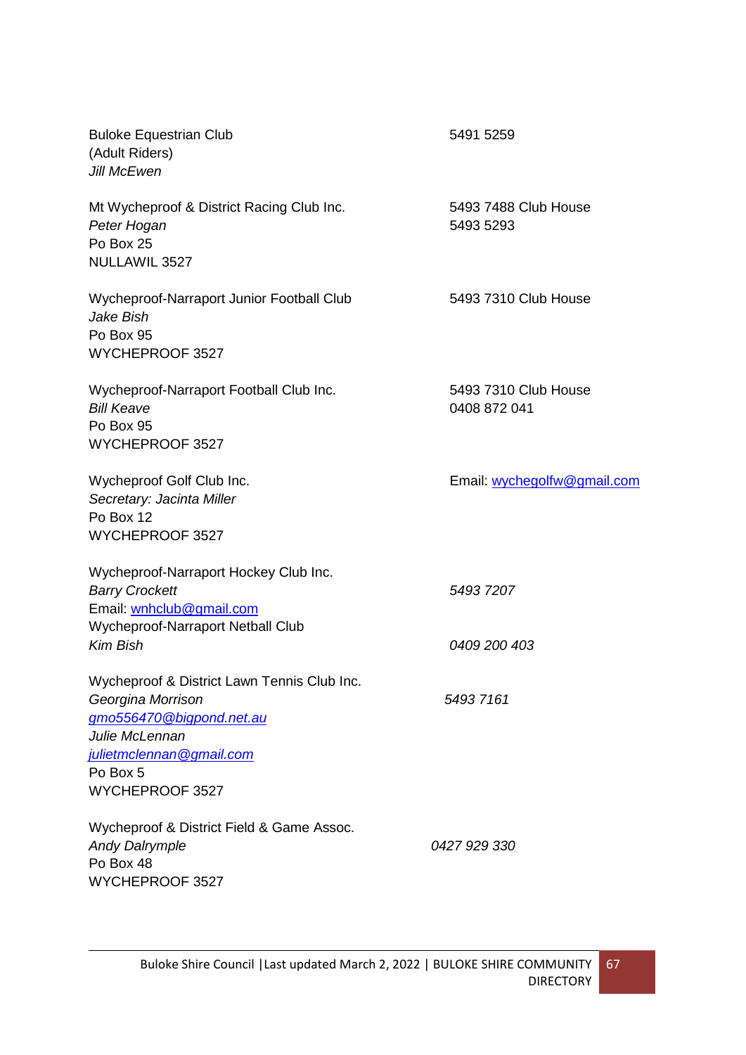| <b>Buloke Equestrian Club</b><br>(Adult Riders)<br><b>Jill McEwen</b>                                                                      | 5491 5259                            |
|--------------------------------------------------------------------------------------------------------------------------------------------|--------------------------------------|
| Mt Wycheproof & District Racing Club Inc.<br>Peter Hogan<br>Po Box 25<br>NULLAWIL 3527                                                     | 5493 7488 Club House<br>5493 5293    |
| Wycheproof-Narraport Junior Football Club<br>Jake Bish<br>Po Box 95<br>WYCHEPROOF 3527                                                     | 5493 7310 Club House                 |
| Wycheproof-Narraport Football Club Inc.<br><b>Bill Keave</b><br>Po Box 95<br>WYCHEPROOF 3527                                               | 5493 7310 Club House<br>0408 872 041 |
| Wycheproof Golf Club Inc.<br>Secretary: Jacinta Miller<br>Po Box 12<br>WYCHEPROOF 3527                                                     | Email: wychegolfw@gmail.com          |
| Wycheproof-Narraport Hockey Club Inc.<br><b>Barry Crockett</b><br>Email: wnhclub@gmail.com<br>Wycheproof-Narraport Netball Club            | 5493 7207                            |
| <b>Kim Bish</b>                                                                                                                            | 0409 200 403                         |
| Wycheproof & District Lawn Tennis Club Inc.<br>Georgina Morrison<br>gmo556470@bigpond.net.au<br>Julie McLennan<br>julietmclennan@gmail.com | 5493 7161                            |
| Po Box 5<br>WYCHEPROOF 3527                                                                                                                |                                      |
| Wycheproof & District Field & Game Assoc.<br><b>Andy Dalrymple</b><br>Po Box 48<br>WYCHEPROOF 3527                                         | 0427 929 330                         |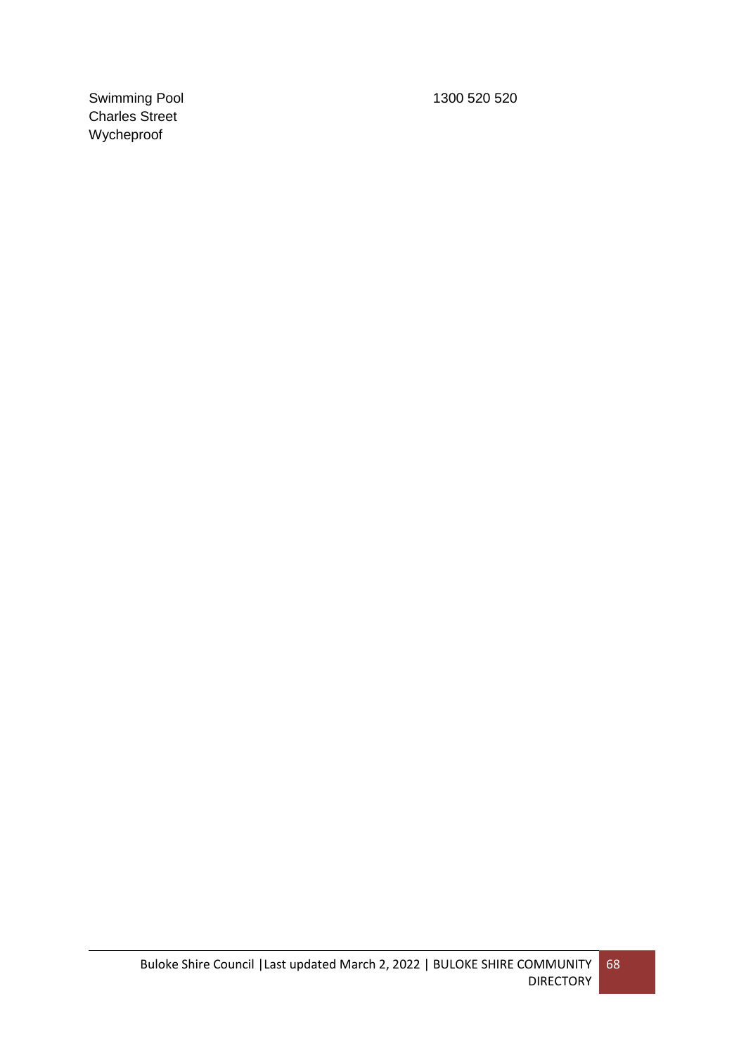Swimming Pool 1300 520 520 Charles Street Wycheproof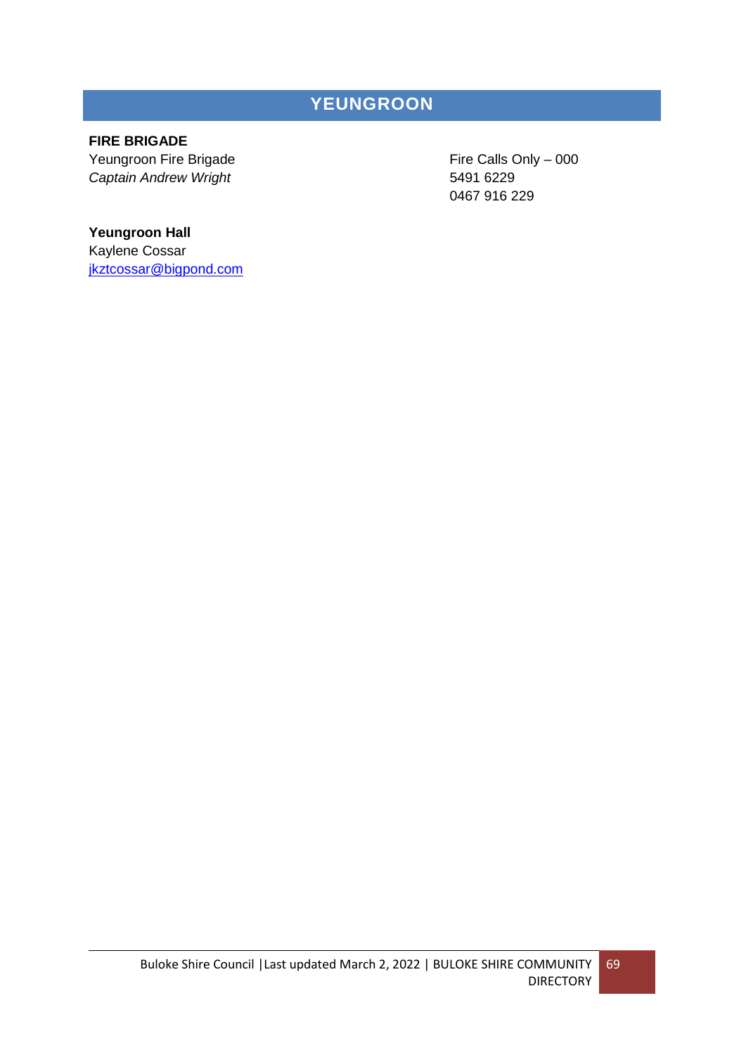## **YEUNGROON**

### **FIRE BRIGADE**

Yeungroon Fire Brigade Fire Calls Only – 000 *Captain Andrew Wright* 5491 6229

0467 916 229

### **Yeungroon Hall**

Kaylene Cossar [jkztcossar@bigpond.com](mailto:jkztcossar@bigpond.com)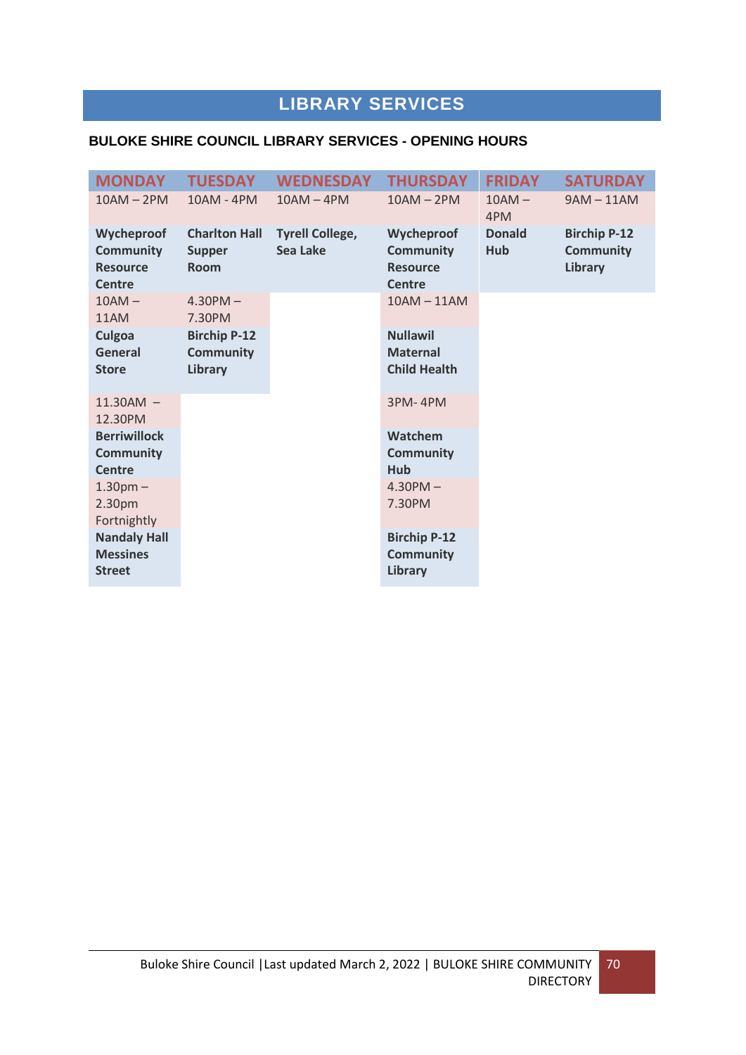# **LIBRARY SERVICES**

### **BULOKE SHIRE COUNCIL LIBRARY SERVICES - OPENING HOURS**

| <b>MONDAY</b>                                                                                                                  | <b>TUESDAY</b>                                       | <b>WEDNESDAY</b>                   | <b>THURSDAY</b>                                                                      | <b>FRIDAY</b>        | <b>SATURDAY</b>                                           |
|--------------------------------------------------------------------------------------------------------------------------------|------------------------------------------------------|------------------------------------|--------------------------------------------------------------------------------------|----------------------|-----------------------------------------------------------|
| $10AM - 2PM$                                                                                                                   | 10AM - 4PM                                           | $10AM - 4PM$                       | $10AM - 2PM$                                                                         | $10AM -$<br>4PM      | $9AM - 11AM$                                              |
| Wycheproof<br><b>Community</b><br><b>Resource</b><br><b>Centre</b>                                                             | <b>Charlton Hall</b><br><b>Supper</b><br><b>Room</b> | <b>Tyrell College,</b><br>Sea Lake | Wycheproof<br><b>Community</b><br><b>Resource</b><br>Centre                          | <b>Donald</b><br>Hub | <b>Birchip P-12</b><br><b>Community</b><br><b>Library</b> |
| $10AM -$<br>11AM                                                                                                               | $4.30$ PM $-$<br>7.30PM                              |                                    | $10AM - 11AM$                                                                        |                      |                                                           |
| Culgoa<br>General<br><b>Store</b>                                                                                              | <b>Birchip P-12</b><br><b>Community</b><br>Library   |                                    | <b>Nullawil</b><br><b>Maternal</b><br><b>Child Health</b>                            |                      |                                                           |
| $11.30AM -$<br>12.30PM                                                                                                         |                                                      |                                    | 3PM-4PM                                                                              |                      |                                                           |
| <b>Berriwillock</b><br><b>Community</b><br><b>Centre</b><br>1.30 <sub>pm</sub><br>2.30pm<br>Fortnightly<br><b>Nandaly Hall</b> |                                                      |                                    | Watchem<br><b>Community</b><br>Hub<br>$4.30$ PM $-$<br>7.30PM<br><b>Birchip P-12</b> |                      |                                                           |
| <b>Messines</b><br><b>Street</b>                                                                                               |                                                      |                                    | <b>Community</b><br><b>Library</b>                                                   |                      |                                                           |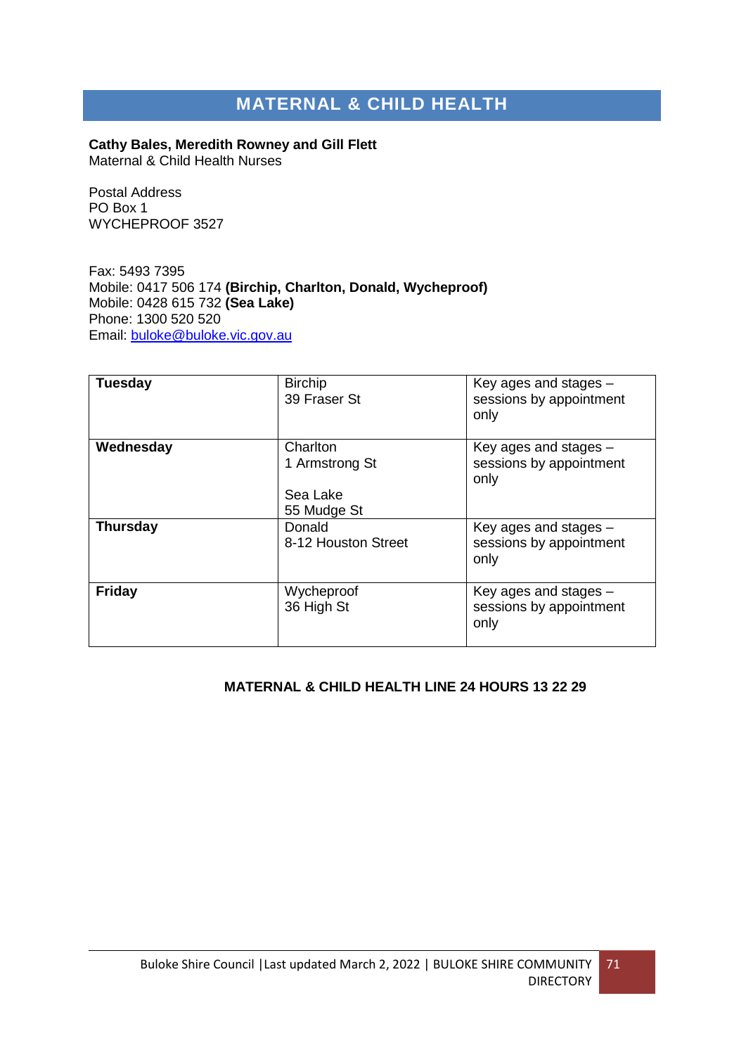## **MATERNAL & CHILD HEALTH**

**Cathy Bales, Meredith Rowney and Gill Flett** Maternal & Child Health Nurses

Postal Address PO Box 1 WYCHEPROOF 3527

Fax: 5493 7395 Mobile: 0417 506 174 **(Birchip, Charlton, Donald, Wycheproof)**  Mobile: 0428 615 732 **(Sea Lake)** Phone: 1300 520 520 Email: [buloke@buloke.vic.gov.au](mailto:buloke@buloke.vic.gov.au)

| <b>Tuesday</b>  | <b>Birchip</b><br>39 Fraser St                        | Key ages and stages -<br>sessions by appointment<br>only   |
|-----------------|-------------------------------------------------------|------------------------------------------------------------|
| Wednesday       | Charlton<br>1 Armstrong St<br>Sea Lake<br>55 Mudge St | Key ages and stages $-$<br>sessions by appointment<br>only |
| <b>Thursday</b> | Donald<br>8-12 Houston Street                         | Key ages and stages $-$<br>sessions by appointment<br>only |
| <b>Friday</b>   | Wycheproof<br>36 High St                              | Key ages and stages $-$<br>sessions by appointment<br>only |

#### **MATERNAL & CHILD HEALTH LINE 24 HOURS 13 22 29**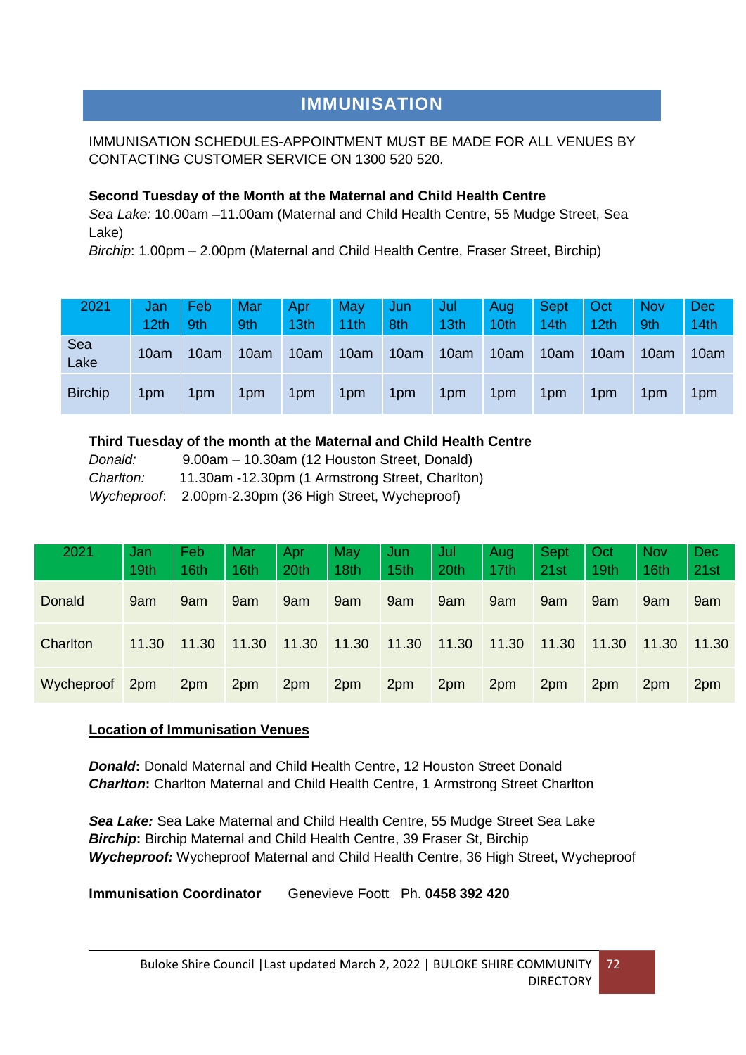## **IMMUNISATION**

### IMMUNISATION SCHEDULES-APPOINTMENT MUST BE MADE FOR ALL VENUES BY CONTACTING CUSTOMER SERVICE ON 1300 520 520.

### **Second Tuesday of the Month at the Maternal and Child Health Centre**

*Sea Lake:* 10.00am –11.00am (Maternal and Child Health Centre, 55 Mudge Street, Sea Lake)

*Birchip*: 1.00pm – 2.00pm (Maternal and Child Health Centre, Fraser Street, Birchip)

| 2021           | Jan<br>12th     | Feb<br>9th | Mar<br>9th | Apr<br>13th | May<br>11th | Jun<br>8th | Jul<br>13th | Aug<br>10th | <b>Sept</b><br>14th | Oct<br>12th | <b>Nov</b><br>9th | Dec<br>14th |
|----------------|-----------------|------------|------------|-------------|-------------|------------|-------------|-------------|---------------------|-------------|-------------------|-------------|
| Sea<br>Lake    | 10am            | 10am       | 10am       | 10am        | 10am        | 10am       | 10am        | 10am        | 10am                | 10am        | 10 <sub>am</sub>  | 10am        |
| <b>Birchip</b> | 1 <sub>pm</sub> | 1pm        | 1pm        | 1pm         | 1pm         | 1pm        | 1pm         | 1pm         | 1pm                 | 1pm         | 1 <sub>pm</sub>   | 1pm         |

### **Third Tuesday of the month at the Maternal and Child Health Centre**

| Donald:   | 9.00am - 10.30am (12 Houston Street, Donald)           |
|-----------|--------------------------------------------------------|
| Charlton: | 11.30am -12.30pm (1 Armstrong Street, Charlton)        |
|           | Wycheproof: 2.00pm-2.30pm (36 High Street, Wycheproof) |

| 2021       | Jan   | Feb   | Mar   | Apr   | May   | Jun   | Jul   | Aug   | <b>Sept</b> | Oct   | <b>Nov</b> | <b>Dec</b> |
|------------|-------|-------|-------|-------|-------|-------|-------|-------|-------------|-------|------------|------------|
|            | 19th  | 16th  | 16th  | 20th  | 18th  | 15th  | 20th  | 17th  | 21st        | 19th  | 16th       | 21st       |
| Donald     | 9am   | 9am   | 9am   | 9am   | 9am   | 9am   | 9am   | 9am   | 9am         | 9am   | 9am        | 9am        |
| Charlton   | 11.30 | 11.30 | 11.30 | 11.30 | 11.30 | 11.30 | 11.30 | 11.30 | 11.30       | 11.30 | 11.30      | 11.30      |
| Wycheproof | 2pm   | 2pm   | 2pm   | 2pm   | 2pm   | 2pm   | 2pm   | 2pm   | 2pm         | 2pm   | 2pm        | 2pm        |

### **Location of Immunisation Venues**

*Donald***:** Donald Maternal and Child Health Centre, 12 Houston Street Donald *Charlton***:** Charlton Maternal and Child Health Centre, 1 Armstrong Street Charlton

*Sea Lake:* Sea Lake Maternal and Child Health Centre, 55 Mudge Street Sea Lake *Birchip***:** Birchip Maternal and Child Health Centre, 39 Fraser St, Birchip *Wycheproof:* Wycheproof Maternal and Child Health Centre, 36 High Street, Wycheproof

**Immunisation Coordinator** Genevieve Foott Ph. **0458 392 420**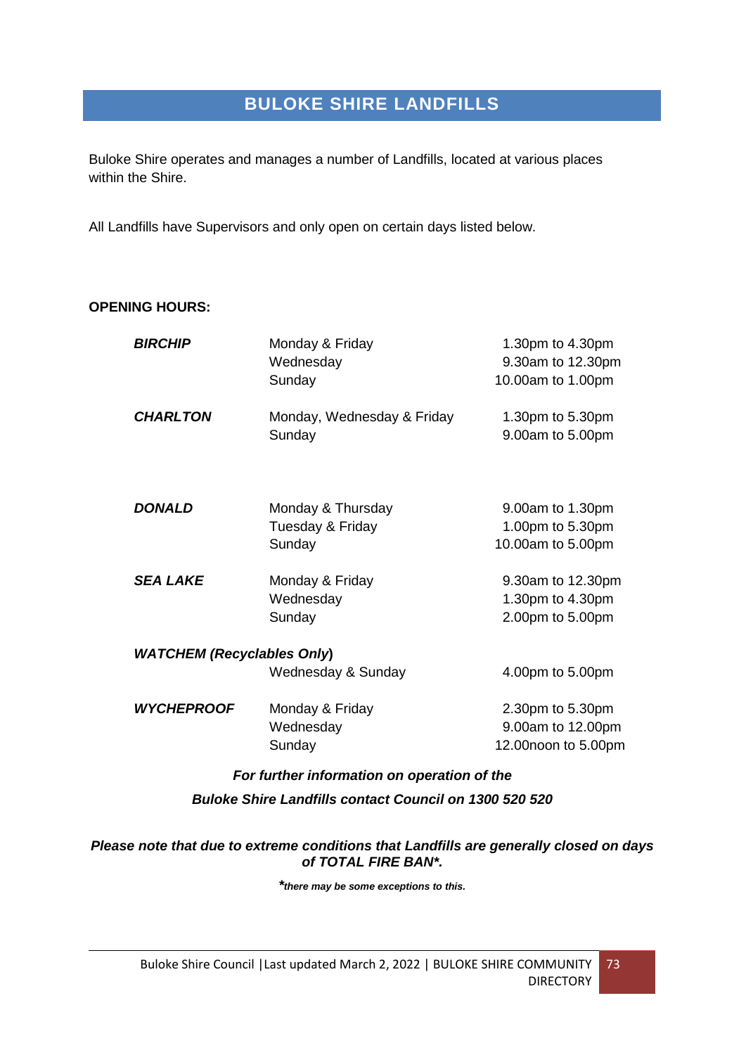# **BULOKE SHIRE LANDFILLS**

Buloke Shire operates and manages a number of Landfills, located at various places within the Shire.

All Landfills have Supervisors and only open on certain days listed below.

### **OPENING HOURS:**

| <b>BIRCHIP</b>                              | Monday & Friday<br>Wednesday | 1.30pm to 4.30pm<br>9.30am to 12.30pm |
|---------------------------------------------|------------------------------|---------------------------------------|
|                                             | Sunday                       | 10.00am to 1.00pm                     |
| <b>CHARLTON</b>                             | Monday, Wednesday & Friday   | 1.30pm to 5.30pm                      |
|                                             | Sunday                       | 9.00am to 5.00pm                      |
|                                             |                              |                                       |
| <b>DONALD</b>                               | Monday & Thursday            | 9.00am to 1.30pm                      |
|                                             | Tuesday & Friday             | 1.00pm to 5.30pm                      |
|                                             | Sunday                       | 10.00am to 5.00pm                     |
| <b>SEA LAKE</b>                             | Monday & Friday              | 9.30am to 12.30pm                     |
|                                             | Wednesday                    | 1.30pm to 4.30pm                      |
|                                             | Sunday                       | 2.00pm to 5.00pm                      |
| <b>WATCHEM (Recyclables Only)</b>           |                              |                                       |
|                                             | Wednesday & Sunday           | 4.00pm to 5.00pm                      |
| <b>WYCHEPROOF</b>                           | Monday & Friday              | 2.30pm to 5.30pm                      |
|                                             | Wednesday                    | 9.00am to 12.00pm                     |
|                                             | Sunday                       | 12.00noon to 5.00pm                   |
| For further information on operation of the |                              |                                       |

*Buloke Shire Landfills contact Council on 1300 520 520*

#### *Please note that due to extreme conditions that Landfills are generally closed on days of TOTAL FIRE BAN\*.*

*\*there may be some exceptions to this.*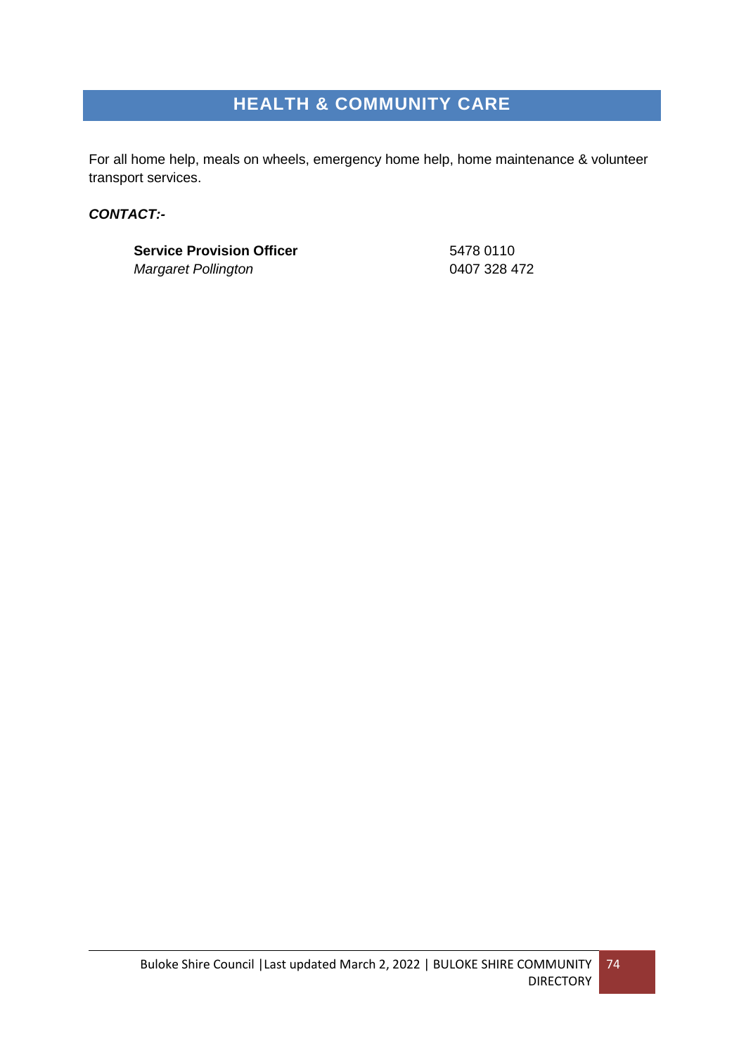# **HEALTH & COMMUNITY CARE**

For all home help, meals on wheels, emergency home help, home maintenance & volunteer transport services.

### *CONTACT:-*

**Service Provision Officer** 5478 0110 *Margaret Pollington* 0407 328 472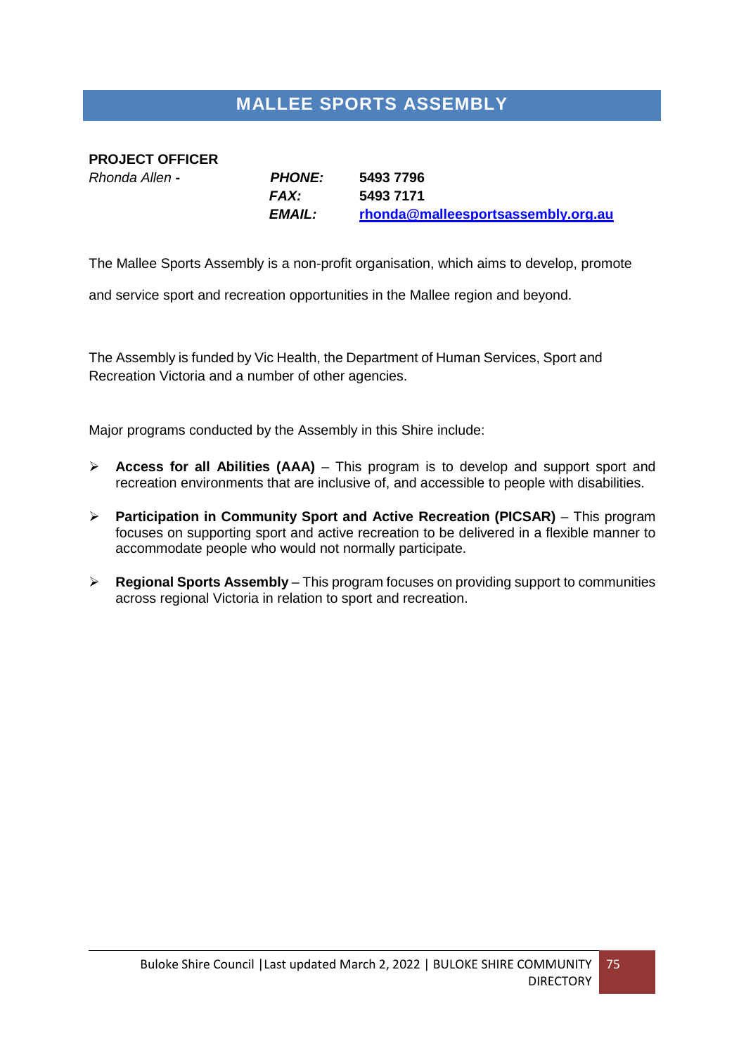# **MALLEE SPORTS ASSEMBLY**

### **PROJECT OFFICER**

*Rhonda Allen* **-** *PHONE:* **5493 7796** *FAX:* **5493 7171** *EMAIL:* **[rhonda@malleesportsassembly.org.au](mailto:rhonda@malleesportsassembly.org.au)**

The Mallee Sports Assembly is a non-profit organisation, which aims to develop, promote

and service sport and recreation opportunities in the Mallee region and beyond.

The Assembly is funded by Vic Health, the Department of Human Services, Sport and Recreation Victoria and a number of other agencies.

Major programs conducted by the Assembly in this Shire include:

- **Access for all Abilities (AAA)** This program is to develop and support sport and recreation environments that are inclusive of, and accessible to people with disabilities.
- **Participation in Community Sport and Active Recreation (PICSAR)** This program focuses on supporting sport and active recreation to be delivered in a flexible manner to accommodate people who would not normally participate.
- **EX** Regional Sports Assembly This program focuses on providing support to communities across regional Victoria in relation to sport and recreation.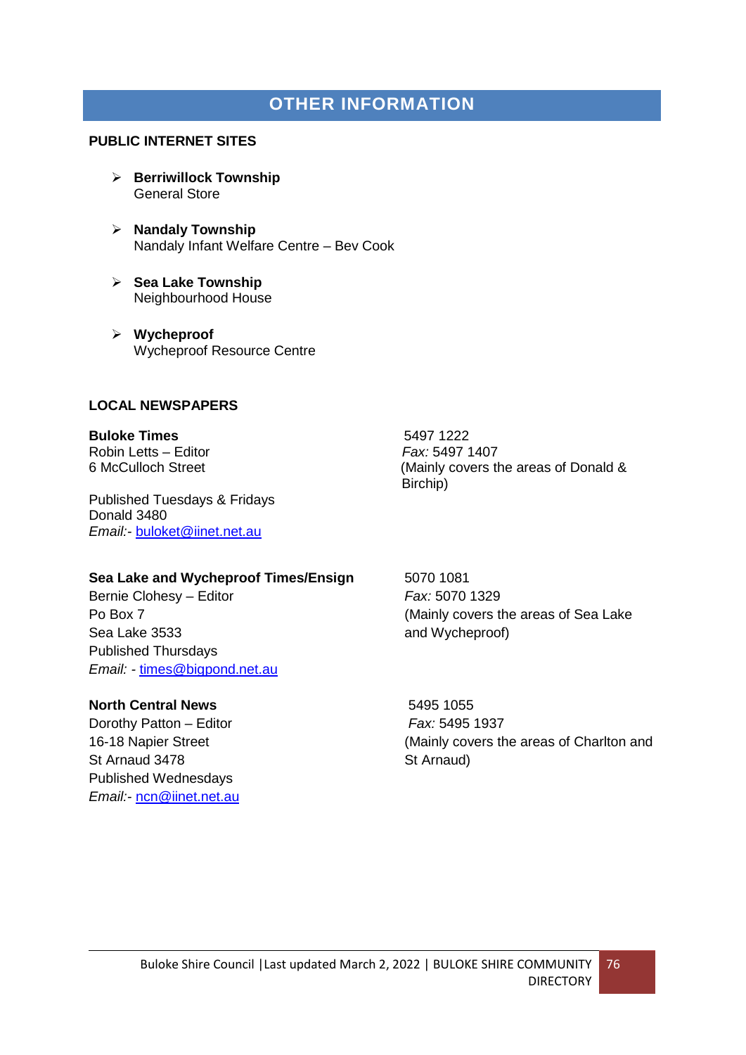### **OTHER INFORMATION**

#### **PUBLIC INTERNET SITES**

- **Berriwillock Township** General Store
- **Nandaly Township** Nandaly Infant Welfare Centre – Bev Cook
- **Sea Lake Township** Neighbourhood House
- **Wycheproof** Wycheproof Resource Centre

#### **LOCAL NEWSPAPERS**

### **Buloke Times**<br>Robin Letts – Editor **Canadian Editor**<br>Fax: 5497 1407 **Robin Letts – Editor**

Published Tuesdays & Fridays Donald 3480 *Email:-* [buloket@iinet.net.au](mailto:buloket@iinet.net.au)

**Sea Lake and Wycheproof Times/Ensign 5070 1081** 

Bernie Clohesy – Editor *Fax:* 5070 1329 Sea Lake 3533 **and Wycheproof**) Published Thursdays *Email: -* [times@bigpond.net.au](mailto:times@bigpond.net.au)

#### **North Central News** 6495 1055

Dorothy Patton – Editor *Fax:* 5495 1937 St Arnaud 3478 St Arnaud) Published Wednesdays *Email:-* [ncn@iinet.net.au](mailto:ncn@iinet.net.au)

6 McCulloch Street (Mainly covers the areas of Donald & Birchip)

Po Box 7 (Mainly covers the areas of Sea Lake

16-18 Napier Street (Mainly covers the areas of Charlton and

76